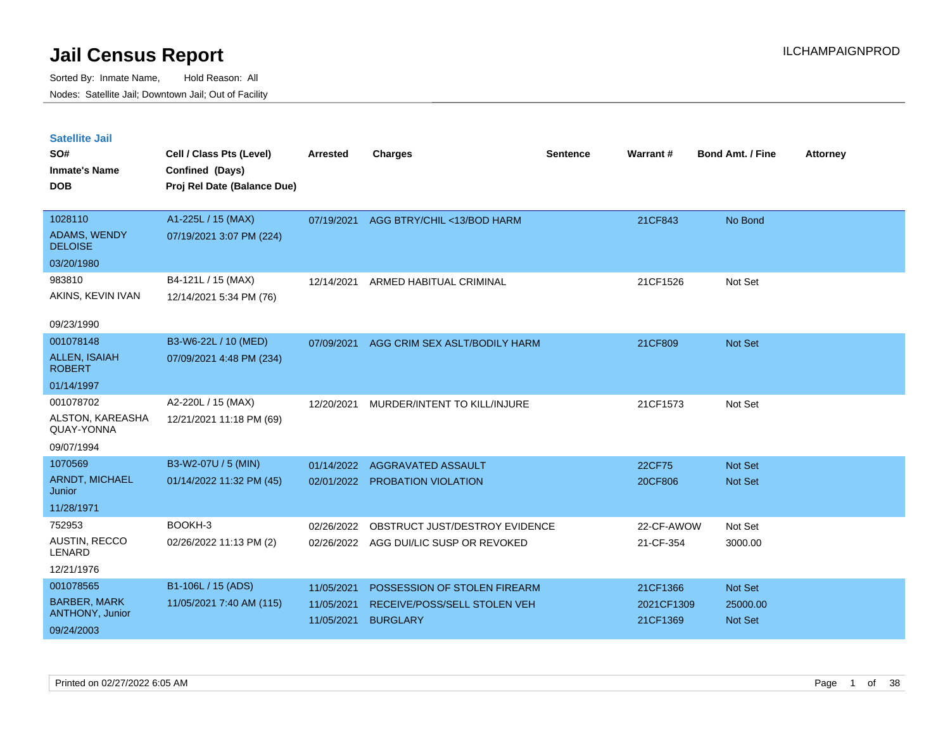| <b>Satellite Jail</b><br>SO#<br><b>Inmate's Name</b> | Cell / Class Pts (Level)<br>Confined (Days) | <b>Arrested</b> | <b>Charges</b>                 | <b>Sentence</b> | Warrant#   | <b>Bond Amt. / Fine</b> | <b>Attorney</b> |
|------------------------------------------------------|---------------------------------------------|-----------------|--------------------------------|-----------------|------------|-------------------------|-----------------|
| <b>DOB</b>                                           | Proj Rel Date (Balance Due)                 |                 |                                |                 |            |                         |                 |
| 1028110                                              | A1-225L / 15 (MAX)                          | 07/19/2021      | AGG BTRY/CHIL <13/BOD HARM     |                 | 21CF843    | No Bond                 |                 |
| ADAMS, WENDY<br><b>DELOISE</b>                       | 07/19/2021 3:07 PM (224)                    |                 |                                |                 |            |                         |                 |
| 03/20/1980                                           |                                             |                 |                                |                 |            |                         |                 |
| 983810                                               | B4-121L / 15 (MAX)                          | 12/14/2021      | ARMED HABITUAL CRIMINAL        |                 | 21CF1526   | Not Set                 |                 |
| AKINS, KEVIN IVAN                                    | 12/14/2021 5:34 PM (76)                     |                 |                                |                 |            |                         |                 |
|                                                      |                                             |                 |                                |                 |            |                         |                 |
| 09/23/1990                                           |                                             |                 |                                |                 |            |                         |                 |
| 001078148                                            | B3-W6-22L / 10 (MED)                        | 07/09/2021      | AGG CRIM SEX ASLT/BODILY HARM  |                 | 21CF809    | Not Set                 |                 |
| <b>ALLEN, ISAIAH</b><br><b>ROBERT</b>                | 07/09/2021 4:48 PM (234)                    |                 |                                |                 |            |                         |                 |
| 01/14/1997                                           |                                             |                 |                                |                 |            |                         |                 |
| 001078702                                            | A2-220L / 15 (MAX)                          | 12/20/2021      | MURDER/INTENT TO KILL/INJURE   |                 | 21CF1573   | Not Set                 |                 |
| ALSTON, KAREASHA<br>QUAY-YONNA                       | 12/21/2021 11:18 PM (69)                    |                 |                                |                 |            |                         |                 |
| 09/07/1994                                           |                                             |                 |                                |                 |            |                         |                 |
| 1070569                                              | B3-W2-07U / 5 (MIN)                         | 01/14/2022      | <b>AGGRAVATED ASSAULT</b>      |                 | 22CF75     | Not Set                 |                 |
| ARNDT, MICHAEL<br>Junior                             | 01/14/2022 11:32 PM (45)                    | 02/01/2022      | PROBATION VIOLATION            |                 | 20CF806    | Not Set                 |                 |
| 11/28/1971                                           |                                             |                 |                                |                 |            |                         |                 |
| 752953                                               | BOOKH-3                                     | 02/26/2022      | OBSTRUCT JUST/DESTROY EVIDENCE |                 | 22-CF-AWOW | Not Set                 |                 |
| <b>AUSTIN, RECCO</b><br>LENARD                       | 02/26/2022 11:13 PM (2)                     | 02/26/2022      | AGG DUI/LIC SUSP OR REVOKED    |                 | 21-CF-354  | 3000.00                 |                 |
| 12/21/1976                                           |                                             |                 |                                |                 |            |                         |                 |
| 001078565                                            | B1-106L / 15 (ADS)                          | 11/05/2021      | POSSESSION OF STOLEN FIREARM   |                 | 21CF1366   | <b>Not Set</b>          |                 |
| <b>BARBER, MARK</b>                                  | 11/05/2021 7:40 AM (115)                    | 11/05/2021      | RECEIVE/POSS/SELL STOLEN VEH   |                 | 2021CF1309 | 25000.00                |                 |
| <b>ANTHONY, Junior</b><br>09/24/2003                 |                                             | 11/05/2021      | <b>BURGLARY</b>                |                 | 21CF1369   | <b>Not Set</b>          |                 |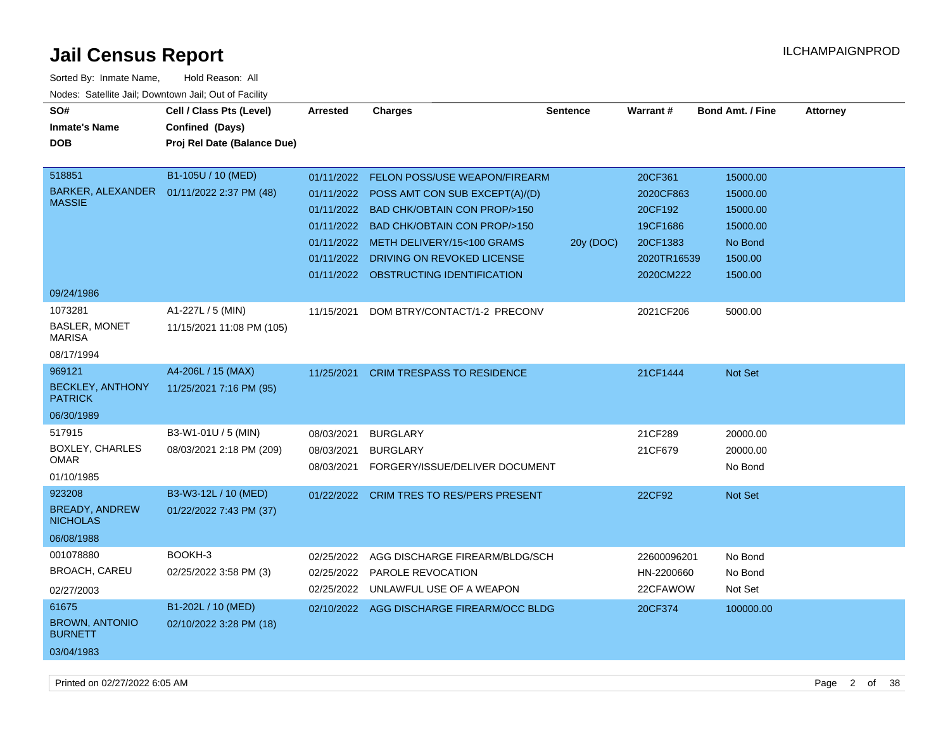| Sorted By: Inmate Name,<br>Nodes: Satellite Jail; Downtown Jail; Out of Facility | Hold Reason: All                                                           |                                                                                  |                                                                                                                                                                                                              |                 |                                                                        |                                                                    |          |
|----------------------------------------------------------------------------------|----------------------------------------------------------------------------|----------------------------------------------------------------------------------|--------------------------------------------------------------------------------------------------------------------------------------------------------------------------------------------------------------|-----------------|------------------------------------------------------------------------|--------------------------------------------------------------------|----------|
| SO#<br><b>Inmate's Name</b><br><b>DOB</b>                                        | Cell / Class Pts (Level)<br>Confined (Days)<br>Proj Rel Date (Balance Due) | <b>Arrested</b>                                                                  | <b>Charges</b>                                                                                                                                                                                               | <b>Sentence</b> | Warrant#                                                               | Bond Amt. / Fine                                                   | Attorney |
| 518851<br>BARKER, ALEXANDER<br><b>MASSIE</b>                                     | B1-105U / 10 (MED)<br>01/11/2022 2:37 PM (48)                              | 01/11/2022<br>01/11/2022<br>01/11/2022<br>01/11/2022<br>01/11/2022<br>01/11/2022 | <b>FELON POSS/USE WEAPON/FIREARM</b><br>POSS AMT CON SUB EXCEPT(A)/(D)<br><b>BAD CHK/OBTAIN CON PROP/&gt;150</b><br>BAD CHK/OBTAIN CON PROP/>150<br>METH DELIVERY/15<100 GRAMS<br>DRIVING ON REVOKED LICENSE | 20y (DOC)       | 20CF361<br>2020CF863<br>20CF192<br>19CF1686<br>20CF1383<br>2020TR16539 | 15000.00<br>15000.00<br>15000.00<br>15000.00<br>No Bond<br>1500.00 |          |
| 09/24/1986<br>1073281<br>BASLER, MONET<br><b>MARISA</b><br>08/17/1994            | A1-227L / 5 (MIN)<br>11/15/2021 11:08 PM (105)                             | 01/11/2022<br>11/15/2021                                                         | OBSTRUCTING IDENTIFICATION<br>DOM BTRY/CONTACT/1-2 PRECONV                                                                                                                                                   |                 | 2020CM222<br>2021CF206                                                 | 1500.00<br>5000.00                                                 |          |
| 969121<br><b>BECKLEY, ANTHONY</b><br><b>PATRICK</b><br>06/30/1989                | A4-206L / 15 (MAX)<br>11/25/2021 7:16 PM (95)                              | 11/25/2021                                                                       | <b>CRIM TRESPASS TO RESIDENCE</b>                                                                                                                                                                            |                 | 21CF1444                                                               | Not Set                                                            |          |
| 517915<br><b>BOXLEY, CHARLES</b><br><b>OMAR</b><br>01/10/1985                    | B3-W1-01U / 5 (MIN)<br>08/03/2021 2:18 PM (209)                            | 08/03/2021<br>08/03/2021<br>08/03/2021                                           | <b>BURGLARY</b><br><b>BURGLARY</b><br>FORGERY/ISSUE/DELIVER DOCUMENT                                                                                                                                         |                 | 21CF289<br>21CF679                                                     | 20000.00<br>20000.00<br>No Bond                                    |          |
| 923208<br><b>BREADY, ANDREW</b><br><b>NICHOLAS</b><br>06/08/1988                 | B3-W3-12L / 10 (MED)<br>01/22/2022 7:43 PM (37)                            | 01/22/2022                                                                       | <b>CRIM TRES TO RES/PERS PRESENT</b>                                                                                                                                                                         |                 | 22CF92                                                                 | Not Set                                                            |          |
| 001078880<br><b>BROACH, CAREU</b><br>02/27/2003                                  | BOOKH-3<br>02/25/2022 3:58 PM (3)                                          | 02/25/2022<br>02/25/2022<br>02/25/2022                                           | AGG DISCHARGE FIREARM/BLDG/SCH<br>PAROLE REVOCATION<br>UNLAWFUL USE OF A WEAPON                                                                                                                              |                 | 22600096201<br>HN-2200660<br>22CFAWOW                                  | No Bond<br>No Bond<br>Not Set                                      |          |
| 61675<br><b>BROWN, ANTONIO</b>                                                   | B1-202L / 10 (MED)<br>02/10/2022 3:28 PM (18)                              | 02/10/2022                                                                       | AGG DISCHARGE FIREARM/OCC BLDG                                                                                                                                                                               |                 | 20CF374                                                                | 100000.00                                                          |          |

**BRO BURNETT** 03/04/1983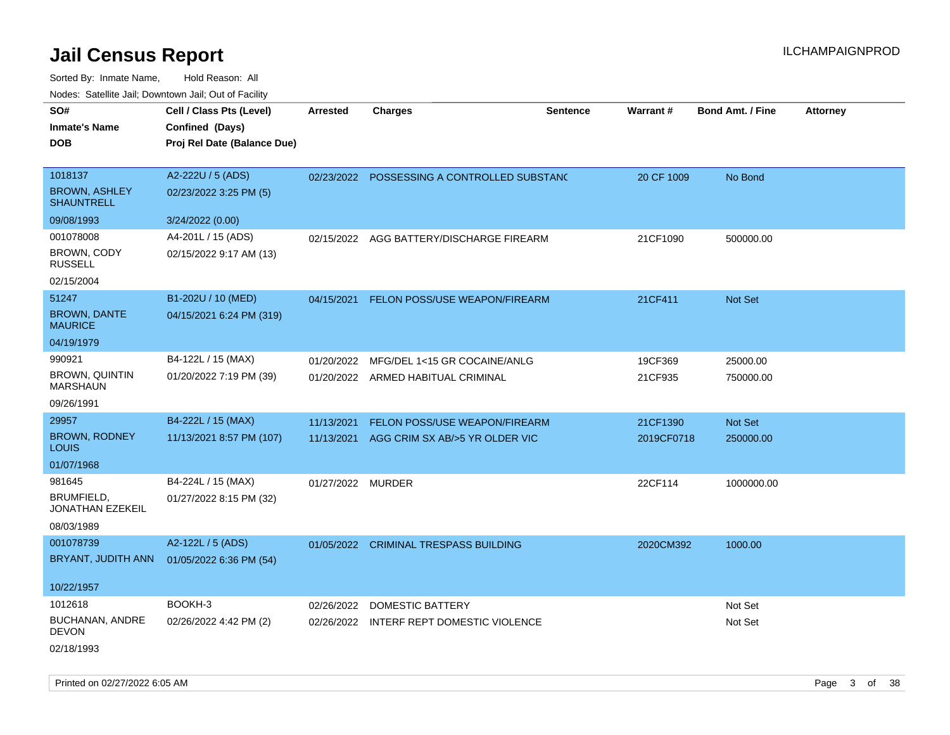Sorted By: Inmate Name, Hold Reason: All Nodes: Satellite Jail; Downtown Jail; Out of Facility

| SO#                                       | Cell / Class Pts (Level)    | Arrested          | <b>Charges</b>                              | <b>Sentence</b> | Warrant #  | <b>Bond Amt. / Fine</b> | <b>Attorney</b> |
|-------------------------------------------|-----------------------------|-------------------|---------------------------------------------|-----------------|------------|-------------------------|-----------------|
| <b>Inmate's Name</b>                      | Confined (Days)             |                   |                                             |                 |            |                         |                 |
| <b>DOB</b>                                | Proj Rel Date (Balance Due) |                   |                                             |                 |            |                         |                 |
|                                           |                             |                   |                                             |                 |            |                         |                 |
| 1018137                                   | A2-222U / 5 (ADS)           |                   | 02/23/2022 POSSESSING A CONTROLLED SUBSTANC |                 | 20 CF 1009 | No Bond                 |                 |
| <b>BROWN, ASHLEY</b><br><b>SHAUNTRELL</b> | 02/23/2022 3:25 PM (5)      |                   |                                             |                 |            |                         |                 |
| 09/08/1993                                | 3/24/2022 (0.00)            |                   |                                             |                 |            |                         |                 |
| 001078008                                 | A4-201L / 15 (ADS)          | 02/15/2022        | AGG BATTERY/DISCHARGE FIREARM               |                 | 21CF1090   | 500000.00               |                 |
| BROWN, CODY<br><b>RUSSELL</b>             | 02/15/2022 9:17 AM (13)     |                   |                                             |                 |            |                         |                 |
| 02/15/2004                                |                             |                   |                                             |                 |            |                         |                 |
| 51247                                     | B1-202U / 10 (MED)          |                   | 04/15/2021 FELON POSS/USE WEAPON/FIREARM    |                 | 21CF411    | Not Set                 |                 |
| <b>BROWN, DANTE</b><br><b>MAURICE</b>     | 04/15/2021 6:24 PM (319)    |                   |                                             |                 |            |                         |                 |
| 04/19/1979                                |                             |                   |                                             |                 |            |                         |                 |
| 990921                                    | B4-122L / 15 (MAX)          | 01/20/2022        | MFG/DEL 1<15 GR COCAINE/ANLG                |                 | 19CF369    | 25000.00                |                 |
| <b>BROWN, QUINTIN</b><br><b>MARSHAUN</b>  | 01/20/2022 7:19 PM (39)     |                   | 01/20/2022 ARMED HABITUAL CRIMINAL          |                 | 21CF935    | 750000.00               |                 |
| 09/26/1991                                |                             |                   |                                             |                 |            |                         |                 |
| 29957                                     | B4-222L / 15 (MAX)          | 11/13/2021        | FELON POSS/USE WEAPON/FIREARM               |                 | 21CF1390   | Not Set                 |                 |
| <b>BROWN, RODNEY</b><br>LOUIS             | 11/13/2021 8:57 PM (107)    | 11/13/2021        | AGG CRIM SX AB/>5 YR OLDER VIC              |                 | 2019CF0718 | 250000.00               |                 |
| 01/07/1968                                |                             |                   |                                             |                 |            |                         |                 |
| 981645                                    | B4-224L / 15 (MAX)          | 01/27/2022 MURDER |                                             |                 | 22CF114    | 1000000.00              |                 |
| BRUMFIELD,<br>JONATHAN EZEKEIL            | 01/27/2022 8:15 PM (32)     |                   |                                             |                 |            |                         |                 |
| 08/03/1989                                |                             |                   |                                             |                 |            |                         |                 |
| 001078739                                 | A2-122L / 5 (ADS)           |                   | 01/05/2022 CRIMINAL TRESPASS BUILDING       |                 | 2020CM392  | 1000.00                 |                 |
| BRYANT, JUDITH ANN                        | 01/05/2022 6:36 PM (54)     |                   |                                             |                 |            |                         |                 |
| 10/22/1957                                |                             |                   |                                             |                 |            |                         |                 |
| 1012618                                   | BOOKH-3                     | 02/26/2022        | DOMESTIC BATTERY                            |                 |            | Not Set                 |                 |
| <b>BUCHANAN, ANDRE</b><br><b>DEVON</b>    | 02/26/2022 4:42 PM (2)      |                   | 02/26/2022 INTERF REPT DOMESTIC VIOLENCE    |                 |            | Not Set                 |                 |
| 02/18/1993                                |                             |                   |                                             |                 |            |                         |                 |

Printed on 02/27/2022 6:05 AM Page 3 of 38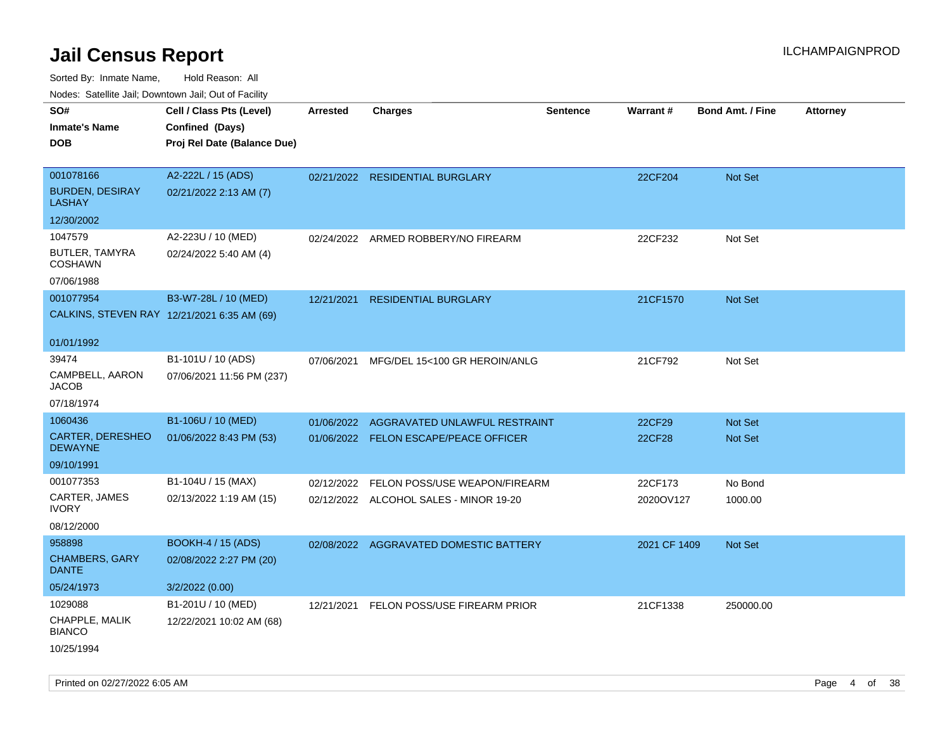| <b>NOULD:</b> Catoline bail, Downtown bail, Out of I dollty |                                             |                 |                                         |                 |                 |                         |                 |
|-------------------------------------------------------------|---------------------------------------------|-----------------|-----------------------------------------|-----------------|-----------------|-------------------------|-----------------|
| SO#                                                         | Cell / Class Pts (Level)                    | <b>Arrested</b> | <b>Charges</b>                          | <b>Sentence</b> | <b>Warrant#</b> | <b>Bond Amt. / Fine</b> | <b>Attorney</b> |
| <b>Inmate's Name</b>                                        | Confined (Days)                             |                 |                                         |                 |                 |                         |                 |
| <b>DOB</b>                                                  | Proj Rel Date (Balance Due)                 |                 |                                         |                 |                 |                         |                 |
|                                                             |                                             |                 |                                         |                 |                 |                         |                 |
| 001078166                                                   | A2-222L / 15 (ADS)                          |                 | 02/21/2022 RESIDENTIAL BURGLARY         |                 | 22CF204         | Not Set                 |                 |
| <b>BURDEN, DESIRAY</b><br><b>LASHAY</b>                     | 02/21/2022 2:13 AM (7)                      |                 |                                         |                 |                 |                         |                 |
| 12/30/2002                                                  |                                             |                 |                                         |                 |                 |                         |                 |
| 1047579                                                     | A2-223U / 10 (MED)                          |                 | 02/24/2022 ARMED ROBBERY/NO FIREARM     |                 | 22CF232         | Not Set                 |                 |
| BUTLER, TAMYRA<br><b>COSHAWN</b>                            | 02/24/2022 5:40 AM (4)                      |                 |                                         |                 |                 |                         |                 |
| 07/06/1988                                                  |                                             |                 |                                         |                 |                 |                         |                 |
| 001077954                                                   | B3-W7-28L / 10 (MED)                        | 12/21/2021      | <b>RESIDENTIAL BURGLARY</b>             |                 | 21CF1570        | Not Set                 |                 |
|                                                             | CALKINS, STEVEN RAY 12/21/2021 6:35 AM (69) |                 |                                         |                 |                 |                         |                 |
|                                                             |                                             |                 |                                         |                 |                 |                         |                 |
| 01/01/1992                                                  |                                             |                 |                                         |                 |                 |                         |                 |
| 39474                                                       | B1-101U / 10 (ADS)                          | 07/06/2021      | MFG/DEL 15<100 GR HEROIN/ANLG           |                 | 21CF792         | Not Set                 |                 |
| CAMPBELL, AARON<br><b>JACOB</b>                             | 07/06/2021 11:56 PM (237)                   |                 |                                         |                 |                 |                         |                 |
| 07/18/1974                                                  |                                             |                 |                                         |                 |                 |                         |                 |
| 1060436                                                     | B1-106U / 10 (MED)                          | 01/06/2022      | AGGRAVATED UNLAWFUL RESTRAINT           |                 | 22CF29          | <b>Not Set</b>          |                 |
| <b>CARTER, DERESHEO</b><br><b>DEWAYNE</b>                   | 01/06/2022 8:43 PM (53)                     |                 | 01/06/2022 FELON ESCAPE/PEACE OFFICER   |                 | 22CF28          | Not Set                 |                 |
| 09/10/1991                                                  |                                             |                 |                                         |                 |                 |                         |                 |
| 001077353                                                   | B1-104U / 15 (MAX)                          | 02/12/2022      | FELON POSS/USE WEAPON/FIREARM           |                 | 22CF173         | No Bond                 |                 |
| CARTER, JAMES<br><b>IVORY</b>                               | 02/13/2022 1:19 AM (15)                     |                 | 02/12/2022 ALCOHOL SALES - MINOR 19-20  |                 | 2020OV127       | 1000.00                 |                 |
| 08/12/2000                                                  |                                             |                 |                                         |                 |                 |                         |                 |
| 958898                                                      | <b>BOOKH-4 / 15 (ADS)</b>                   |                 | 02/08/2022 AGGRAVATED DOMESTIC BATTERY  |                 | 2021 CF 1409    | Not Set                 |                 |
| <b>CHAMBERS, GARY</b><br><b>DANTE</b>                       | 02/08/2022 2:27 PM (20)                     |                 |                                         |                 |                 |                         |                 |
| 05/24/1973                                                  | 3/2/2022 (0.00)                             |                 |                                         |                 |                 |                         |                 |
| 1029088                                                     | B1-201U / 10 (MED)                          |                 | 12/21/2021 FELON POSS/USE FIREARM PRIOR |                 | 21CF1338        | 250000.00               |                 |
| CHAPPLE, MALIK<br><b>BIANCO</b>                             | 12/22/2021 10:02 AM (68)                    |                 |                                         |                 |                 |                         |                 |
| 10/25/1994                                                  |                                             |                 |                                         |                 |                 |                         |                 |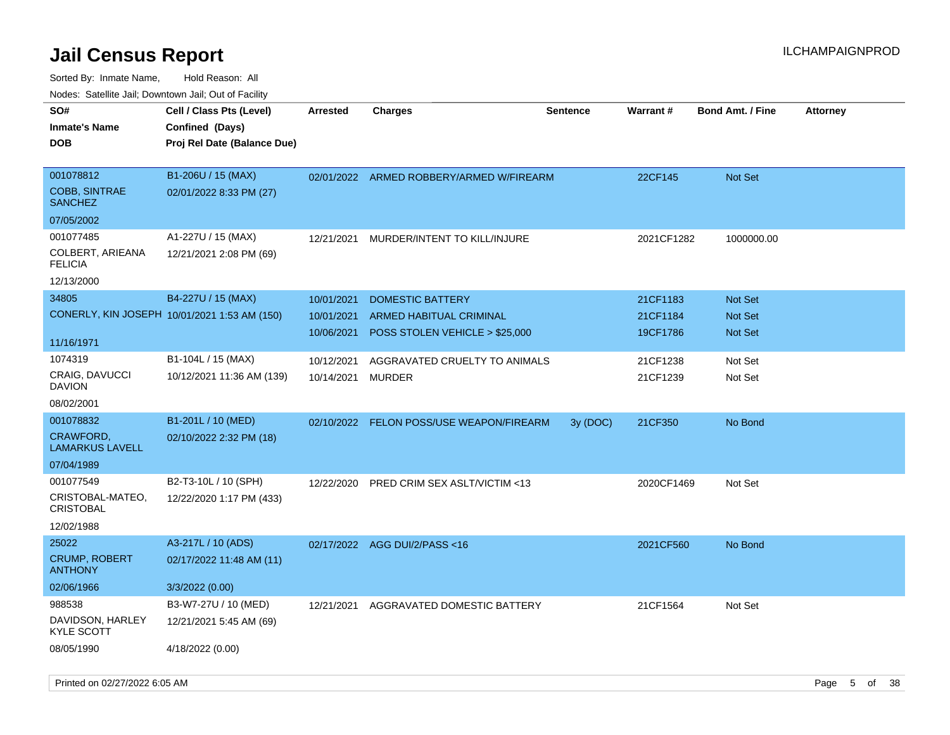| rouco. Calcillo Jali, Downtown Jali, Out of Facility |                                              |                 |                                          |                 |            |                         |                 |
|------------------------------------------------------|----------------------------------------------|-----------------|------------------------------------------|-----------------|------------|-------------------------|-----------------|
| SO#                                                  | Cell / Class Pts (Level)                     | <b>Arrested</b> | <b>Charges</b>                           | <b>Sentence</b> | Warrant#   | <b>Bond Amt. / Fine</b> | <b>Attorney</b> |
| Inmate's Name                                        | Confined (Days)                              |                 |                                          |                 |            |                         |                 |
| <b>DOB</b>                                           | Proj Rel Date (Balance Due)                  |                 |                                          |                 |            |                         |                 |
|                                                      |                                              |                 |                                          |                 |            |                         |                 |
| 001078812                                            | B1-206U / 15 (MAX)                           |                 | 02/01/2022 ARMED ROBBERY/ARMED W/FIREARM |                 | 22CF145    | <b>Not Set</b>          |                 |
| <b>COBB, SINTRAE</b><br>SANCHEZ                      | 02/01/2022 8:33 PM (27)                      |                 |                                          |                 |            |                         |                 |
| 07/05/2002                                           |                                              |                 |                                          |                 |            |                         |                 |
| 001077485                                            | A1-227U / 15 (MAX)                           | 12/21/2021      | MURDER/INTENT TO KILL/INJURE             |                 | 2021CF1282 | 1000000.00              |                 |
| COLBERT, ARIEANA<br><b>FELICIA</b>                   | 12/21/2021 2:08 PM (69)                      |                 |                                          |                 |            |                         |                 |
| 12/13/2000                                           |                                              |                 |                                          |                 |            |                         |                 |
| 34805                                                | B4-227U / 15 (MAX)                           | 10/01/2021      | <b>DOMESTIC BATTERY</b>                  |                 | 21CF1183   | Not Set                 |                 |
|                                                      | CONERLY, KIN JOSEPH 10/01/2021 1:53 AM (150) | 10/01/2021      | <b>ARMED HABITUAL CRIMINAL</b>           |                 | 21CF1184   | <b>Not Set</b>          |                 |
|                                                      |                                              | 10/06/2021      | POSS STOLEN VEHICLE > \$25,000           |                 | 19CF1786   | <b>Not Set</b>          |                 |
| 11/16/1971                                           |                                              |                 |                                          |                 |            |                         |                 |
| 1074319                                              | B1-104L / 15 (MAX)                           | 10/12/2021      | AGGRAVATED CRUELTY TO ANIMALS            |                 | 21CF1238   | Not Set                 |                 |
| <b>CRAIG, DAVUCCI</b><br>DAVION                      | 10/12/2021 11:36 AM (139)                    | 10/14/2021      | MURDER                                   |                 | 21CF1239   | Not Set                 |                 |
| 08/02/2001                                           |                                              |                 |                                          |                 |            |                         |                 |
| 001078832                                            | B1-201L / 10 (MED)                           |                 | 02/10/2022 FELON POSS/USE WEAPON/FIREARM | 3y(DOC)         | 21CF350    | No Bond                 |                 |
| <b>CRAWFORD,</b><br>LAMARKUS LAVELL                  | 02/10/2022 2:32 PM (18)                      |                 |                                          |                 |            |                         |                 |
| 07/04/1989                                           |                                              |                 |                                          |                 |            |                         |                 |
| 001077549                                            | B2-T3-10L / 10 (SPH)                         | 12/22/2020      | <b>PRED CRIM SEX ASLT/VICTIM &lt;13</b>  |                 | 2020CF1469 | Not Set                 |                 |
| CRISTOBAL-MATEO,<br><b>CRISTOBAL</b>                 | 12/22/2020 1:17 PM (433)                     |                 |                                          |                 |            |                         |                 |
| 12/02/1988                                           |                                              |                 |                                          |                 |            |                         |                 |
| 25022                                                | A3-217L / 10 (ADS)                           | 02/17/2022      | AGG DUI/2/PASS <16                       |                 | 2021CF560  | No Bond                 |                 |
| <b>CRUMP, ROBERT</b><br><b>ANTHONY</b>               | 02/17/2022 11:48 AM (11)                     |                 |                                          |                 |            |                         |                 |
| 02/06/1966                                           | 3/3/2022 (0.00)                              |                 |                                          |                 |            |                         |                 |
| 988538                                               | B3-W7-27U / 10 (MED)                         | 12/21/2021      | AGGRAVATED DOMESTIC BATTERY              |                 | 21CF1564   | Not Set                 |                 |
| DAVIDSON, HARLEY<br>KYLE SCOTT                       | 12/21/2021 5:45 AM (69)                      |                 |                                          |                 |            |                         |                 |
| 08/05/1990                                           | 4/18/2022 (0.00)                             |                 |                                          |                 |            |                         |                 |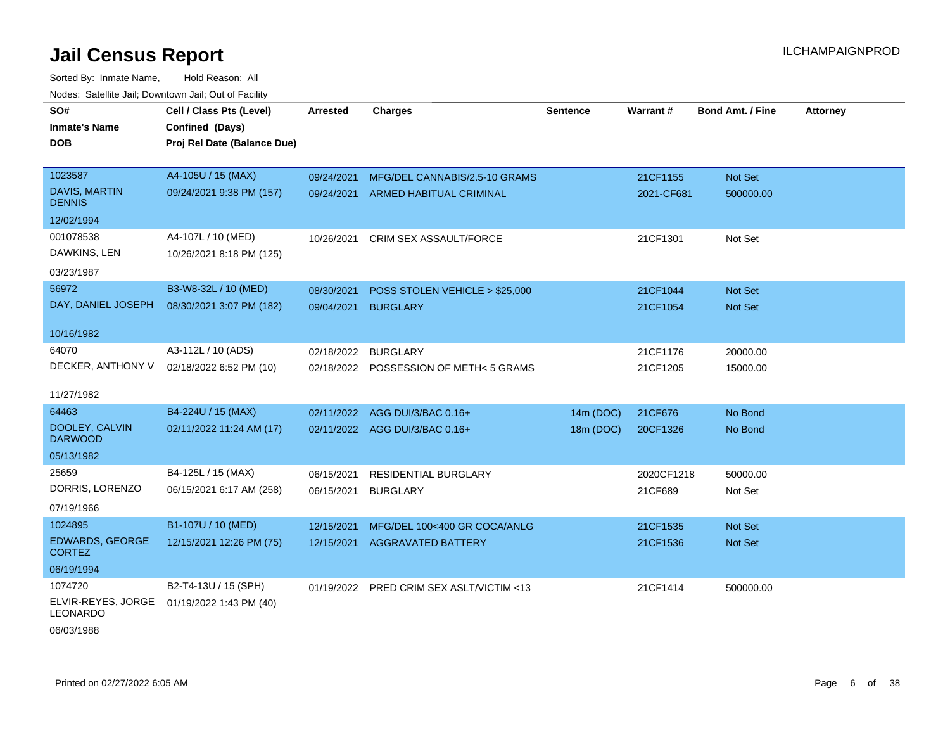Sorted By: Inmate Name, Hold Reason: All Nodes: Satellite Jail; Downtown Jail; Out of Facility

| SO#<br><b>Inmate's Name</b><br><b>DOB</b> | Cell / Class Pts (Level)<br>Confined (Days)<br>Proj Rel Date (Balance Due) | Arrested   | <b>Charges</b>                           | <b>Sentence</b> | <b>Warrant#</b> | <b>Bond Amt. / Fine</b> | <b>Attorney</b> |
|-------------------------------------------|----------------------------------------------------------------------------|------------|------------------------------------------|-----------------|-----------------|-------------------------|-----------------|
| 1023587                                   | A4-105U / 15 (MAX)                                                         | 09/24/2021 | MFG/DEL CANNABIS/2.5-10 GRAMS            |                 | 21CF1155        | Not Set                 |                 |
| <b>DAVIS, MARTIN</b><br><b>DENNIS</b>     | 09/24/2021 9:38 PM (157)                                                   | 09/24/2021 | ARMED HABITUAL CRIMINAL                  |                 | 2021-CF681      | 500000.00               |                 |
| 12/02/1994                                |                                                                            |            |                                          |                 |                 |                         |                 |
| 001078538<br>DAWKINS, LEN                 | A4-107L / 10 (MED)<br>10/26/2021 8:18 PM (125)                             | 10/26/2021 | CRIM SEX ASSAULT/FORCE                   |                 | 21CF1301        | Not Set                 |                 |
| 03/23/1987                                |                                                                            |            |                                          |                 |                 |                         |                 |
| 56972                                     | B3-W8-32L / 10 (MED)                                                       | 08/30/2021 | POSS STOLEN VEHICLE > \$25,000           |                 | 21CF1044        | Not Set                 |                 |
| DAY, DANIEL JOSEPH                        | 08/30/2021 3:07 PM (182)                                                   | 09/04/2021 | <b>BURGLARY</b>                          |                 | 21CF1054        | Not Set                 |                 |
| 10/16/1982                                |                                                                            |            |                                          |                 |                 |                         |                 |
| 64070                                     | A3-112L / 10 (ADS)                                                         | 02/18/2022 | BURGLARY                                 |                 | 21CF1176        | 20000.00                |                 |
| DECKER, ANTHONY V                         | 02/18/2022 6:52 PM (10)                                                    |            | 02/18/2022 POSSESSION OF METH< 5 GRAMS   |                 | 21CF1205        | 15000.00                |                 |
| 11/27/1982                                |                                                                            |            |                                          |                 |                 |                         |                 |
| 64463                                     | B4-224U / 15 (MAX)                                                         | 02/11/2022 | AGG DUI/3/BAC 0.16+                      | 14m (DOC)       | 21CF676         | No Bond                 |                 |
| DOOLEY, CALVIN<br><b>DARWOOD</b>          | 02/11/2022 11:24 AM (17)                                                   |            | 02/11/2022 AGG DUI/3/BAC 0.16+           | 18m (DOC)       | 20CF1326        | No Bond                 |                 |
| 05/13/1982                                |                                                                            |            |                                          |                 |                 |                         |                 |
| 25659                                     | B4-125L / 15 (MAX)                                                         | 06/15/2021 | RESIDENTIAL BURGLARY                     |                 | 2020CF1218      | 50000.00                |                 |
| DORRIS, LORENZO                           | 06/15/2021 6:17 AM (258)                                                   | 06/15/2021 | <b>BURGLARY</b>                          |                 | 21CF689         | Not Set                 |                 |
| 07/19/1966                                |                                                                            |            |                                          |                 |                 |                         |                 |
| 1024895                                   | B1-107U / 10 (MED)                                                         | 12/15/2021 | MFG/DEL 100<400 GR COCA/ANLG             |                 | 21CF1535        | Not Set                 |                 |
| <b>EDWARDS, GEORGE</b><br><b>CORTEZ</b>   | 12/15/2021 12:26 PM (75)                                                   | 12/15/2021 | <b>AGGRAVATED BATTERY</b>                |                 | 21CF1536        | Not Set                 |                 |
| 06/19/1994                                |                                                                            |            |                                          |                 |                 |                         |                 |
| 1074720                                   | B2-T4-13U / 15 (SPH)                                                       |            | 01/19/2022 PRED CRIM SEX ASLT/VICTIM <13 |                 | 21CF1414        | 500000.00               |                 |
| ELVIR-REYES, JORGE<br><b>LEONARDO</b>     | 01/19/2022 1:43 PM (40)                                                    |            |                                          |                 |                 |                         |                 |

06/03/1988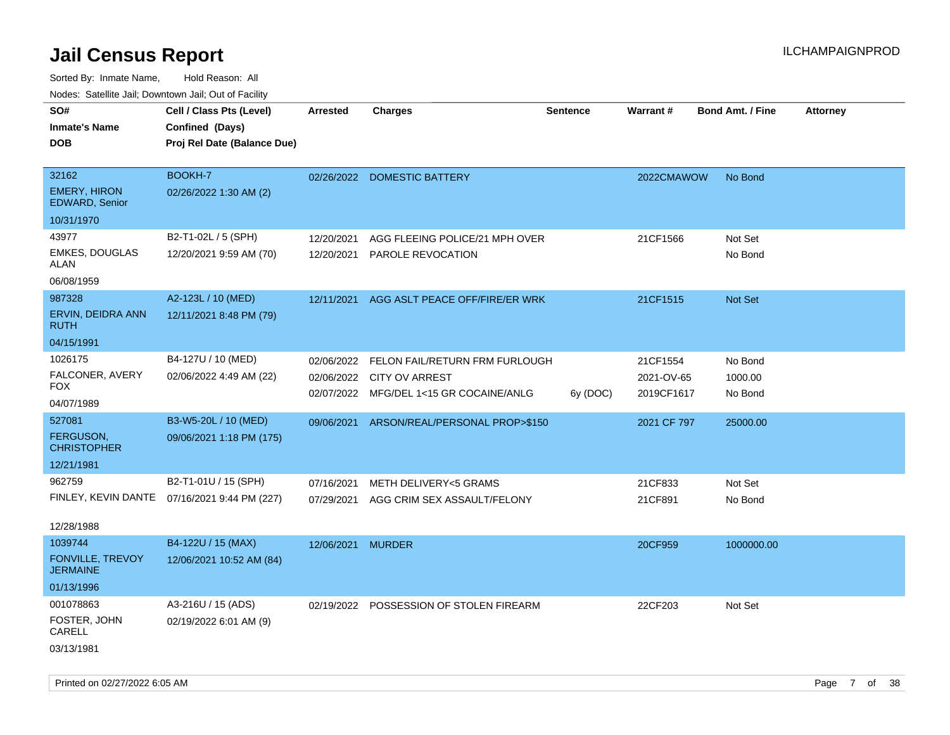| rouce. Calcinic Jan, Downtown Jan, Out or Facility |                                              |                 |                                         |                 |             |                         |                 |
|----------------------------------------------------|----------------------------------------------|-----------------|-----------------------------------------|-----------------|-------------|-------------------------|-----------------|
| SO#                                                | Cell / Class Pts (Level)                     | <b>Arrested</b> | <b>Charges</b>                          | <b>Sentence</b> | Warrant#    | <b>Bond Amt. / Fine</b> | <b>Attorney</b> |
| <b>Inmate's Name</b>                               | Confined (Days)                              |                 |                                         |                 |             |                         |                 |
| <b>DOB</b>                                         | Proj Rel Date (Balance Due)                  |                 |                                         |                 |             |                         |                 |
|                                                    |                                              |                 |                                         |                 |             |                         |                 |
| 32162                                              | BOOKH-7                                      |                 | 02/26/2022 DOMESTIC BATTERY             |                 | 2022CMAWOW  | No Bond                 |                 |
| <b>EMERY, HIRON</b><br>EDWARD, Senior              | 02/26/2022 1:30 AM (2)                       |                 |                                         |                 |             |                         |                 |
| 10/31/1970                                         |                                              |                 |                                         |                 |             |                         |                 |
| 43977                                              | B2-T1-02L / 5 (SPH)                          | 12/20/2021      | AGG FLEEING POLICE/21 MPH OVER          |                 | 21CF1566    | Not Set                 |                 |
| <b>EMKES, DOUGLAS</b><br>ALAN                      | 12/20/2021 9:59 AM (70)                      | 12/20/2021      | <b>PAROLE REVOCATION</b>                |                 |             | No Bond                 |                 |
| 06/08/1959                                         |                                              |                 |                                         |                 |             |                         |                 |
| 987328                                             | A2-123L / 10 (MED)                           | 12/11/2021      | AGG ASLT PEACE OFF/FIRE/ER WRK          |                 | 21CF1515    | <b>Not Set</b>          |                 |
| ERVIN, DEIDRA ANN<br><b>RUTH</b>                   | 12/11/2021 8:48 PM (79)                      |                 |                                         |                 |             |                         |                 |
| 04/15/1991                                         |                                              |                 |                                         |                 |             |                         |                 |
| 1026175                                            | B4-127U / 10 (MED)                           | 02/06/2022      | FELON FAIL/RETURN FRM FURLOUGH          |                 | 21CF1554    | No Bond                 |                 |
| FALCONER, AVERY                                    | 02/06/2022 4:49 AM (22)                      | 02/06/2022      | CITY OV ARREST                          |                 | 2021-OV-65  | 1000.00                 |                 |
| FOX                                                |                                              | 02/07/2022      | MFG/DEL 1<15 GR COCAINE/ANLG            | 6y (DOC)        | 2019CF1617  | No Bond                 |                 |
| 04/07/1989                                         |                                              |                 |                                         |                 |             |                         |                 |
| 527081                                             | B3-W5-20L / 10 (MED)                         | 09/06/2021      | ARSON/REAL/PERSONAL PROP>\$150          |                 | 2021 CF 797 | 25000.00                |                 |
| <b>FERGUSON,</b><br><b>CHRISTOPHER</b>             | 09/06/2021 1:18 PM (175)                     |                 |                                         |                 |             |                         |                 |
| 12/21/1981                                         |                                              |                 |                                         |                 |             |                         |                 |
| 962759                                             | B2-T1-01U / 15 (SPH)                         | 07/16/2021      | METH DELIVERY<5 GRAMS                   |                 | 21CF833     | Not Set                 |                 |
|                                                    | FINLEY, KEVIN DANTE 07/16/2021 9:44 PM (227) | 07/29/2021      | AGG CRIM SEX ASSAULT/FELONY             |                 | 21CF891     | No Bond                 |                 |
| 12/28/1988                                         |                                              |                 |                                         |                 |             |                         |                 |
| 1039744                                            | B4-122U / 15 (MAX)                           | 12/06/2021      | <b>MURDER</b>                           |                 | 20CF959     | 1000000.00              |                 |
| FONVILLE, TREVOY<br><b>JERMAINE</b>                | 12/06/2021 10:52 AM (84)                     |                 |                                         |                 |             |                         |                 |
| 01/13/1996                                         |                                              |                 |                                         |                 |             |                         |                 |
| 001078863                                          | A3-216U / 15 (ADS)                           |                 | 02/19/2022 POSSESSION OF STOLEN FIREARM |                 | 22CF203     | Not Set                 |                 |
| FOSTER, JOHN<br>CARELL                             | 02/19/2022 6:01 AM (9)                       |                 |                                         |                 |             |                         |                 |
| 03/13/1981                                         |                                              |                 |                                         |                 |             |                         |                 |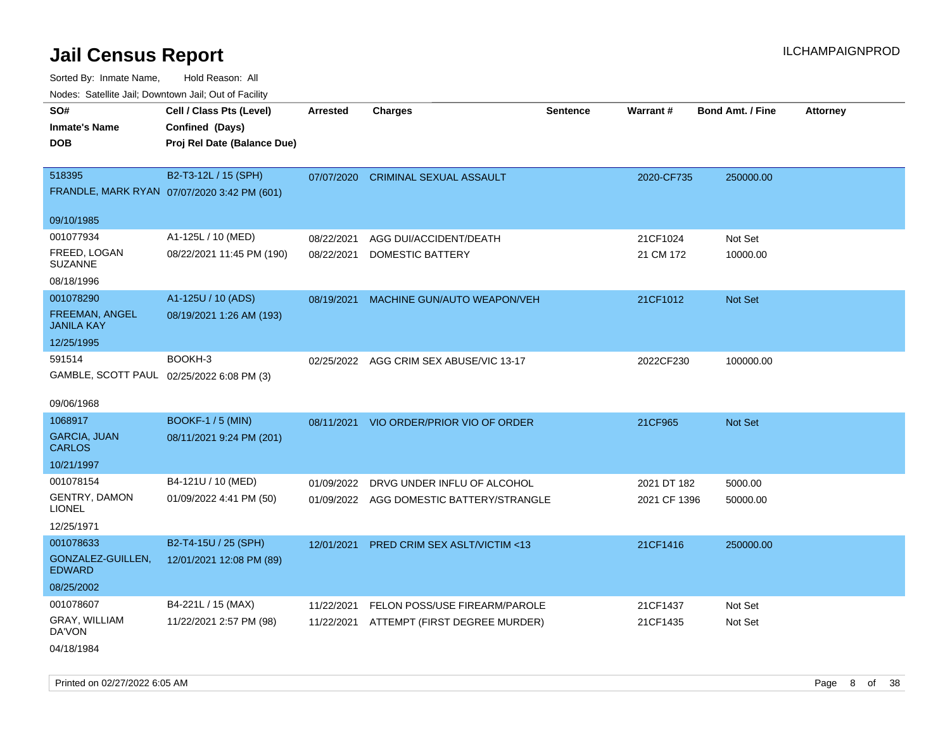Sorted By: Inmate Name, Hold Reason: All

| Nodes: Satellite Jail; Downtown Jail; Out of Facility |                                             |                 |                                          |                 |              |                  |          |
|-------------------------------------------------------|---------------------------------------------|-----------------|------------------------------------------|-----------------|--------------|------------------|----------|
| SO#                                                   | Cell / Class Pts (Level)                    | <b>Arrested</b> | <b>Charges</b>                           | <b>Sentence</b> | Warrant#     | Bond Amt. / Fine | Attorney |
| <b>Inmate's Name</b>                                  | Confined (Days)                             |                 |                                          |                 |              |                  |          |
| <b>DOB</b>                                            | Proj Rel Date (Balance Due)                 |                 |                                          |                 |              |                  |          |
|                                                       |                                             |                 |                                          |                 |              |                  |          |
| 518395                                                | B2-T3-12L / 15 (SPH)                        | 07/07/2020      | <b>CRIMINAL SEXUAL ASSAULT</b>           |                 | 2020-CF735   | 250000.00        |          |
|                                                       | FRANDLE, MARK RYAN 07/07/2020 3:42 PM (601) |                 |                                          |                 |              |                  |          |
| 09/10/1985                                            |                                             |                 |                                          |                 |              |                  |          |
| 001077934                                             | A1-125L / 10 (MED)                          | 08/22/2021      | AGG DUI/ACCIDENT/DEATH                   |                 | 21CF1024     | Not Set          |          |
| FREED, LOGAN                                          | 08/22/2021 11:45 PM (190)                   | 08/22/2021      | DOMESTIC BATTERY                         |                 | 21 CM 172    | 10000.00         |          |
| <b>SUZANNE</b>                                        |                                             |                 |                                          |                 |              |                  |          |
| 08/18/1996                                            |                                             |                 |                                          |                 |              |                  |          |
| 001078290                                             | A1-125U / 10 (ADS)                          | 08/19/2021      | MACHINE GUN/AUTO WEAPON/VEH              |                 | 21CF1012     | Not Set          |          |
| FREEMAN, ANGEL                                        | 08/19/2021 1:26 AM (193)                    |                 |                                          |                 |              |                  |          |
| <b>JANILA KAY</b>                                     |                                             |                 |                                          |                 |              |                  |          |
| 12/25/1995                                            |                                             |                 |                                          |                 |              |                  |          |
| 591514                                                | BOOKH-3                                     |                 | 02/25/2022 AGG CRIM SEX ABUSE/VIC 13-17  |                 | 2022CF230    | 100000.00        |          |
|                                                       | GAMBLE, SCOTT PAUL 02/25/2022 6:08 PM (3)   |                 |                                          |                 |              |                  |          |
| 09/06/1968                                            |                                             |                 |                                          |                 |              |                  |          |
| 1068917                                               | <b>BOOKF-1 / 5 (MIN)</b>                    |                 | 08/11/2021 VIO ORDER/PRIOR VIO OF ORDER  |                 | 21CF965      | Not Set          |          |
| <b>GARCIA, JUAN</b>                                   | 08/11/2021 9:24 PM (201)                    |                 |                                          |                 |              |                  |          |
| <b>CARLOS</b>                                         |                                             |                 |                                          |                 |              |                  |          |
| 10/21/1997                                            |                                             |                 |                                          |                 |              |                  |          |
| 001078154                                             | B4-121U / 10 (MED)                          | 01/09/2022      | DRVG UNDER INFLU OF ALCOHOL              |                 | 2021 DT 182  | 5000.00          |          |
| <b>GENTRY, DAMON</b><br><b>LIONEL</b>                 | 01/09/2022 4:41 PM (50)                     |                 | 01/09/2022 AGG DOMESTIC BATTERY/STRANGLE |                 | 2021 CF 1396 | 50000.00         |          |
| 12/25/1971                                            |                                             |                 |                                          |                 |              |                  |          |
| 001078633                                             | B2-T4-15U / 25 (SPH)                        | 12/01/2021      | <b>PRED CRIM SEX ASLT/VICTIM &lt;13</b>  |                 | 21CF1416     |                  |          |
| GONZALEZ-GUILLEN,                                     | 12/01/2021 12:08 PM (89)                    |                 |                                          |                 |              | 250000.00        |          |
| <b>EDWARD</b>                                         |                                             |                 |                                          |                 |              |                  |          |
| 08/25/2002                                            |                                             |                 |                                          |                 |              |                  |          |
| 001078607                                             | B4-221L / 15 (MAX)                          | 11/22/2021      | FELON POSS/USE FIREARM/PAROLE            |                 | 21CF1437     | Not Set          |          |
| GRAY, WILLIAM                                         | 11/22/2021 2:57 PM (98)                     | 11/22/2021      | ATTEMPT (FIRST DEGREE MURDER)            |                 | 21CF1435     | Not Set          |          |
| DA'VON                                                |                                             |                 |                                          |                 |              |                  |          |
| 04/18/1984                                            |                                             |                 |                                          |                 |              |                  |          |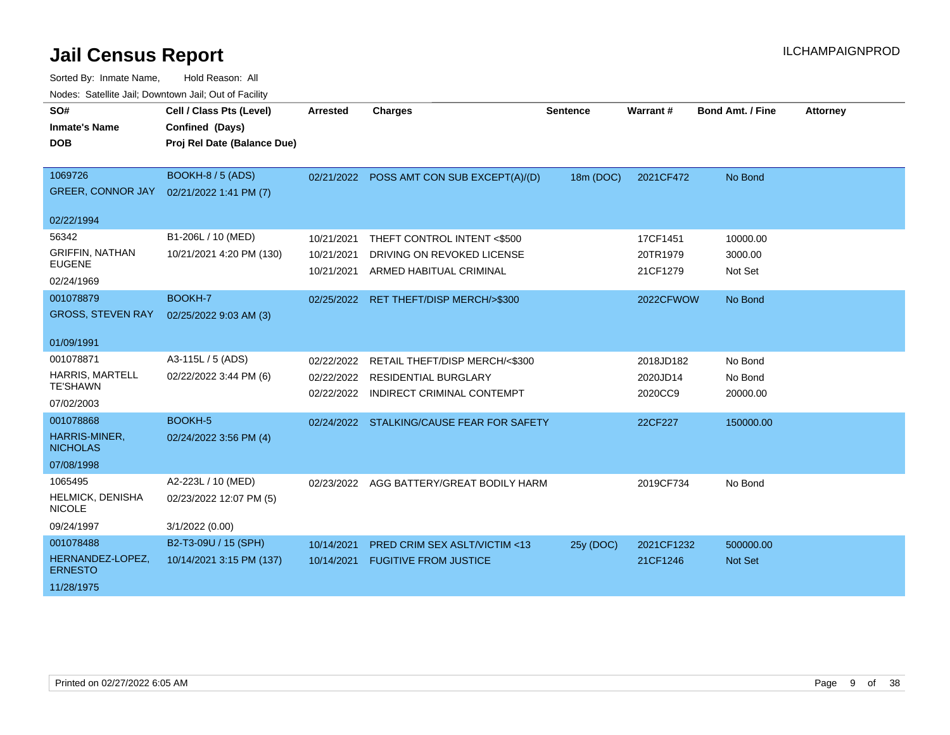| SO#<br><b>Inmate's Name</b><br><b>DOB</b>                      | Cell / Class Pts (Level)<br>Confined (Days)<br>Proj Rel Date (Balance Due) | <b>Arrested</b>                        | <b>Charges</b>                                                                              | <b>Sentence</b> | Warrant#                         | <b>Bond Amt. / Fine</b>        | <b>Attorney</b> |
|----------------------------------------------------------------|----------------------------------------------------------------------------|----------------------------------------|---------------------------------------------------------------------------------------------|-----------------|----------------------------------|--------------------------------|-----------------|
| 1069726<br><b>GREER, CONNOR JAY</b>                            | <b>BOOKH-8 / 5 (ADS)</b><br>02/21/2022 1:41 PM (7)                         |                                        | 02/21/2022 POSS AMT CON SUB EXCEPT(A)/(D)                                                   | 18m (DOC)       | 2021CF472                        | No Bond                        |                 |
| 02/22/1994                                                     |                                                                            |                                        |                                                                                             |                 |                                  |                                |                 |
| 56342<br><b>GRIFFIN, NATHAN</b><br><b>EUGENE</b><br>02/24/1969 | B1-206L / 10 (MED)<br>10/21/2021 4:20 PM (130)                             | 10/21/2021<br>10/21/2021<br>10/21/2021 | THEFT CONTROL INTENT <\$500<br>DRIVING ON REVOKED LICENSE<br>ARMED HABITUAL CRIMINAL        |                 | 17CF1451<br>20TR1979<br>21CF1279 | 10000.00<br>3000.00<br>Not Set |                 |
| 001078879<br><b>GROSS, STEVEN RAY</b>                          | <b>BOOKH-7</b><br>02/25/2022 9:03 AM (3)                                   | 02/25/2022                             | RET THEFT/DISP MERCH/>\$300                                                                 |                 | 2022CFWOW                        | No Bond                        |                 |
| 01/09/1991                                                     |                                                                            |                                        |                                                                                             |                 |                                  |                                |                 |
| 001078871<br>HARRIS, MARTELL<br><b>TE'SHAWN</b><br>07/02/2003  | A3-115L / 5 (ADS)<br>02/22/2022 3:44 PM (6)                                | 02/22/2022<br>02/22/2022<br>02/22/2022 | RETAIL THEFT/DISP MERCH/<\$300<br><b>RESIDENTIAL BURGLARY</b><br>INDIRECT CRIMINAL CONTEMPT |                 | 2018JD182<br>2020JD14<br>2020CC9 | No Bond<br>No Bond<br>20000.00 |                 |
| 001078868<br>HARRIS-MINER,<br><b>NICHOLAS</b><br>07/08/1998    | BOOKH-5<br>02/24/2022 3:56 PM (4)                                          |                                        | 02/24/2022 STALKING/CAUSE FEAR FOR SAFETY                                                   |                 | 22CF227                          | 150000.00                      |                 |
| 1065495<br><b>HELMICK, DENISHA</b><br><b>NICOLE</b>            | A2-223L / 10 (MED)<br>02/23/2022 12:07 PM (5)                              | 02/23/2022                             | AGG BATTERY/GREAT BODILY HARM                                                               |                 | 2019CF734                        | No Bond                        |                 |
| 09/24/1997                                                     | 3/1/2022 (0.00)                                                            |                                        |                                                                                             |                 |                                  |                                |                 |
| 001078488<br>HERNANDEZ-LOPEZ.<br><b>ERNESTO</b><br>11/28/1975  | B2-T3-09U / 15 (SPH)<br>10/14/2021 3:15 PM (137)                           | 10/14/2021<br>10/14/2021               | <b>PRED CRIM SEX ASLT/VICTIM &lt;13</b><br><b>FUGITIVE FROM JUSTICE</b>                     | 25y (DOC)       | 2021CF1232<br>21CF1246           | 500000.00<br><b>Not Set</b>    |                 |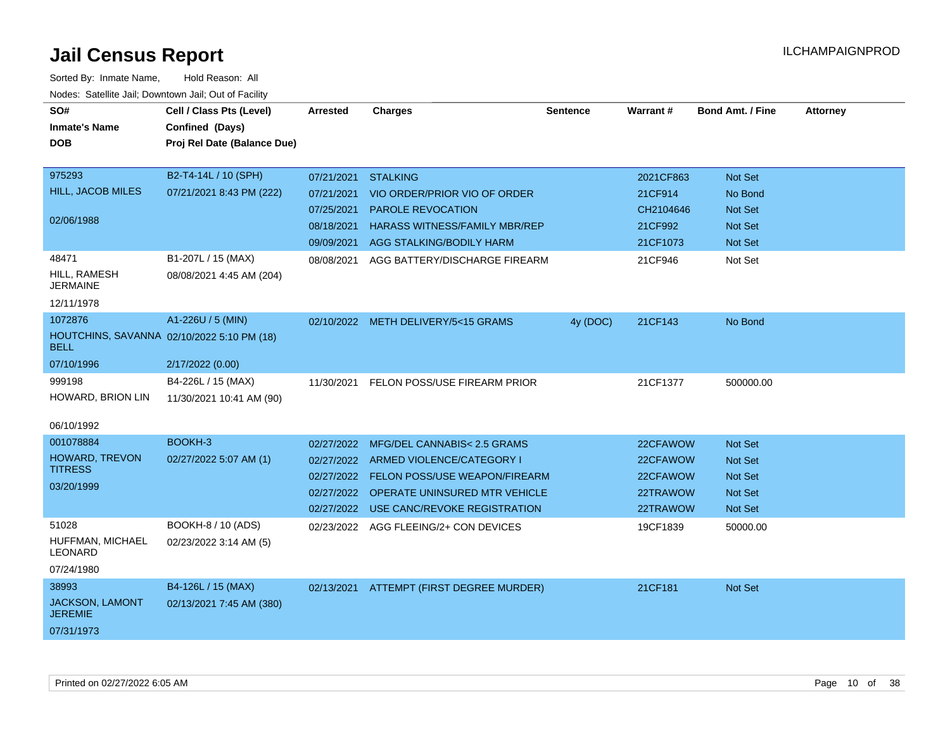| rouce. Calcillic Jali, Downtown Jali, Out of Facility     |                             |                 |                                             |                 |           |                         |                 |
|-----------------------------------------------------------|-----------------------------|-----------------|---------------------------------------------|-----------------|-----------|-------------------------|-----------------|
| SO#                                                       | Cell / Class Pts (Level)    | <b>Arrested</b> | <b>Charges</b>                              | <b>Sentence</b> | Warrant#  | <b>Bond Amt. / Fine</b> | <b>Attorney</b> |
| <b>Inmate's Name</b>                                      | Confined (Days)             |                 |                                             |                 |           |                         |                 |
| <b>DOB</b>                                                | Proj Rel Date (Balance Due) |                 |                                             |                 |           |                         |                 |
|                                                           |                             |                 |                                             |                 |           |                         |                 |
| 975293                                                    | B2-T4-14L / 10 (SPH)        | 07/21/2021      | <b>STALKING</b>                             |                 | 2021CF863 | Not Set                 |                 |
| HILL, JACOB MILES                                         | 07/21/2021 8:43 PM (222)    | 07/21/2021      | VIO ORDER/PRIOR VIO OF ORDER                |                 | 21CF914   | No Bond                 |                 |
|                                                           |                             | 07/25/2021      | <b>PAROLE REVOCATION</b>                    |                 | CH2104646 | <b>Not Set</b>          |                 |
| 02/06/1988                                                |                             | 08/18/2021      | <b>HARASS WITNESS/FAMILY MBR/REP</b>        |                 | 21CF992   | <b>Not Set</b>          |                 |
|                                                           |                             | 09/09/2021      | AGG STALKING/BODILY HARM                    |                 | 21CF1073  | <b>Not Set</b>          |                 |
| 48471                                                     | B1-207L / 15 (MAX)          | 08/08/2021      | AGG BATTERY/DISCHARGE FIREARM               |                 | 21CF946   | Not Set                 |                 |
| HILL, RAMESH<br><b>JERMAINE</b>                           | 08/08/2021 4:45 AM (204)    |                 |                                             |                 |           |                         |                 |
| 12/11/1978                                                |                             |                 |                                             |                 |           |                         |                 |
| 1072876                                                   | A1-226U / 5 (MIN)           |                 | 02/10/2022 METH DELIVERY/5<15 GRAMS         | 4y (DOC)        | 21CF143   | No Bond                 |                 |
| HOUTCHINS, SAVANNA 02/10/2022 5:10 PM (18)<br><b>BELL</b> |                             |                 |                                             |                 |           |                         |                 |
| 07/10/1996                                                | 2/17/2022 (0.00)            |                 |                                             |                 |           |                         |                 |
| 999198                                                    | B4-226L / 15 (MAX)          |                 | 11/30/2021 FELON POSS/USE FIREARM PRIOR     |                 | 21CF1377  | 500000.00               |                 |
| HOWARD, BRION LIN                                         | 11/30/2021 10:41 AM (90)    |                 |                                             |                 |           |                         |                 |
|                                                           |                             |                 |                                             |                 |           |                         |                 |
| 06/10/1992                                                |                             |                 |                                             |                 |           |                         |                 |
| 001078884                                                 | BOOKH-3                     | 02/27/2022      | MFG/DEL CANNABIS< 2.5 GRAMS                 |                 | 22CFAWOW  | <b>Not Set</b>          |                 |
| HOWARD, TREVON<br><b>TITRESS</b>                          | 02/27/2022 5:07 AM (1)      |                 | 02/27/2022 ARMED VIOLENCE/CATEGORY I        |                 | 22CFAWOW  | <b>Not Set</b>          |                 |
|                                                           |                             |                 | 02/27/2022    FELON POSS/USE WEAPON/FIREARM |                 | 22CFAWOW  | Not Set                 |                 |
| 03/20/1999                                                |                             |                 | 02/27/2022 OPERATE UNINSURED MTR VEHICLE    |                 | 22TRAWOW  | <b>Not Set</b>          |                 |
|                                                           |                             |                 | 02/27/2022 USE CANC/REVOKE REGISTRATION     |                 | 22TRAWOW  | Not Set                 |                 |
| 51028                                                     | BOOKH-8 / 10 (ADS)          |                 | 02/23/2022 AGG FLEEING/2+ CON DEVICES       |                 | 19CF1839  | 50000.00                |                 |
| HUFFMAN, MICHAEL<br>LEONARD                               | 02/23/2022 3:14 AM (5)      |                 |                                             |                 |           |                         |                 |
| 07/24/1980                                                |                             |                 |                                             |                 |           |                         |                 |
| 38993                                                     | B4-126L / 15 (MAX)          |                 | 02/13/2021 ATTEMPT (FIRST DEGREE MURDER)    |                 | 21CF181   | Not Set                 |                 |
| JACKSON, LAMONT<br><b>JEREMIE</b>                         | 02/13/2021 7:45 AM (380)    |                 |                                             |                 |           |                         |                 |
| 07/31/1973                                                |                             |                 |                                             |                 |           |                         |                 |
|                                                           |                             |                 |                                             |                 |           |                         |                 |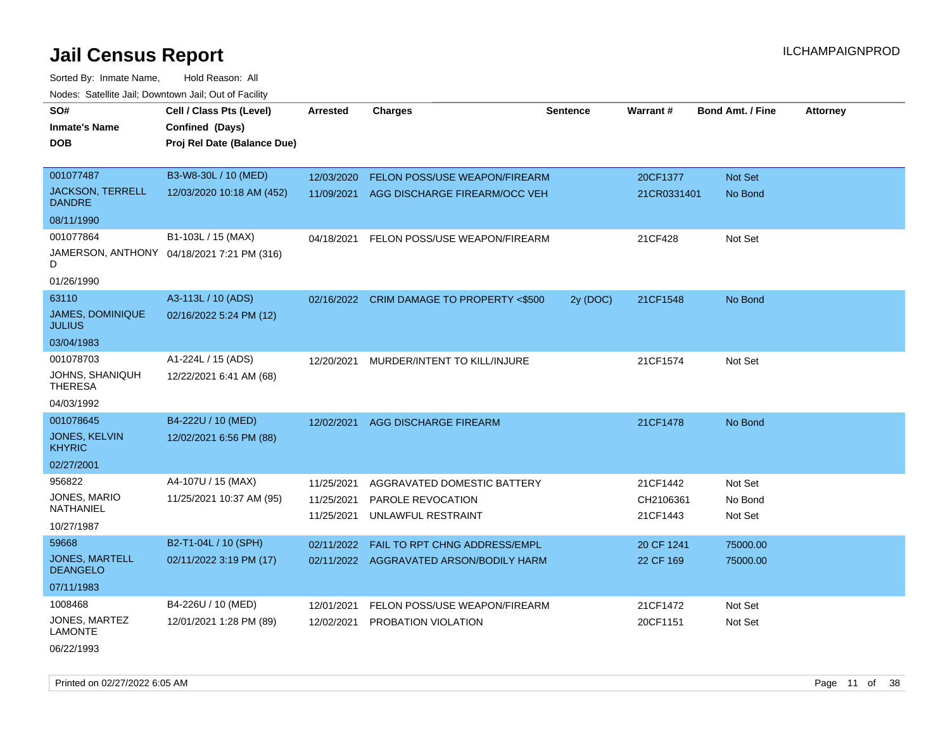Sorted By: Inmate Name, Hold Reason: All Nodes: Satellite Jail; Downtown Jail; Out of Facility

| SO#                                      | Cell / Class Pts (Level)                   | <b>Arrested</b> | <b>Charges</b>                            | <b>Sentence</b> | Warrant#    | <b>Bond Amt. / Fine</b> | <b>Attorney</b> |
|------------------------------------------|--------------------------------------------|-----------------|-------------------------------------------|-----------------|-------------|-------------------------|-----------------|
| <b>Inmate's Name</b>                     | Confined (Days)                            |                 |                                           |                 |             |                         |                 |
| DOB                                      | Proj Rel Date (Balance Due)                |                 |                                           |                 |             |                         |                 |
|                                          |                                            |                 |                                           |                 |             |                         |                 |
| 001077487                                | B3-W8-30L / 10 (MED)                       | 12/03/2020      | FELON POSS/USE WEAPON/FIREARM             |                 | 20CF1377    | Not Set                 |                 |
| <b>JACKSON, TERRELL</b><br><b>DANDRE</b> | 12/03/2020 10:18 AM (452)                  | 11/09/2021      | AGG DISCHARGE FIREARM/OCC VEH             |                 | 21CR0331401 | No Bond                 |                 |
| 08/11/1990                               |                                            |                 |                                           |                 |             |                         |                 |
| 001077864                                | B1-103L / 15 (MAX)                         | 04/18/2021      | FELON POSS/USE WEAPON/FIREARM             |                 | 21CF428     | Not Set                 |                 |
| D                                        | JAMERSON, ANTHONY 04/18/2021 7:21 PM (316) |                 |                                           |                 |             |                         |                 |
| 01/26/1990                               |                                            |                 |                                           |                 |             |                         |                 |
| 63110                                    | A3-113L / 10 (ADS)                         |                 | 02/16/2022 CRIM DAMAGE TO PROPERTY <\$500 | 2y (DOC)        | 21CF1548    | No Bond                 |                 |
| JAMES, DOMINIQUE<br><b>JULIUS</b>        | 02/16/2022 5:24 PM (12)                    |                 |                                           |                 |             |                         |                 |
| 03/04/1983                               |                                            |                 |                                           |                 |             |                         |                 |
| 001078703                                | A1-224L / 15 (ADS)                         | 12/20/2021      | MURDER/INTENT TO KILL/INJURE              |                 | 21CF1574    | Not Set                 |                 |
| JOHNS, SHANIQUH<br><b>THERESA</b>        | 12/22/2021 6:41 AM (68)                    |                 |                                           |                 |             |                         |                 |
| 04/03/1992                               |                                            |                 |                                           |                 |             |                         |                 |
| 001078645                                | B4-222U / 10 (MED)                         | 12/02/2021      | AGG DISCHARGE FIREARM                     |                 | 21CF1478    | No Bond                 |                 |
| JONES, KELVIN<br><b>KHYRIC</b>           | 12/02/2021 6:56 PM (88)                    |                 |                                           |                 |             |                         |                 |
| 02/27/2001                               |                                            |                 |                                           |                 |             |                         |                 |
| 956822                                   | A4-107U / 15 (MAX)                         | 11/25/2021      | AGGRAVATED DOMESTIC BATTERY               |                 | 21CF1442    | Not Set                 |                 |
| JONES, MARIO<br>NATHANIEL                | 11/25/2021 10:37 AM (95)                   | 11/25/2021      | PAROLE REVOCATION                         |                 | CH2106361   | No Bond                 |                 |
| 10/27/1987                               |                                            | 11/25/2021      | UNLAWFUL RESTRAINT                        |                 | 21CF1443    | Not Set                 |                 |
| 59668                                    | B2-T1-04L / 10 (SPH)                       | 02/11/2022      | FAIL TO RPT CHNG ADDRESS/EMPL             |                 | 20 CF 1241  | 75000.00                |                 |
| <b>JONES, MARTELL</b><br><b>DEANGELO</b> | 02/11/2022 3:19 PM (17)                    | 02/11/2022      | AGGRAVATED ARSON/BODILY HARM              |                 | 22 CF 169   | 75000.00                |                 |
| 07/11/1983                               |                                            |                 |                                           |                 |             |                         |                 |
| 1008468                                  | B4-226U / 10 (MED)                         | 12/01/2021      | FELON POSS/USE WEAPON/FIREARM             |                 | 21CF1472    | Not Set                 |                 |
| JONES, MARTEZ<br><b>LAMONTE</b>          | 12/01/2021 1:28 PM (89)                    | 12/02/2021      | PROBATION VIOLATION                       |                 | 20CF1151    | Not Set                 |                 |

06/22/1993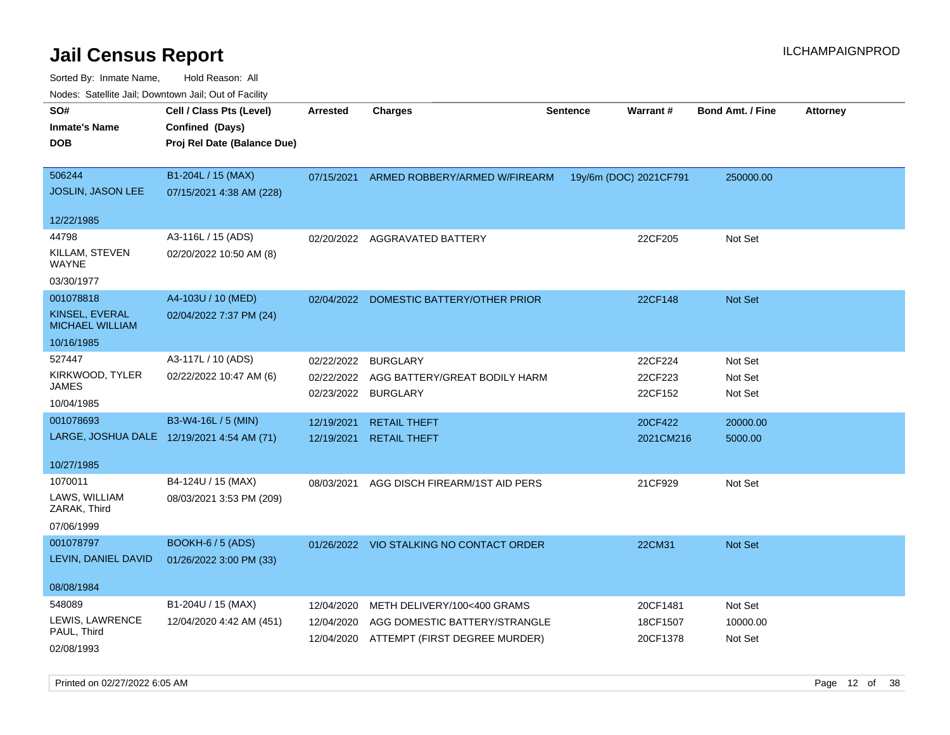| Noues. Salemie Jan, Downtown Jan, Out of Facility |                                            |            |                                          |                 |                        |                         |                 |
|---------------------------------------------------|--------------------------------------------|------------|------------------------------------------|-----------------|------------------------|-------------------------|-----------------|
| SO#                                               | Cell / Class Pts (Level)                   | Arrested   | <b>Charges</b>                           | <b>Sentence</b> | Warrant#               | <b>Bond Amt. / Fine</b> | <b>Attorney</b> |
| <b>Inmate's Name</b>                              | Confined (Days)                            |            |                                          |                 |                        |                         |                 |
| DOB                                               | Proj Rel Date (Balance Due)                |            |                                          |                 |                        |                         |                 |
| 506244                                            | B1-204L / 15 (MAX)                         |            |                                          |                 |                        |                         |                 |
| <b>JOSLIN, JASON LEE</b>                          |                                            | 07/15/2021 | ARMED ROBBERY/ARMED W/FIREARM            |                 | 19y/6m (DOC) 2021CF791 | 250000.00               |                 |
|                                                   | 07/15/2021 4:38 AM (228)                   |            |                                          |                 |                        |                         |                 |
| 12/22/1985                                        |                                            |            |                                          |                 |                        |                         |                 |
| 44798                                             | A3-116L / 15 (ADS)                         |            | 02/20/2022 AGGRAVATED BATTERY            |                 | 22CF205                | Not Set                 |                 |
| KILLAM, STEVEN                                    | 02/20/2022 10:50 AM (8)                    |            |                                          |                 |                        |                         |                 |
| WAYNE                                             |                                            |            |                                          |                 |                        |                         |                 |
| 03/30/1977                                        |                                            |            |                                          |                 |                        |                         |                 |
| 001078818                                         | A4-103U / 10 (MED)                         | 02/04/2022 | DOMESTIC BATTERY/OTHER PRIOR             |                 | 22CF148                | Not Set                 |                 |
| KINSEL, EVERAL<br><b>MICHAEL WILLIAM</b>          | 02/04/2022 7:37 PM (24)                    |            |                                          |                 |                        |                         |                 |
| 10/16/1985                                        |                                            |            |                                          |                 |                        |                         |                 |
| 527447                                            | A3-117L / 10 (ADS)                         | 02/22/2022 | <b>BURGLARY</b>                          |                 | 22CF224                | Not Set                 |                 |
| KIRKWOOD, TYLER                                   | 02/22/2022 10:47 AM (6)                    | 02/22/2022 | AGG BATTERY/GREAT BODILY HARM            |                 | 22CF223                | Not Set                 |                 |
| JAMES                                             |                                            |            | 02/23/2022 BURGLARY                      |                 | 22CF152                | Not Set                 |                 |
| 10/04/1985                                        |                                            |            |                                          |                 |                        |                         |                 |
| 001078693                                         | B3-W4-16L / 5 (MIN)                        | 12/19/2021 | <b>RETAIL THEFT</b>                      |                 | 20CF422                | 20000.00                |                 |
|                                                   | LARGE, JOSHUA DALE 12/19/2021 4:54 AM (71) | 12/19/2021 | <b>RETAIL THEFT</b>                      |                 | 2021CM216              | 5000.00                 |                 |
| 10/27/1985                                        |                                            |            |                                          |                 |                        |                         |                 |
| 1070011                                           | B4-124U / 15 (MAX)                         | 08/03/2021 | AGG DISCH FIREARM/1ST AID PERS           |                 | 21CF929                | Not Set                 |                 |
| LAWS, WILLIAM<br>ZARAK, Third                     | 08/03/2021 3:53 PM (209)                   |            |                                          |                 |                        |                         |                 |
| 07/06/1999                                        |                                            |            |                                          |                 |                        |                         |                 |
| 001078797                                         | BOOKH-6 / 5 (ADS)                          |            | 01/26/2022 VIO STALKING NO CONTACT ORDER |                 | 22CM31                 | <b>Not Set</b>          |                 |
| LEVIN, DANIEL DAVID                               | 01/26/2022 3:00 PM (33)                    |            |                                          |                 |                        |                         |                 |
|                                                   |                                            |            |                                          |                 |                        |                         |                 |
| 08/08/1984                                        |                                            |            |                                          |                 |                        |                         |                 |
| 548089                                            | B1-204U / 15 (MAX)                         | 12/04/2020 | METH DELIVERY/100<400 GRAMS              |                 | 20CF1481               | Not Set                 |                 |
| LEWIS, LAWRENCE                                   | 12/04/2020 4:42 AM (451)                   | 12/04/2020 | AGG DOMESTIC BATTERY/STRANGLE            |                 | 18CF1507               | 10000.00                |                 |
| PAUL, Third                                       |                                            | 12/04/2020 | ATTEMPT (FIRST DEGREE MURDER)            |                 | 20CF1378               | Not Set                 |                 |
| 02/08/1993                                        |                                            |            |                                          |                 |                        |                         |                 |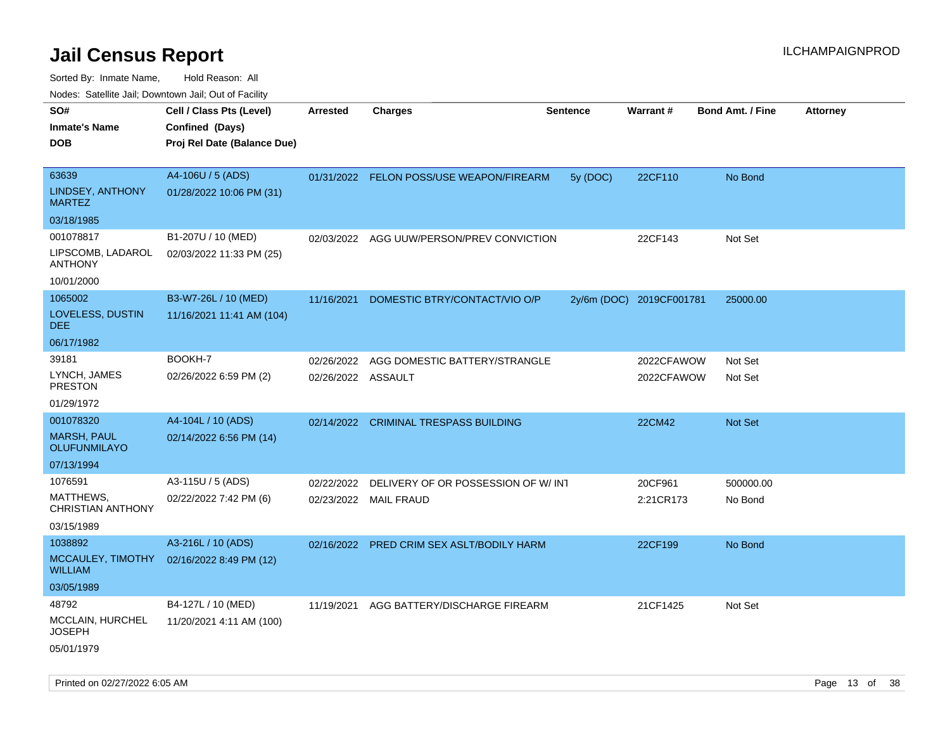| ivouss. Saleling Jali, Downtown Jali, Out of Facility |                             |                    |                                           |                 |                          |                         |                 |
|-------------------------------------------------------|-----------------------------|--------------------|-------------------------------------------|-----------------|--------------------------|-------------------------|-----------------|
| SO#                                                   | Cell / Class Pts (Level)    | <b>Arrested</b>    | <b>Charges</b>                            | <b>Sentence</b> | Warrant#                 | <b>Bond Amt. / Fine</b> | <b>Attorney</b> |
| <b>Inmate's Name</b>                                  | Confined (Days)             |                    |                                           |                 |                          |                         |                 |
| <b>DOB</b>                                            | Proj Rel Date (Balance Due) |                    |                                           |                 |                          |                         |                 |
| 63639                                                 | A4-106U / 5 (ADS)           |                    |                                           |                 |                          |                         |                 |
| LINDSEY, ANTHONY                                      |                             |                    | 01/31/2022 FELON POSS/USE WEAPON/FIREARM  | 5y (DOC)        | 22CF110                  | No Bond                 |                 |
| <b>MARTEZ</b>                                         | 01/28/2022 10:06 PM (31)    |                    |                                           |                 |                          |                         |                 |
| 03/18/1985                                            |                             |                    |                                           |                 |                          |                         |                 |
| 001078817                                             | B1-207U / 10 (MED)          | 02/03/2022         | AGG UUW/PERSON/PREV CONVICTION            |                 | 22CF143                  | Not Set                 |                 |
| LIPSCOMB, LADAROL<br><b>ANTHONY</b>                   | 02/03/2022 11:33 PM (25)    |                    |                                           |                 |                          |                         |                 |
| 10/01/2000                                            |                             |                    |                                           |                 |                          |                         |                 |
| 1065002                                               | B3-W7-26L / 10 (MED)        | 11/16/2021         | DOMESTIC BTRY/CONTACT/VIO O/P             |                 | 2y/6m (DOC) 2019CF001781 | 25000.00                |                 |
| LOVELESS, DUSTIN<br>DEE.                              | 11/16/2021 11:41 AM (104)   |                    |                                           |                 |                          |                         |                 |
| 06/17/1982                                            |                             |                    |                                           |                 |                          |                         |                 |
| 39181                                                 | BOOKH-7                     | 02/26/2022         | AGG DOMESTIC BATTERY/STRANGLE             |                 | 2022CFAWOW               | Not Set                 |                 |
| LYNCH, JAMES<br><b>PRESTON</b>                        | 02/26/2022 6:59 PM (2)      | 02/26/2022 ASSAULT |                                           |                 | 2022CFAWOW               | Not Set                 |                 |
| 01/29/1972                                            |                             |                    |                                           |                 |                          |                         |                 |
| 001078320                                             | A4-104L / 10 (ADS)          |                    | 02/14/2022 CRIMINAL TRESPASS BUILDING     |                 | 22CM42                   | Not Set                 |                 |
| <b>MARSH, PAUL</b><br><b>OLUFUNMILAYO</b>             | 02/14/2022 6:56 PM (14)     |                    |                                           |                 |                          |                         |                 |
| 07/13/1994                                            |                             |                    |                                           |                 |                          |                         |                 |
| 1076591                                               | A3-115U / 5 (ADS)           | 02/22/2022         | DELIVERY OF OR POSSESSION OF W/INT        |                 | 20CF961                  | 500000.00               |                 |
| MATTHEWS,<br>CHRISTIAN ANTHONY                        | 02/22/2022 7:42 PM (6)      |                    | 02/23/2022 MAIL FRAUD                     |                 | 2:21CR173                | No Bond                 |                 |
| 03/15/1989                                            |                             |                    |                                           |                 |                          |                         |                 |
| 1038892                                               | A3-216L / 10 (ADS)          |                    | 02/16/2022 PRED CRIM SEX ASLT/BODILY HARM |                 | 22CF199                  | No Bond                 |                 |
| MCCAULEY, TIMOTHY<br><b>WILLIAM</b>                   | 02/16/2022 8:49 PM (12)     |                    |                                           |                 |                          |                         |                 |
| 03/05/1989                                            |                             |                    |                                           |                 |                          |                         |                 |
| 48792                                                 | B4-127L / 10 (MED)          | 11/19/2021         | AGG BATTERY/DISCHARGE FIREARM             |                 | 21CF1425                 | Not Set                 |                 |
| MCCLAIN, HURCHEL<br>JOSEPH                            | 11/20/2021 4:11 AM (100)    |                    |                                           |                 |                          |                         |                 |
| 05/01/1979                                            |                             |                    |                                           |                 |                          |                         |                 |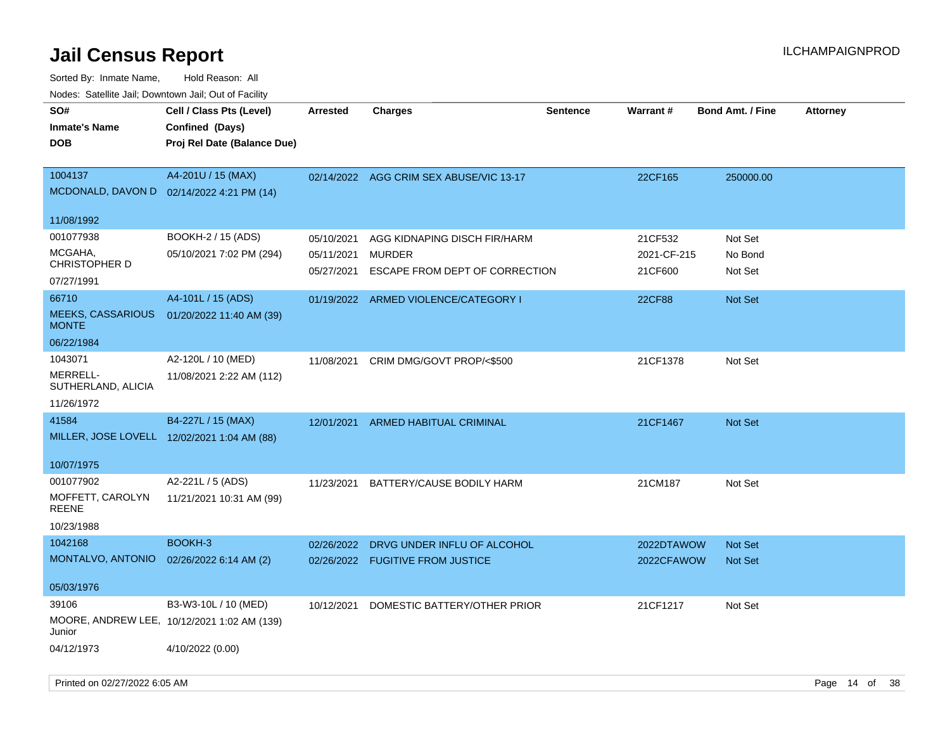| soupois catomic can, Dominomii can, Cat or Faomt<br>SO#<br><b>Inmate's Name</b><br><b>DOB</b> | Cell / Class Pts (Level)<br>Confined (Days)<br>Proj Rel Date (Balance Due) | <b>Arrested</b>                        | <b>Charges</b>                                                                  | <b>Sentence</b> | Warrant#                          | <b>Bond Amt. / Fine</b>       | <b>Attorney</b> |
|-----------------------------------------------------------------------------------------------|----------------------------------------------------------------------------|----------------------------------------|---------------------------------------------------------------------------------|-----------------|-----------------------------------|-------------------------------|-----------------|
| 1004137                                                                                       | A4-201U / 15 (MAX)<br>MCDONALD, DAVON D  02/14/2022 4:21 PM (14)           |                                        | 02/14/2022 AGG CRIM SEX ABUSE/VIC 13-17                                         |                 | 22CF165                           | 250000.00                     |                 |
| 11/08/1992                                                                                    |                                                                            |                                        |                                                                                 |                 |                                   |                               |                 |
| 001077938<br>MCGAHA,<br><b>CHRISTOPHER D</b>                                                  | BOOKH-2 / 15 (ADS)<br>05/10/2021 7:02 PM (294)                             | 05/10/2021<br>05/11/2021<br>05/27/2021 | AGG KIDNAPING DISCH FIR/HARM<br><b>MURDER</b><br>ESCAPE FROM DEPT OF CORRECTION |                 | 21CF532<br>2021-CF-215<br>21CF600 | Not Set<br>No Bond<br>Not Set |                 |
| 07/27/1991                                                                                    |                                                                            |                                        |                                                                                 |                 |                                   |                               |                 |
| 66710<br><b>MEEKS, CASSARIOUS</b><br><b>MONTE</b>                                             | A4-101L / 15 (ADS)<br>01/20/2022 11:40 AM (39)                             |                                        | 01/19/2022 ARMED VIOLENCE/CATEGORY I                                            |                 | <b>22CF88</b>                     | Not Set                       |                 |
| 06/22/1984                                                                                    |                                                                            |                                        |                                                                                 |                 |                                   |                               |                 |
| 1043071<br>MERRELL-<br>SUTHERLAND, ALICIA<br>11/26/1972                                       | A2-120L / 10 (MED)<br>11/08/2021 2:22 AM (112)                             |                                        | 11/08/2021 CRIM DMG/GOVT PROP/<\$500                                            |                 | 21CF1378                          | Not Set                       |                 |
| 41584                                                                                         | B4-227L / 15 (MAX)                                                         |                                        | 12/01/2021 ARMED HABITUAL CRIMINAL                                              |                 | 21CF1467                          | Not Set                       |                 |
|                                                                                               | MILLER, JOSE LOVELL 12/02/2021 1:04 AM (88)                                |                                        |                                                                                 |                 |                                   |                               |                 |
| 10/07/1975                                                                                    |                                                                            |                                        |                                                                                 |                 |                                   |                               |                 |
| 001077902<br>MOFFETT, CAROLYN<br><b>REENE</b><br>10/23/1988                                   | A2-221L / 5 (ADS)<br>11/21/2021 10:31 AM (99)                              | 11/23/2021                             | BATTERY/CAUSE BODILY HARM                                                       |                 | 21CM187                           | Not Set                       |                 |
| 1042168                                                                                       | BOOKH-3                                                                    | 02/26/2022                             | DRVG UNDER INFLU OF ALCOHOL                                                     |                 | 2022DTAWOW                        | <b>Not Set</b>                |                 |
| MONTALVO, ANTONIO                                                                             | 02/26/2022 6:14 AM (2)                                                     |                                        | 02/26/2022 FUGITIVE FROM JUSTICE                                                |                 | 2022CFAWOW                        | Not Set                       |                 |
| 05/03/1976                                                                                    |                                                                            |                                        |                                                                                 |                 |                                   |                               |                 |
| 39106<br>Junior                                                                               | B3-W3-10L / 10 (MED)<br>MOORE, ANDREW LEE, 10/12/2021 1:02 AM (139)        | 10/12/2021                             | DOMESTIC BATTERY/OTHER PRIOR                                                    |                 | 21CF1217                          | Not Set                       |                 |
| 04/12/1973                                                                                    | 4/10/2022 (0.00)                                                           |                                        |                                                                                 |                 |                                   |                               |                 |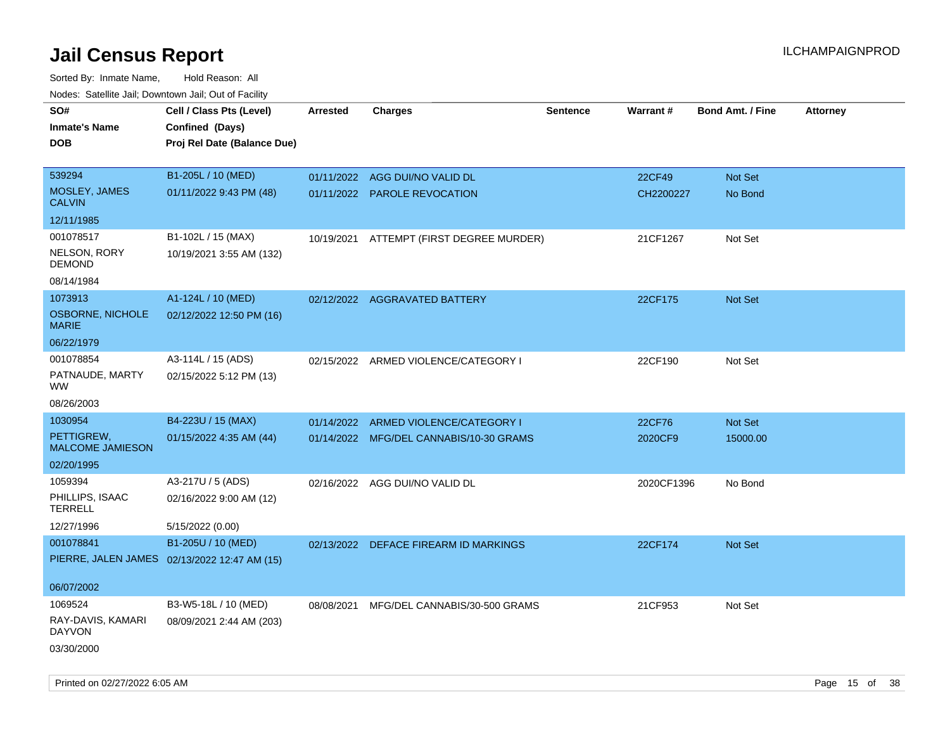| roaco. Catolino dall, Downtown dall, Out of Fability |                                              |                 |                                          |                 |            |                         |                 |
|------------------------------------------------------|----------------------------------------------|-----------------|------------------------------------------|-----------------|------------|-------------------------|-----------------|
| SO#                                                  | Cell / Class Pts (Level)                     | <b>Arrested</b> | <b>Charges</b>                           | <b>Sentence</b> | Warrant#   | <b>Bond Amt. / Fine</b> | <b>Attorney</b> |
| <b>Inmate's Name</b>                                 | Confined (Days)                              |                 |                                          |                 |            |                         |                 |
| <b>DOB</b>                                           | Proj Rel Date (Balance Due)                  |                 |                                          |                 |            |                         |                 |
|                                                      |                                              |                 |                                          |                 |            |                         |                 |
| 539294                                               | B1-205L / 10 (MED)                           | 01/11/2022      | AGG DUI/NO VALID DL                      |                 | 22CF49     | Not Set                 |                 |
| MOSLEY, JAMES<br><b>CALVIN</b>                       | 01/11/2022 9:43 PM (48)                      |                 | 01/11/2022 PAROLE REVOCATION             |                 | CH2200227  | No Bond                 |                 |
| 12/11/1985                                           |                                              |                 |                                          |                 |            |                         |                 |
| 001078517                                            | B1-102L / 15 (MAX)                           |                 | 10/19/2021 ATTEMPT (FIRST DEGREE MURDER) |                 | 21CF1267   | Not Set                 |                 |
| NELSON, RORY<br><b>DEMOND</b>                        | 10/19/2021 3:55 AM (132)                     |                 |                                          |                 |            |                         |                 |
| 08/14/1984                                           |                                              |                 |                                          |                 |            |                         |                 |
| 1073913                                              | A1-124L / 10 (MED)                           |                 | 02/12/2022 AGGRAVATED BATTERY            |                 | 22CF175    | Not Set                 |                 |
| <b>OSBORNE, NICHOLE</b><br><b>MARIE</b>              | 02/12/2022 12:50 PM (16)                     |                 |                                          |                 |            |                         |                 |
| 06/22/1979                                           |                                              |                 |                                          |                 |            |                         |                 |
| 001078854                                            | A3-114L / 15 (ADS)                           |                 | 02/15/2022 ARMED VIOLENCE/CATEGORY I     |                 | 22CF190    | Not Set                 |                 |
| PATNAUDE, MARTY<br>WW                                | 02/15/2022 5:12 PM (13)                      |                 |                                          |                 |            |                         |                 |
| 08/26/2003                                           |                                              |                 |                                          |                 |            |                         |                 |
| 1030954                                              | B4-223U / 15 (MAX)                           | 01/14/2022      | ARMED VIOLENCE/CATEGORY I                |                 | 22CF76     | Not Set                 |                 |
| PETTIGREW,<br><b>MALCOME JAMIESON</b>                | 01/15/2022 4:35 AM (44)                      |                 | 01/14/2022 MFG/DEL CANNABIS/10-30 GRAMS  |                 | 2020CF9    | 15000.00                |                 |
| 02/20/1995                                           |                                              |                 |                                          |                 |            |                         |                 |
| 1059394                                              | A3-217U / 5 (ADS)                            |                 | 02/16/2022 AGG DUI/NO VALID DL           |                 | 2020CF1396 | No Bond                 |                 |
| PHILLIPS, ISAAC<br><b>TERRELL</b>                    | 02/16/2022 9:00 AM (12)                      |                 |                                          |                 |            |                         |                 |
| 12/27/1996                                           | 5/15/2022 (0.00)                             |                 |                                          |                 |            |                         |                 |
| 001078841                                            | B1-205U / 10 (MED)                           |                 | 02/13/2022 DEFACE FIREARM ID MARKINGS    |                 | 22CF174    | Not Set                 |                 |
|                                                      | PIERRE, JALEN JAMES 02/13/2022 12:47 AM (15) |                 |                                          |                 |            |                         |                 |
|                                                      |                                              |                 |                                          |                 |            |                         |                 |
| 06/07/2002                                           |                                              |                 |                                          |                 |            |                         |                 |
| 1069524                                              | B3-W5-18L / 10 (MED)                         |                 | 08/08/2021 MFG/DEL CANNABIS/30-500 GRAMS |                 | 21CF953    | Not Set                 |                 |
| RAY-DAVIS, KAMARI<br>DAYVON                          | 08/09/2021 2:44 AM (203)                     |                 |                                          |                 |            |                         |                 |
| 03/30/2000                                           |                                              |                 |                                          |                 |            |                         |                 |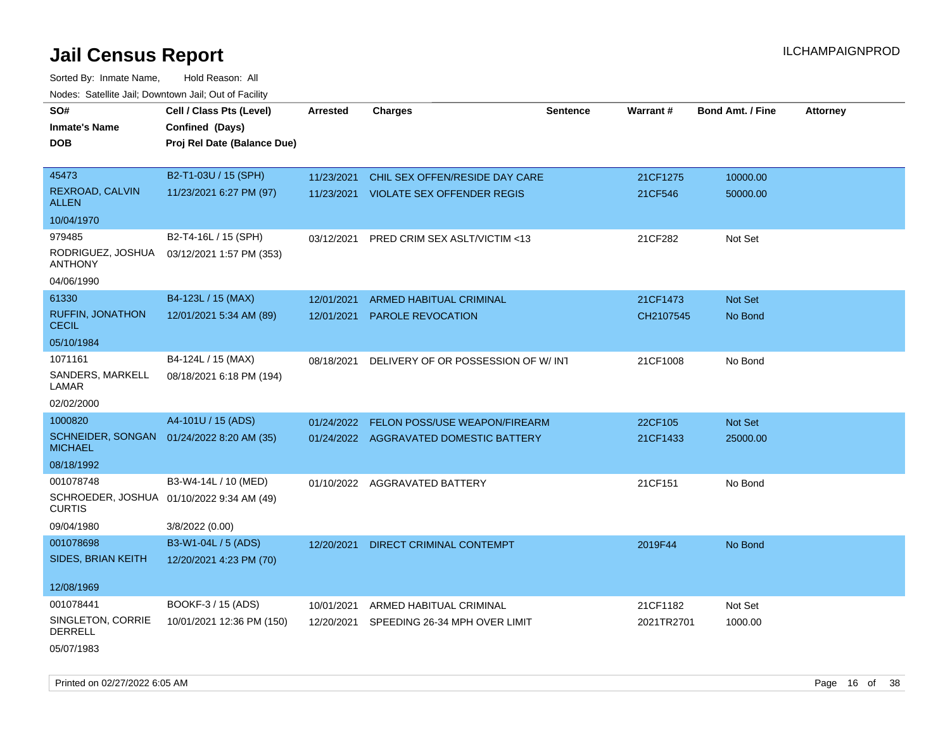Sorted By: Inmate Name, Hold Reason: All Nodes: Satellite Jail; Downtown Jail; Out of Facility

| SO#                                     | Cell / Class Pts (Level)                  | <b>Arrested</b> | <b>Charges</b>                         | <b>Sentence</b> | Warrant#   | <b>Bond Amt. / Fine</b> | <b>Attorney</b> |
|-----------------------------------------|-------------------------------------------|-----------------|----------------------------------------|-----------------|------------|-------------------------|-----------------|
| <b>Inmate's Name</b>                    | Confined (Days)                           |                 |                                        |                 |            |                         |                 |
| <b>DOB</b>                              | Proj Rel Date (Balance Due)               |                 |                                        |                 |            |                         |                 |
|                                         |                                           |                 |                                        |                 |            |                         |                 |
| 45473                                   | B2-T1-03U / 15 (SPH)                      | 11/23/2021      | CHIL SEX OFFEN/RESIDE DAY CARE         |                 | 21CF1275   | 10000.00                |                 |
| <b>REXROAD, CALVIN</b><br><b>ALLEN</b>  | 11/23/2021 6:27 PM (97)                   |                 | 11/23/2021 VIOLATE SEX OFFENDER REGIS  |                 | 21CF546    | 50000.00                |                 |
| 10/04/1970                              |                                           |                 |                                        |                 |            |                         |                 |
| 979485                                  | B2-T4-16L / 15 (SPH)                      | 03/12/2021      | PRED CRIM SEX ASLT/VICTIM <13          |                 | 21CF282    | Not Set                 |                 |
| RODRIGUEZ, JOSHUA<br><b>ANTHONY</b>     | 03/12/2021 1:57 PM (353)                  |                 |                                        |                 |            |                         |                 |
| 04/06/1990                              |                                           |                 |                                        |                 |            |                         |                 |
| 61330                                   | B4-123L / 15 (MAX)                        | 12/01/2021      | ARMED HABITUAL CRIMINAL                |                 | 21CF1473   | Not Set                 |                 |
| <b>RUFFIN, JONATHON</b><br><b>CECIL</b> | 12/01/2021 5:34 AM (89)                   | 12/01/2021      | PAROLE REVOCATION                      |                 | CH2107545  | No Bond                 |                 |
| 05/10/1984                              |                                           |                 |                                        |                 |            |                         |                 |
| 1071161                                 | B4-124L / 15 (MAX)                        | 08/18/2021      | DELIVERY OF OR POSSESSION OF W/INT     |                 | 21CF1008   | No Bond                 |                 |
| SANDERS, MARKELL<br>LAMAR               | 08/18/2021 6:18 PM (194)                  |                 |                                        |                 |            |                         |                 |
| 02/02/2000                              |                                           |                 |                                        |                 |            |                         |                 |
| 1000820                                 | A4-101U / 15 (ADS)                        | 01/24/2022      | <b>FELON POSS/USE WEAPON/FIREARM</b>   |                 | 22CF105    | Not Set                 |                 |
| <b>MICHAEL</b>                          | SCHNEIDER, SONGAN 01/24/2022 8:20 AM (35) |                 | 01/24/2022 AGGRAVATED DOMESTIC BATTERY |                 | 21CF1433   | 25000.00                |                 |
| 08/18/1992                              |                                           |                 |                                        |                 |            |                         |                 |
| 001078748                               | B3-W4-14L / 10 (MED)                      |                 | 01/10/2022 AGGRAVATED BATTERY          |                 | 21CF151    | No Bond                 |                 |
| <b>CURTIS</b>                           | SCHROEDER, JOSHUA 01/10/2022 9:34 AM (49) |                 |                                        |                 |            |                         |                 |
| 09/04/1980                              | 3/8/2022 (0.00)                           |                 |                                        |                 |            |                         |                 |
| 001078698                               | B3-W1-04L / 5 (ADS)                       | 12/20/2021      | <b>DIRECT CRIMINAL CONTEMPT</b>        |                 | 2019F44    | No Bond                 |                 |
| <b>SIDES, BRIAN KEITH</b>               | 12/20/2021 4:23 PM (70)                   |                 |                                        |                 |            |                         |                 |
| 12/08/1969                              |                                           |                 |                                        |                 |            |                         |                 |
| 001078441                               | BOOKF-3 / 15 (ADS)                        | 10/01/2021      | ARMED HABITUAL CRIMINAL                |                 | 21CF1182   | Not Set                 |                 |
| SINGLETON, CORRIE<br><b>DERRELL</b>     | 10/01/2021 12:36 PM (150)                 | 12/20/2021      | SPEEDING 26-34 MPH OVER LIMIT          |                 | 2021TR2701 | 1000.00                 |                 |
| 05/07/1983                              |                                           |                 |                                        |                 |            |                         |                 |

Printed on 02/27/2022 6:05 AM **Page 16** of 38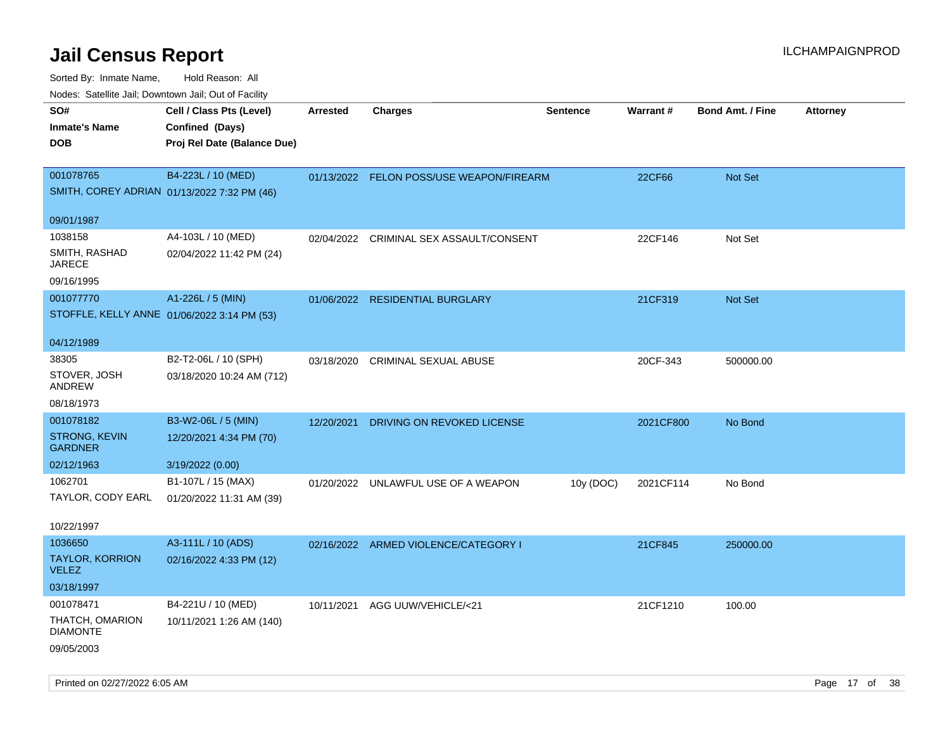| SO#<br><b>Inmate's Name</b><br><b>DOB</b>                       | Cell / Class Pts (Level)<br>Confined (Days)<br>Proj Rel Date (Balance Due) | Arrested   | <b>Charges</b>                           | <b>Sentence</b> | Warrant#  | <b>Bond Amt. / Fine</b> | <b>Attorney</b> |
|-----------------------------------------------------------------|----------------------------------------------------------------------------|------------|------------------------------------------|-----------------|-----------|-------------------------|-----------------|
| 001078765<br>SMITH, COREY ADRIAN 01/13/2022 7:32 PM (46)        | B4-223L / 10 (MED)                                                         |            | 01/13/2022 FELON POSS/USE WEAPON/FIREARM |                 | 22CF66    | Not Set                 |                 |
| 09/01/1987                                                      |                                                                            |            |                                          |                 |           |                         |                 |
| 1038158<br>SMITH, RASHAD<br><b>JARECE</b><br>09/16/1995         | A4-103L / 10 (MED)<br>02/04/2022 11:42 PM (24)                             | 02/04/2022 | CRIMINAL SEX ASSAULT/CONSENT             |                 | 22CF146   | Not Set                 |                 |
| 001077770<br>STOFFLE, KELLY ANNE 01/06/2022 3:14 PM (53)        | A1-226L / 5 (MIN)                                                          |            | 01/06/2022 RESIDENTIAL BURGLARY          |                 | 21CF319   | Not Set                 |                 |
| 04/12/1989                                                      |                                                                            |            |                                          |                 |           |                         |                 |
| 38305<br>STOVER, JOSH<br>ANDREW                                 | B2-T2-06L / 10 (SPH)<br>03/18/2020 10:24 AM (712)                          | 03/18/2020 | CRIMINAL SEXUAL ABUSE                    |                 | 20CF-343  | 500000.00               |                 |
| 08/18/1973                                                      |                                                                            |            |                                          |                 |           |                         |                 |
| 001078182<br>STRONG, KEVIN<br><b>GARDNER</b>                    | B3-W2-06L / 5 (MIN)<br>12/20/2021 4:34 PM (70)                             | 12/20/2021 | DRIVING ON REVOKED LICENSE               |                 | 2021CF800 | No Bond                 |                 |
| 02/12/1963                                                      | 3/19/2022 (0.00)                                                           |            |                                          |                 |           |                         |                 |
| 1062701<br>TAYLOR, CODY EARL<br>10/22/1997                      | B1-107L / 15 (MAX)<br>01/20/2022 11:31 AM (39)                             | 01/20/2022 | UNLAWFUL USE OF A WEAPON                 | 10y (DOC)       | 2021CF114 | No Bond                 |                 |
| 1036650<br><b>TAYLOR, KORRION</b><br><b>VELEZ</b><br>03/18/1997 | A3-111L / 10 (ADS)<br>02/16/2022 4:33 PM (12)                              |            | 02/16/2022 ARMED VIOLENCE/CATEGORY I     |                 | 21CF845   | 250000.00               |                 |
| 001078471<br>THATCH, OMARION<br><b>DIAMONTE</b><br>09/05/2003   | B4-221U / 10 (MED)<br>10/11/2021 1:26 AM (140)                             |            | 10/11/2021 AGG UUW/VEHICLE/<21           |                 | 21CF1210  | 100.00                  |                 |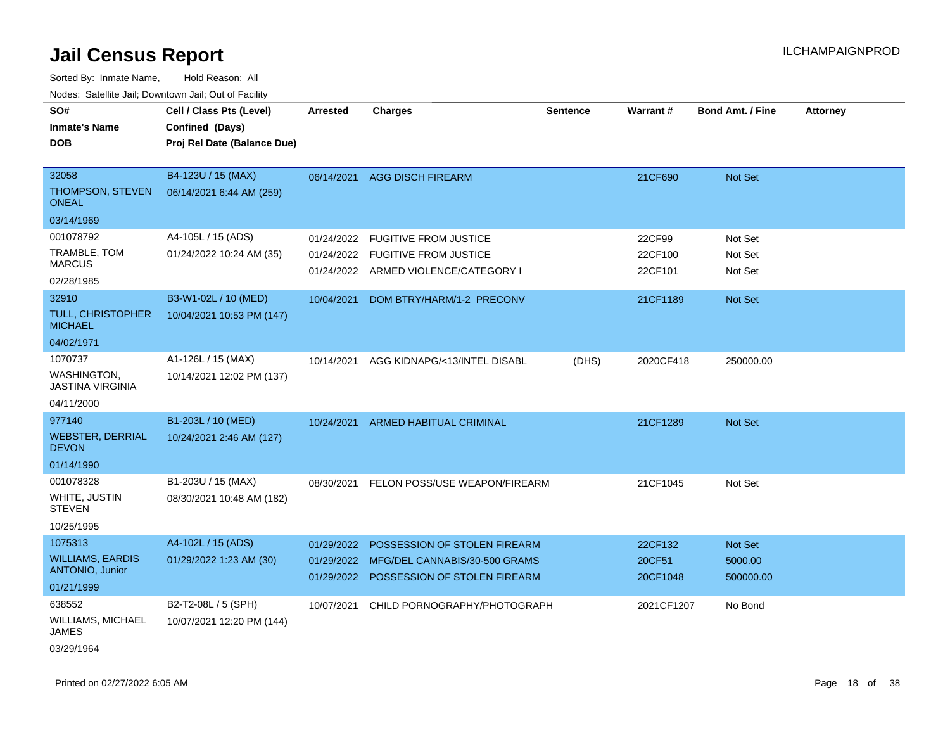Sorted By: Inmate Name, Hold Reason: All Nodes: Satellite Jail; Downtown Jail; Out of Facility

| Noues. Sateme Jan, Downtown Jan, Out or Facility  |                             |            |                                      |                 |            |                         |                 |
|---------------------------------------------------|-----------------------------|------------|--------------------------------------|-----------------|------------|-------------------------|-----------------|
| SO#                                               | Cell / Class Pts (Level)    | Arrested   | <b>Charges</b>                       | <b>Sentence</b> | Warrant#   | <b>Bond Amt. / Fine</b> | <b>Attorney</b> |
| <b>Inmate's Name</b>                              | Confined (Days)             |            |                                      |                 |            |                         |                 |
| <b>DOB</b>                                        | Proj Rel Date (Balance Due) |            |                                      |                 |            |                         |                 |
|                                                   |                             |            |                                      |                 |            |                         |                 |
| 32058                                             | B4-123U / 15 (MAX)          | 06/14/2021 | <b>AGG DISCH FIREARM</b>             |                 | 21CF690    | <b>Not Set</b>          |                 |
| THOMPSON, STEVEN<br><b>ONEAL</b>                  | 06/14/2021 6:44 AM (259)    |            |                                      |                 |            |                         |                 |
| 03/14/1969                                        |                             |            |                                      |                 |            |                         |                 |
| 001078792                                         | A4-105L / 15 (ADS)          | 01/24/2022 | <b>FUGITIVE FROM JUSTICE</b>         |                 | 22CF99     | Not Set                 |                 |
| TRAMBLE, TOM<br><b>MARCUS</b>                     | 01/24/2022 10:24 AM (35)    | 01/24/2022 | <b>FUGITIVE FROM JUSTICE</b>         |                 | 22CF100    | Not Set                 |                 |
| 02/28/1985                                        |                             |            | 01/24/2022 ARMED VIOLENCE/CATEGORY I |                 | 22CF101    | Not Set                 |                 |
| 32910                                             | B3-W1-02L / 10 (MED)        | 10/04/2021 | DOM BTRY/HARM/1-2 PRECONV            |                 | 21CF1189   | Not Set                 |                 |
| <b>TULL, CHRISTOPHER</b><br><b>MICHAEL</b>        | 10/04/2021 10:53 PM (147)   |            |                                      |                 |            |                         |                 |
| 04/02/1971                                        |                             |            |                                      |                 |            |                         |                 |
| 1070737                                           | A1-126L / 15 (MAX)          | 10/14/2021 | AGG KIDNAPG/<13/INTEL DISABL         | (DHS)           | 2020CF418  | 250000.00               |                 |
| <b>WASHINGTON,</b><br>JASTINA VIRGINIA            | 10/14/2021 12:02 PM (137)   |            |                                      |                 |            |                         |                 |
| 04/11/2000                                        |                             |            |                                      |                 |            |                         |                 |
| 977140                                            | B1-203L / 10 (MED)          | 10/24/2021 | ARMED HABITUAL CRIMINAL              |                 | 21CF1289   | <b>Not Set</b>          |                 |
| <b>WEBSTER, DERRIAL</b><br><b>DEVON</b>           | 10/24/2021 2:46 AM (127)    |            |                                      |                 |            |                         |                 |
| 01/14/1990                                        |                             |            |                                      |                 |            |                         |                 |
| 001078328                                         | B1-203U / 15 (MAX)          | 08/30/2021 | FELON POSS/USE WEAPON/FIREARM        |                 | 21CF1045   | Not Set                 |                 |
| WHITE, JUSTIN<br><b>STEVEN</b>                    | 08/30/2021 10:48 AM (182)   |            |                                      |                 |            |                         |                 |
| 10/25/1995                                        |                             |            |                                      |                 |            |                         |                 |
| 1075313                                           | A4-102L / 15 (ADS)          | 01/29/2022 | POSSESSION OF STOLEN FIREARM         |                 | 22CF132    | <b>Not Set</b>          |                 |
| <b>WILLIAMS, EARDIS</b><br><b>ANTONIO, Junior</b> | 01/29/2022 1:23 AM (30)     | 01/29/2022 | MFG/DEL CANNABIS/30-500 GRAMS        |                 | 20CF51     | 5000.00                 |                 |
| 01/21/1999                                        |                             | 01/29/2022 | POSSESSION OF STOLEN FIREARM         |                 | 20CF1048   | 500000.00               |                 |
| 638552                                            | B2-T2-08L / 5 (SPH)         | 10/07/2021 | CHILD PORNOGRAPHY/PHOTOGRAPH         |                 | 2021CF1207 | No Bond                 |                 |
| WILLIAMS, MICHAEL<br>JAMES                        | 10/07/2021 12:20 PM (144)   |            |                                      |                 |            |                         |                 |
| 03/29/1964                                        |                             |            |                                      |                 |            |                         |                 |

Printed on 02/27/2022 6:05 AM **Page 18** of 38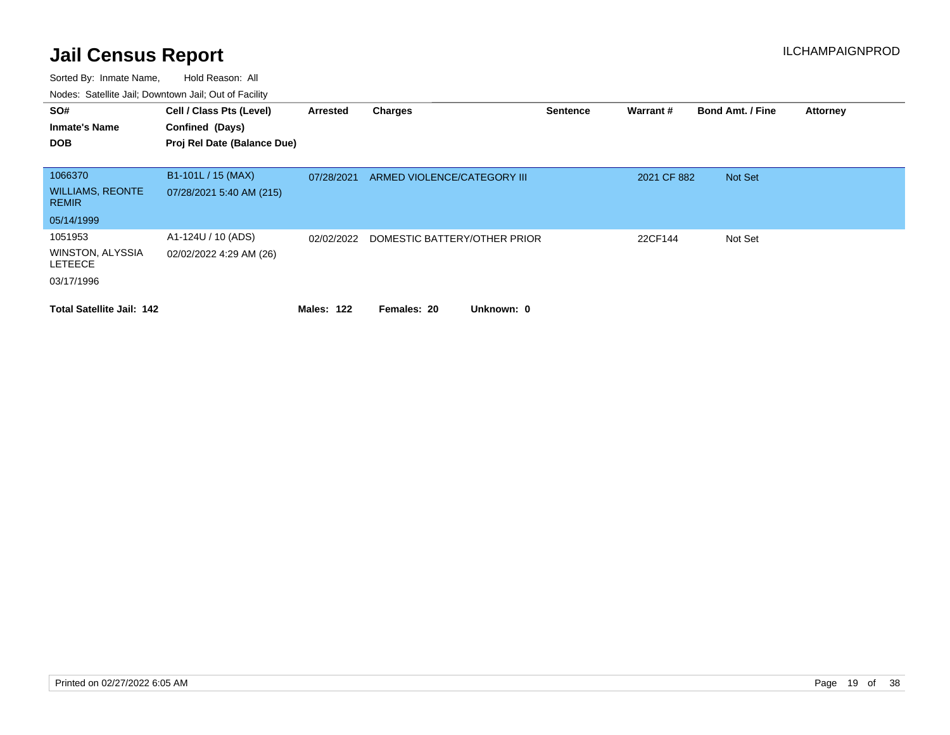| SO#<br><b>Inmate's Name</b><br><b>DOB</b> | Cell / Class Pts (Level)<br>Confined (Days)<br>Proj Rel Date (Balance Due) | Arrested   | <b>Charges</b>               | <b>Sentence</b> | Warrant #   | <b>Bond Amt. / Fine</b> | <b>Attorney</b> |
|-------------------------------------------|----------------------------------------------------------------------------|------------|------------------------------|-----------------|-------------|-------------------------|-----------------|
|                                           |                                                                            |            |                              |                 |             |                         |                 |
| 1066370                                   | B1-101L / 15 (MAX)                                                         | 07/28/2021 | ARMED VIOLENCE/CATEGORY III  |                 | 2021 CF 882 | Not Set                 |                 |
| <b>WILLIAMS, REONTE</b><br><b>REMIR</b>   | 07/28/2021 5:40 AM (215)                                                   |            |                              |                 |             |                         |                 |
| 05/14/1999                                |                                                                            |            |                              |                 |             |                         |                 |
| 1051953                                   | A1-124U / 10 (ADS)                                                         | 02/02/2022 | DOMESTIC BATTERY/OTHER PRIOR |                 | 22CF144     | Not Set                 |                 |
| <b>WINSTON, ALYSSIA</b><br><b>LETEECE</b> | 02/02/2022 4:29 AM (26)                                                    |            |                              |                 |             |                         |                 |
| 03/17/1996                                |                                                                            |            |                              |                 |             |                         |                 |
| <b>Total Satellite Jail: 142</b>          |                                                                            | Males: 122 | Unknown: 0<br>Females: 20    |                 |             |                         |                 |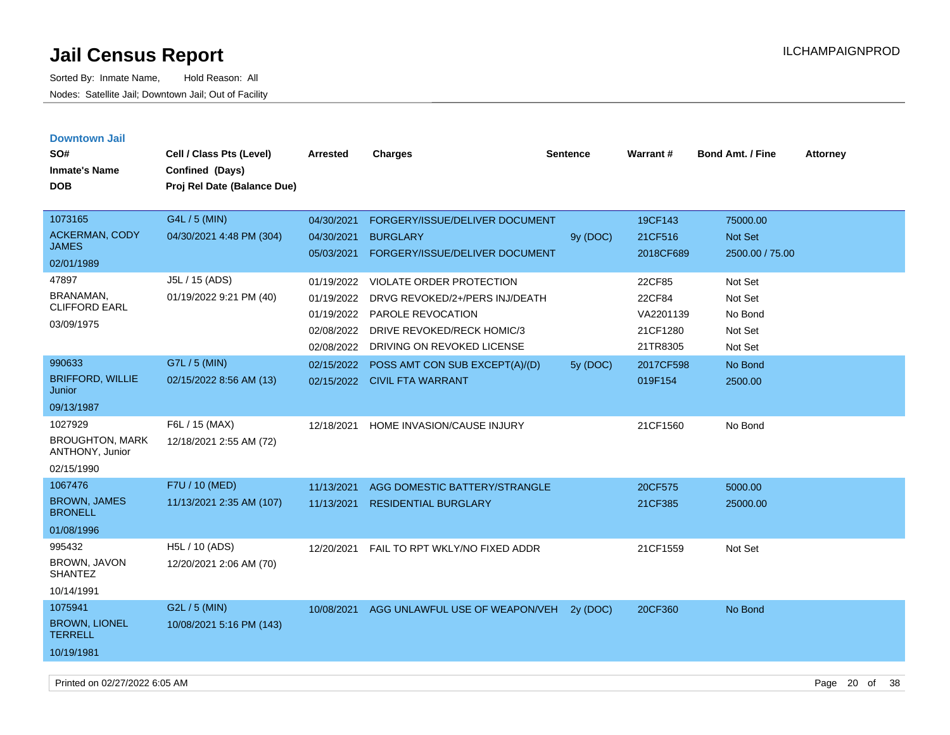| <b>Downtown Jail</b>                      |                             |            |                                 |          |           |                         |                 |
|-------------------------------------------|-----------------------------|------------|---------------------------------|----------|-----------|-------------------------|-----------------|
| SO#                                       | Cell / Class Pts (Level)    | Arrested   | <b>Charges</b>                  | Sentence | Warrant#  | <b>Bond Amt. / Fine</b> | <b>Attorney</b> |
| <b>Inmate's Name</b>                      | Confined (Days)             |            |                                 |          |           |                         |                 |
| <b>DOB</b>                                | Proj Rel Date (Balance Due) |            |                                 |          |           |                         |                 |
|                                           |                             |            |                                 |          |           |                         |                 |
| 1073165                                   | G4L / 5 (MIN)               | 04/30/2021 | FORGERY/ISSUE/DELIVER DOCUMENT  |          | 19CF143   | 75000.00                |                 |
| <b>ACKERMAN, CODY</b>                     | 04/30/2021 4:48 PM (304)    | 04/30/2021 | <b>BURGLARY</b>                 | 9y (DOC) | 21CF516   | Not Set                 |                 |
| JAMES                                     |                             | 05/03/2021 | FORGERY/ISSUE/DELIVER DOCUMENT  |          | 2018CF689 | 2500.00 / 75.00         |                 |
| 02/01/1989                                |                             |            |                                 |          |           |                         |                 |
| 47897                                     | J5L / 15 (ADS)              | 01/19/2022 | <b>VIOLATE ORDER PROTECTION</b> |          | 22CF85    | Not Set                 |                 |
| BRANAMAN,<br><b>CLIFFORD EARL</b>         | 01/19/2022 9:21 PM (40)     | 01/19/2022 | DRVG REVOKED/2+/PERS INJ/DEATH  |          | 22CF84    | Not Set                 |                 |
|                                           |                             | 01/19/2022 | PAROLE REVOCATION               |          | VA2201139 | No Bond                 |                 |
| 03/09/1975                                |                             | 02/08/2022 | DRIVE REVOKED/RECK HOMIC/3      |          | 21CF1280  | Not Set                 |                 |
|                                           |                             | 02/08/2022 | DRIVING ON REVOKED LICENSE      |          | 21TR8305  | Not Set                 |                 |
| 990633                                    | G7L / 5 (MIN)               | 02/15/2022 | POSS AMT CON SUB EXCEPT(A)/(D)  | 5y (DOC) | 2017CF598 | No Bond                 |                 |
| <b>BRIFFORD, WILLIE</b><br>Junior         | 02/15/2022 8:56 AM (13)     | 02/15/2022 | <b>CIVIL FTA WARRANT</b>        |          | 019F154   | 2500.00                 |                 |
| 09/13/1987                                |                             |            |                                 |          |           |                         |                 |
| 1027929                                   | F6L / 15 (MAX)              | 12/18/2021 | HOME INVASION/CAUSE INJURY      |          | 21CF1560  | No Bond                 |                 |
| <b>BROUGHTON, MARK</b><br>ANTHONY, Junior | 12/18/2021 2:55 AM (72)     |            |                                 |          |           |                         |                 |
| 02/15/1990                                |                             |            |                                 |          |           |                         |                 |
| 1067476                                   | F7U / 10 (MED)              | 11/13/2021 | AGG DOMESTIC BATTERY/STRANGLE   |          | 20CF575   | 5000.00                 |                 |
| <b>BROWN, JAMES</b><br><b>BRONELL</b>     | 11/13/2021 2:35 AM (107)    | 11/13/2021 | <b>RESIDENTIAL BURGLARY</b>     |          | 21CF385   | 25000.00                |                 |
| 01/08/1996                                |                             |            |                                 |          |           |                         |                 |
| 995432                                    | H5L / 10 (ADS)              | 12/20/2021 | FAIL TO RPT WKLY/NO FIXED ADDR  |          | 21CF1559  | Not Set                 |                 |
| BROWN, JAVON<br><b>SHANTEZ</b>            | 12/20/2021 2:06 AM (70)     |            |                                 |          |           |                         |                 |
| 10/14/1991                                |                             |            |                                 |          |           |                         |                 |
| 1075941                                   | G2L / 5 (MIN)               | 10/08/2021 | AGG UNLAWFUL USE OF WEAPON/VEH  | 2v(DOC)  | 20CF360   | No Bond                 |                 |
| <b>BROWN, LIONEL</b><br><b>TERRELL</b>    | 10/08/2021 5:16 PM (143)    |            |                                 |          |           |                         |                 |
| 10/19/1981                                |                             |            |                                 |          |           |                         |                 |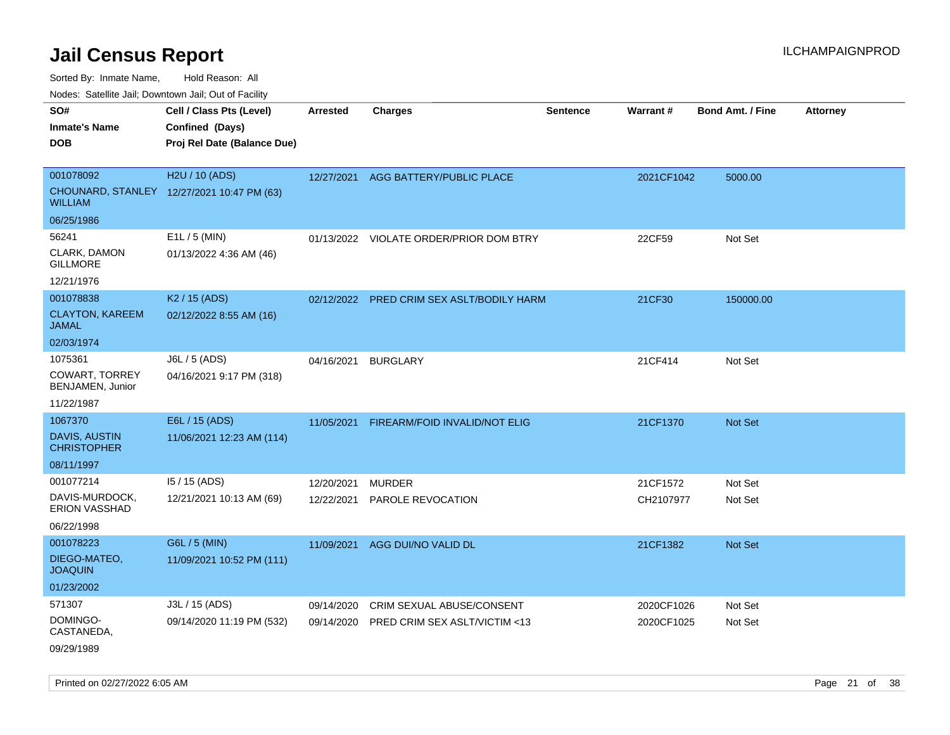Sorted By: Inmate Name, Hold Reason: All

Nodes: Satellite Jail; Downtown Jail; Out of Facility

| SO#<br><b>Inmate's Name</b><br><b>DOB</b>                            | Cell / Class Pts (Level)<br>Confined (Days)<br>Proj Rel Date (Balance Due) | <b>Arrested</b>          | <b>Charges</b>                                             | <b>Sentence</b> | <b>Warrant#</b>          | <b>Bond Amt. / Fine</b> | <b>Attorney</b> |
|----------------------------------------------------------------------|----------------------------------------------------------------------------|--------------------------|------------------------------------------------------------|-----------------|--------------------------|-------------------------|-----------------|
| 001078092<br><b>WILLIAM</b>                                          | H2U / 10 (ADS)<br>CHOUNARD, STANLEY 12/27/2021 10:47 PM (63)               | 12/27/2021               | AGG BATTERY/PUBLIC PLACE                                   |                 | 2021CF1042               | 5000.00                 |                 |
| 06/25/1986<br>56241<br>CLARK, DAMON<br><b>GILLMORE</b><br>12/21/1976 | E1L / 5 (MIN)<br>01/13/2022 4:36 AM (46)                                   |                          | 01/13/2022 VIOLATE ORDER/PRIOR DOM BTRY                    |                 | 22CF59                   | Not Set                 |                 |
| 001078838<br><b>CLAYTON, KAREEM</b><br><b>JAMAL</b><br>02/03/1974    | K <sub>2</sub> / 15 (ADS)<br>02/12/2022 8:55 AM (16)                       |                          | 02/12/2022 PRED CRIM SEX ASLT/BODILY HARM                  |                 | 21CF30                   | 150000.00               |                 |
| 1075361<br><b>COWART, TORREY</b><br>BENJAMEN, Junior<br>11/22/1987   | J6L / 5 (ADS)<br>04/16/2021 9:17 PM (318)                                  | 04/16/2021               | <b>BURGLARY</b>                                            |                 | 21CF414                  | Not Set                 |                 |
| 1067370<br><b>DAVIS, AUSTIN</b><br><b>CHRISTOPHER</b><br>08/11/1997  | E6L / 15 (ADS)<br>11/06/2021 12:23 AM (114)                                | 11/05/2021               | FIREARM/FOID INVALID/NOT ELIG                              |                 | 21CF1370                 | <b>Not Set</b>          |                 |
| 001077214<br>DAVIS-MURDOCK,<br>ERION VASSHAD<br>06/22/1998           | 15 / 15 (ADS)<br>12/21/2021 10:13 AM (69)                                  | 12/20/2021<br>12/22/2021 | <b>MURDER</b><br>PAROLE REVOCATION                         |                 | 21CF1572<br>CH2107977    | Not Set<br>Not Set      |                 |
| 001078223<br>DIEGO-MATEO,<br><b>JOAQUIN</b><br>01/23/2002            | G6L / 5 (MIN)<br>11/09/2021 10:52 PM (111)                                 | 11/09/2021               | AGG DUI/NO VALID DL                                        |                 | 21CF1382                 | Not Set                 |                 |
| 571307<br>DOMINGO-<br>CASTANEDA,<br>09/29/1989                       | J3L / 15 (ADS)<br>09/14/2020 11:19 PM (532)                                | 09/14/2020<br>09/14/2020 | CRIM SEXUAL ABUSE/CONSENT<br>PRED CRIM SEX ASLT/VICTIM <13 |                 | 2020CF1026<br>2020CF1025 | Not Set<br>Not Set      |                 |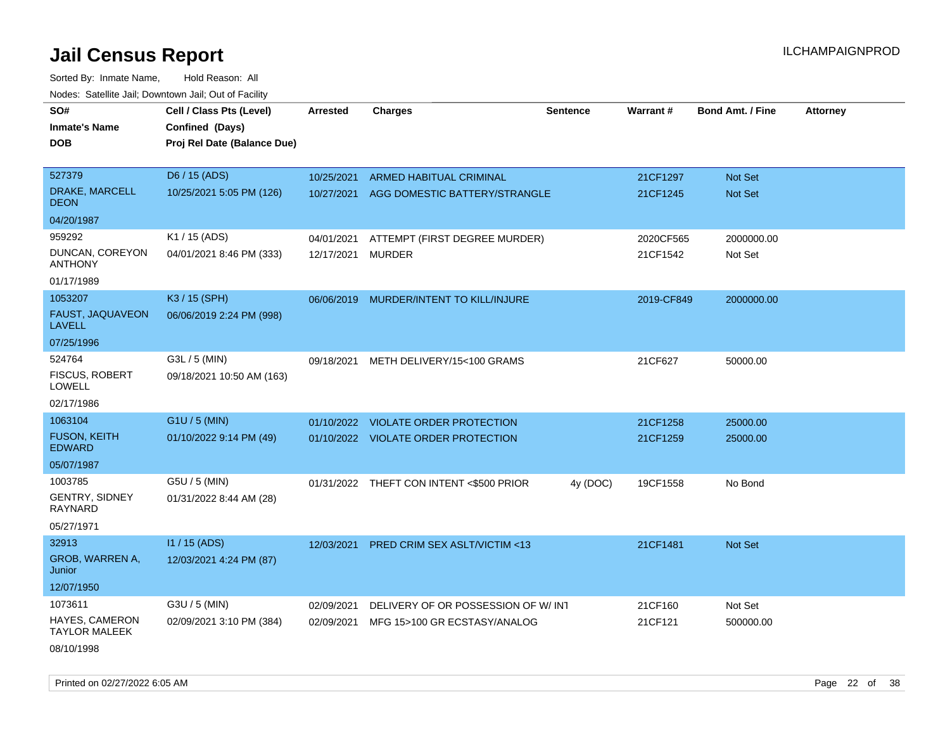| roaco. Catolino dall, Downtown dall, Out of Fability |                             |                 |                                          |                 |            |                         |                 |
|------------------------------------------------------|-----------------------------|-----------------|------------------------------------------|-----------------|------------|-------------------------|-----------------|
| SO#                                                  | Cell / Class Pts (Level)    | <b>Arrested</b> | <b>Charges</b>                           | <b>Sentence</b> | Warrant#   | <b>Bond Amt. / Fine</b> | <b>Attorney</b> |
| <b>Inmate's Name</b>                                 | Confined (Days)             |                 |                                          |                 |            |                         |                 |
| <b>DOB</b>                                           | Proj Rel Date (Balance Due) |                 |                                          |                 |            |                         |                 |
|                                                      |                             |                 |                                          |                 |            |                         |                 |
| 527379                                               | D6 / 15 (ADS)               | 10/25/2021      | ARMED HABITUAL CRIMINAL                  |                 | 21CF1297   | Not Set                 |                 |
| DRAKE, MARCELL<br><b>DEON</b>                        | 10/25/2021 5:05 PM (126)    |                 | 10/27/2021 AGG DOMESTIC BATTERY/STRANGLE |                 | 21CF1245   | Not Set                 |                 |
| 04/20/1987                                           |                             |                 |                                          |                 |            |                         |                 |
| 959292                                               | K1 / 15 (ADS)               | 04/01/2021      | ATTEMPT (FIRST DEGREE MURDER)            |                 | 2020CF565  | 2000000.00              |                 |
| DUNCAN, COREYON<br><b>ANTHONY</b>                    | 04/01/2021 8:46 PM (333)    | 12/17/2021      | <b>MURDER</b>                            |                 | 21CF1542   | Not Set                 |                 |
| 01/17/1989                                           |                             |                 |                                          |                 |            |                         |                 |
| 1053207                                              | K3 / 15 (SPH)               |                 | 06/06/2019 MURDER/INTENT TO KILL/INJURE  |                 | 2019-CF849 | 2000000.00              |                 |
| FAUST, JAQUAVEON<br><b>LAVELL</b>                    | 06/06/2019 2:24 PM (998)    |                 |                                          |                 |            |                         |                 |
| 07/25/1996                                           |                             |                 |                                          |                 |            |                         |                 |
| 524764                                               | G3L / 5 (MIN)               | 09/18/2021      | METH DELIVERY/15<100 GRAMS               |                 | 21CF627    | 50000.00                |                 |
| <b>FISCUS, ROBERT</b><br><b>LOWELL</b>               | 09/18/2021 10:50 AM (163)   |                 |                                          |                 |            |                         |                 |
| 02/17/1986                                           |                             |                 |                                          |                 |            |                         |                 |
| 1063104                                              | G1U / 5 (MIN)               | 01/10/2022      | <b>VIOLATE ORDER PROTECTION</b>          |                 | 21CF1258   | 25000.00                |                 |
| <b>FUSON, KEITH</b><br><b>EDWARD</b>                 | 01/10/2022 9:14 PM (49)     |                 | 01/10/2022 VIOLATE ORDER PROTECTION      |                 | 21CF1259   | 25000.00                |                 |
| 05/07/1987                                           |                             |                 |                                          |                 |            |                         |                 |
| 1003785                                              | G5U / 5 (MIN)               |                 | 01/31/2022 THEFT CON INTENT <\$500 PRIOR | 4y (DOC)        | 19CF1558   | No Bond                 |                 |
| <b>GENTRY, SIDNEY</b><br><b>RAYNARD</b>              | 01/31/2022 8:44 AM (28)     |                 |                                          |                 |            |                         |                 |
| 05/27/1971                                           |                             |                 |                                          |                 |            |                         |                 |
| 32913                                                | I1 / 15 (ADS)               | 12/03/2021      | PRED CRIM SEX ASLT/VICTIM <13            |                 | 21CF1481   | Not Set                 |                 |
| GROB, WARREN A,<br>Junior                            | 12/03/2021 4:24 PM (87)     |                 |                                          |                 |            |                         |                 |
| 12/07/1950                                           |                             |                 |                                          |                 |            |                         |                 |
| 1073611                                              | G3U / 5 (MIN)               | 02/09/2021      | DELIVERY OF OR POSSESSION OF W/INT       |                 | 21CF160    | Not Set                 |                 |
| HAYES, CAMERON<br><b>TAYLOR MALEEK</b>               | 02/09/2021 3:10 PM (384)    | 02/09/2021      | MFG 15>100 GR ECSTASY/ANALOG             |                 | 21CF121    | 500000.00               |                 |
| 08/10/1998                                           |                             |                 |                                          |                 |            |                         |                 |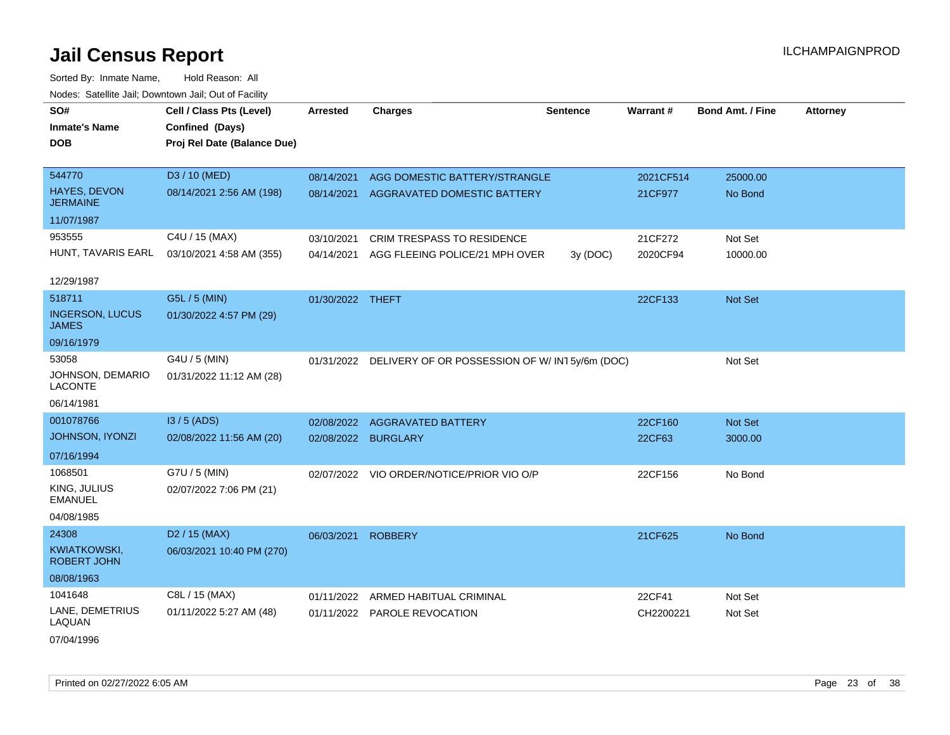| SO#<br><b>Inmate's Name</b><br>DOB        | Cell / Class Pts (Level)<br>Confined (Days)<br>Proj Rel Date (Balance Due) | <b>Arrested</b>  | <b>Charges</b>                                           | <b>Sentence</b> | Warrant#  | <b>Bond Amt. / Fine</b> | <b>Attorney</b> |
|-------------------------------------------|----------------------------------------------------------------------------|------------------|----------------------------------------------------------|-----------------|-----------|-------------------------|-----------------|
|                                           |                                                                            |                  |                                                          |                 |           |                         |                 |
| 544770                                    | D3 / 10 (MED)                                                              | 08/14/2021       | AGG DOMESTIC BATTERY/STRANGLE                            |                 | 2021CF514 | 25000.00                |                 |
| HAYES, DEVON<br><b>JERMAINE</b>           | 08/14/2021 2:56 AM (198)                                                   | 08/14/2021       | AGGRAVATED DOMESTIC BATTERY                              |                 | 21CF977   | No Bond                 |                 |
| 11/07/1987                                |                                                                            |                  |                                                          |                 |           |                         |                 |
| 953555                                    | C4U / 15 (MAX)                                                             | 03/10/2021       | CRIM TRESPASS TO RESIDENCE                               |                 | 21CF272   | Not Set                 |                 |
| HUNT, TAVARIS EARL                        | 03/10/2021 4:58 AM (355)                                                   | 04/14/2021       | AGG FLEEING POLICE/21 MPH OVER                           | 3y (DOC)        | 2020CF94  | 10000.00                |                 |
| 12/29/1987                                |                                                                            |                  |                                                          |                 |           |                         |                 |
| 518711                                    | G5L / 5 (MIN)                                                              | 01/30/2022 THEFT |                                                          |                 | 22CF133   | Not Set                 |                 |
| <b>INGERSON, LUCUS</b><br>JAMES           | 01/30/2022 4:57 PM (29)                                                    |                  |                                                          |                 |           |                         |                 |
| 09/16/1979                                |                                                                            |                  |                                                          |                 |           |                         |                 |
| 53058                                     | G4U / 5 (MIN)                                                              |                  | 01/31/2022 DELIVERY OF OR POSSESSION OF W/IN15y/6m (DOC) |                 |           | Not Set                 |                 |
| JOHNSON, DEMARIO<br><b>LACONTE</b>        | 01/31/2022 11:12 AM (28)                                                   |                  |                                                          |                 |           |                         |                 |
| 06/14/1981                                |                                                                            |                  |                                                          |                 |           |                         |                 |
| 001078766                                 | $13/5$ (ADS)                                                               | 02/08/2022       | <b>AGGRAVATED BATTERY</b>                                |                 | 22CF160   | Not Set                 |                 |
| <b>JOHNSON, IYONZI</b>                    | 02/08/2022 11:56 AM (20)                                                   | 02/08/2022       | <b>BURGLARY</b>                                          |                 | 22CF63    | 3000.00                 |                 |
| 07/16/1994                                |                                                                            |                  |                                                          |                 |           |                         |                 |
| 1068501                                   | G7U / 5 (MIN)                                                              |                  | 02/07/2022 VIO ORDER/NOTICE/PRIOR VIO O/P                |                 | 22CF156   | No Bond                 |                 |
| KING, JULIUS<br><b>EMANUEL</b>            | 02/07/2022 7:06 PM (21)                                                    |                  |                                                          |                 |           |                         |                 |
| 04/08/1985                                |                                                                            |                  |                                                          |                 |           |                         |                 |
| 24308                                     | D <sub>2</sub> / 15 (MAX)                                                  | 06/03/2021       | <b>ROBBERY</b>                                           |                 | 21CF625   | No Bond                 |                 |
| <b>KWIATKOWSKI,</b><br><b>ROBERT JOHN</b> | 06/03/2021 10:40 PM (270)                                                  |                  |                                                          |                 |           |                         |                 |
| 08/08/1963                                |                                                                            |                  |                                                          |                 |           |                         |                 |
| 1041648                                   | C8L / 15 (MAX)                                                             | 01/11/2022       | ARMED HABITUAL CRIMINAL                                  |                 | 22CF41    | Not Set                 |                 |
| LANE, DEMETRIUS<br>LAQUAN                 | 01/11/2022 5:27 AM (48)                                                    |                  | 01/11/2022 PAROLE REVOCATION                             |                 | CH2200221 | Not Set                 |                 |
| 07/04/1996                                |                                                                            |                  |                                                          |                 |           |                         |                 |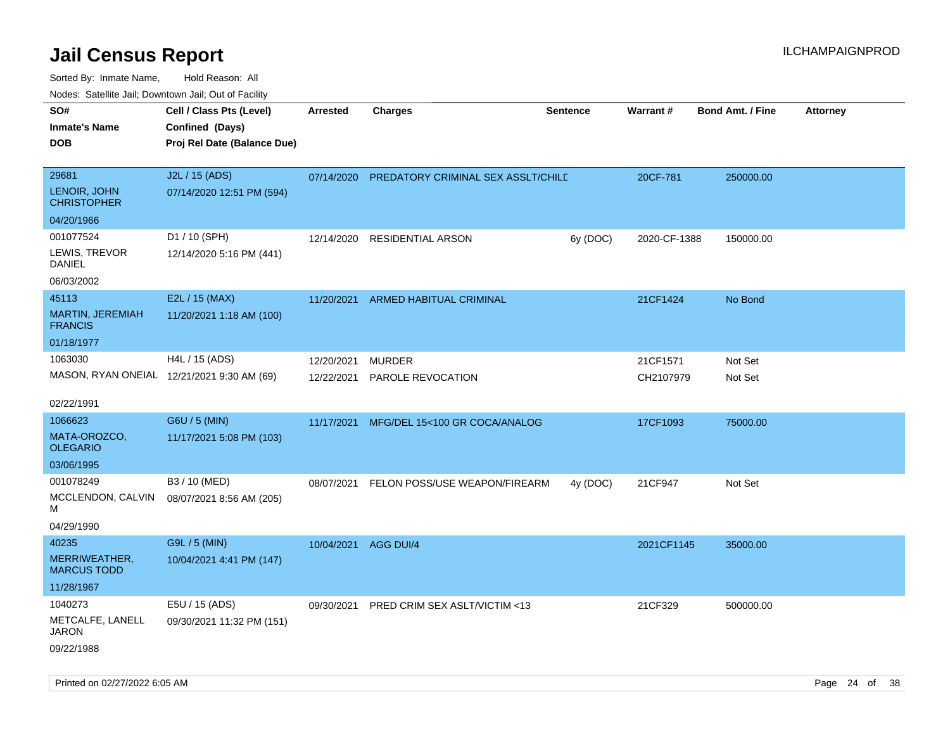| SO#                                                        | Cell / Class Pts (Level)                                     | <b>Arrested</b>          | <b>Charges</b>                     | <b>Sentence</b> | Warrant#              |                         |                 |
|------------------------------------------------------------|--------------------------------------------------------------|--------------------------|------------------------------------|-----------------|-----------------------|-------------------------|-----------------|
| Inmate's Name<br>DOB                                       | Confined (Days)<br>Proj Rel Date (Balance Due)               |                          |                                    |                 |                       | <b>Bond Amt. / Fine</b> | <b>Attorney</b> |
| 29681<br>LENOIR, JOHN<br><b>CHRISTOPHER</b>                | J2L / 15 (ADS)<br>07/14/2020 12:51 PM (594)                  | 07/14/2020               | PREDATORY CRIMINAL SEX ASSLT/CHILD |                 | 20CF-781              | 250000.00               |                 |
| 04/20/1966                                                 |                                                              |                          |                                    |                 |                       |                         |                 |
| 001077524<br>LEWIS, TREVOR<br>DANIEL<br>06/03/2002         | D1 / 10 (SPH)<br>12/14/2020 5:16 PM (441)                    | 12/14/2020               | RESIDENTIAL ARSON                  | 6y (DOC)        | 2020-CF-1388          | 150000.00               |                 |
|                                                            | E2L / 15 (MAX)                                               |                          |                                    |                 |                       |                         |                 |
| 45113<br><b>MARTIN, JEREMIAH</b><br><b>FRANCIS</b>         | 11/20/2021 1:18 AM (100)                                     | 11/20/2021               | <b>ARMED HABITUAL CRIMINAL</b>     |                 | 21CF1424              | No Bond                 |                 |
| 01/18/1977                                                 |                                                              |                          |                                    |                 |                       |                         |                 |
| 1063030<br>02/22/1991                                      | H4L / 15 (ADS)<br>MASON, RYAN ONEIAL 12/21/2021 9:30 AM (69) | 12/20/2021<br>12/22/2021 | <b>MURDER</b><br>PAROLE REVOCATION |                 | 21CF1571<br>CH2107979 | Not Set<br>Not Set      |                 |
| 1066623                                                    | G6U / 5 (MIN)                                                | 11/17/2021               | MFG/DEL 15<100 GR COCA/ANALOG      |                 | 17CF1093              | 75000.00                |                 |
| MATA-OROZCO,<br>OLEGARIO                                   | 11/17/2021 5:08 PM (103)                                     |                          |                                    |                 |                       |                         |                 |
| 03/06/1995                                                 |                                                              |                          |                                    |                 |                       |                         |                 |
| 001078249                                                  | B3 / 10 (MED)                                                | 08/07/2021               | FELON POSS/USE WEAPON/FIREARM      | 4y (DOC)        | 21CF947               | Not Set                 |                 |
| MCCLENDON, CALVIN<br>м                                     | 08/07/2021 8:56 AM (205)                                     |                          |                                    |                 |                       |                         |                 |
| 04/29/1990                                                 |                                                              |                          |                                    |                 |                       |                         |                 |
| 40235<br>MERRIWEATHER,<br><b>MARCUS TODD</b><br>11/28/1967 | G9L / 5 (MIN)<br>10/04/2021 4:41 PM (147)                    | 10/04/2021 AGG DUI/4     |                                    |                 | 2021CF1145            | 35000.00                |                 |
| 1040273<br>METCALFE, LANELL<br>JARON<br>09/22/1988         | E5U / 15 (ADS)<br>09/30/2021 11:32 PM (151)                  | 09/30/2021               | PRED CRIM SEX ASLT/VICTIM <13      |                 | 21CF329               | 500000.00               |                 |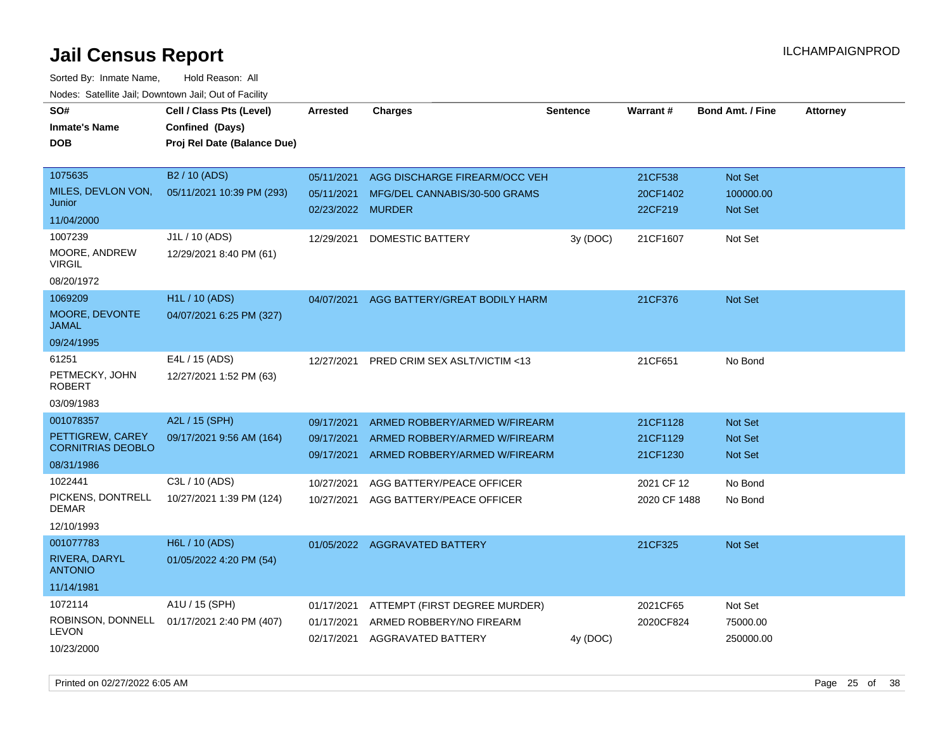Sorted By: Inmate Name, Hold Reason: All

| Nodes: Satellite Jail; Downtown Jail; Out of Facility |                             |                   |                                         |                 |              |                         |                 |
|-------------------------------------------------------|-----------------------------|-------------------|-----------------------------------------|-----------------|--------------|-------------------------|-----------------|
| SO#                                                   | Cell / Class Pts (Level)    | <b>Arrested</b>   | <b>Charges</b>                          | <b>Sentence</b> | Warrant#     | <b>Bond Amt. / Fine</b> | <b>Attorney</b> |
| <b>Inmate's Name</b>                                  | Confined (Days)             |                   |                                         |                 |              |                         |                 |
| <b>DOB</b>                                            | Proj Rel Date (Balance Due) |                   |                                         |                 |              |                         |                 |
|                                                       |                             |                   |                                         |                 |              |                         |                 |
| 1075635                                               | B <sub>2</sub> / 10 (ADS)   | 05/11/2021        | AGG DISCHARGE FIREARM/OCC VEH           |                 | 21CF538      | Not Set                 |                 |
| MILES, DEVLON VON,                                    | 05/11/2021 10:39 PM (293)   | 05/11/2021        | MFG/DEL CANNABIS/30-500 GRAMS           |                 | 20CF1402     | 100000.00               |                 |
| Junior                                                |                             | 02/23/2022 MURDER |                                         |                 | 22CF219      | <b>Not Set</b>          |                 |
| 11/04/2000                                            |                             |                   |                                         |                 |              |                         |                 |
| 1007239                                               | J1L / 10 (ADS)              | 12/29/2021        | DOMESTIC BATTERY                        | 3y (DOC)        | 21CF1607     | Not Set                 |                 |
| MOORE, ANDREW<br><b>VIRGIL</b>                        | 12/29/2021 8:40 PM (61)     |                   |                                         |                 |              |                         |                 |
| 08/20/1972                                            |                             |                   |                                         |                 |              |                         |                 |
| 1069209                                               | H1L / 10 (ADS)              | 04/07/2021        | AGG BATTERY/GREAT BODILY HARM           |                 | 21CF376      | Not Set                 |                 |
| MOORE, DEVONTE                                        | 04/07/2021 6:25 PM (327)    |                   |                                         |                 |              |                         |                 |
| <b>JAMAL</b>                                          |                             |                   |                                         |                 |              |                         |                 |
| 09/24/1995                                            |                             |                   |                                         |                 |              |                         |                 |
| 61251                                                 | E4L / 15 (ADS)              | 12/27/2021        | <b>PRED CRIM SEX ASLT/VICTIM &lt;13</b> |                 | 21CF651      | No Bond                 |                 |
| PETMECKY, JOHN                                        | 12/27/2021 1:52 PM (63)     |                   |                                         |                 |              |                         |                 |
| <b>ROBERT</b>                                         |                             |                   |                                         |                 |              |                         |                 |
| 03/09/1983                                            |                             |                   |                                         |                 |              |                         |                 |
| 001078357                                             | A2L / 15 (SPH)              | 09/17/2021        | ARMED ROBBERY/ARMED W/FIREARM           |                 | 21CF1128     | <b>Not Set</b>          |                 |
| PETTIGREW, CAREY<br><b>CORNITRIAS DEOBLO</b>          | 09/17/2021 9:56 AM (164)    | 09/17/2021        | ARMED ROBBERY/ARMED W/FIREARM           |                 | 21CF1129     | <b>Not Set</b>          |                 |
| 08/31/1986                                            |                             | 09/17/2021        | ARMED ROBBERY/ARMED W/FIREARM           |                 | 21CF1230     | Not Set                 |                 |
| 1022441                                               | C3L / 10 (ADS)              | 10/27/2021        | AGG BATTERY/PEACE OFFICER               |                 | 2021 CF 12   | No Bond                 |                 |
| PICKENS, DONTRELL                                     | 10/27/2021 1:39 PM (124)    | 10/27/2021        | AGG BATTERY/PEACE OFFICER               |                 | 2020 CF 1488 | No Bond                 |                 |
| <b>DEMAR</b>                                          |                             |                   |                                         |                 |              |                         |                 |
| 12/10/1993                                            |                             |                   |                                         |                 |              |                         |                 |
| 001077783                                             | H6L / 10 (ADS)              |                   | 01/05/2022 AGGRAVATED BATTERY           |                 | 21CF325      | <b>Not Set</b>          |                 |
| RIVERA, DARYL<br><b>ANTONIO</b>                       | 01/05/2022 4:20 PM (54)     |                   |                                         |                 |              |                         |                 |
| 11/14/1981                                            |                             |                   |                                         |                 |              |                         |                 |
| 1072114                                               | A1U / 15 (SPH)              | 01/17/2021        | ATTEMPT (FIRST DEGREE MURDER)           |                 | 2021CF65     | Not Set                 |                 |
| ROBINSON, DONNELL                                     | 01/17/2021 2:40 PM (407)    | 01/17/2021        | ARMED ROBBERY/NO FIREARM                |                 | 2020CF824    | 75000.00                |                 |
| <b>LEVON</b>                                          |                             | 02/17/2021        | <b>AGGRAVATED BATTERY</b>               | 4y (DOC)        |              | 250000.00               |                 |
| 10/23/2000                                            |                             |                   |                                         |                 |              |                         |                 |

Printed on 02/27/2022 6:05 AM Page 25 of 38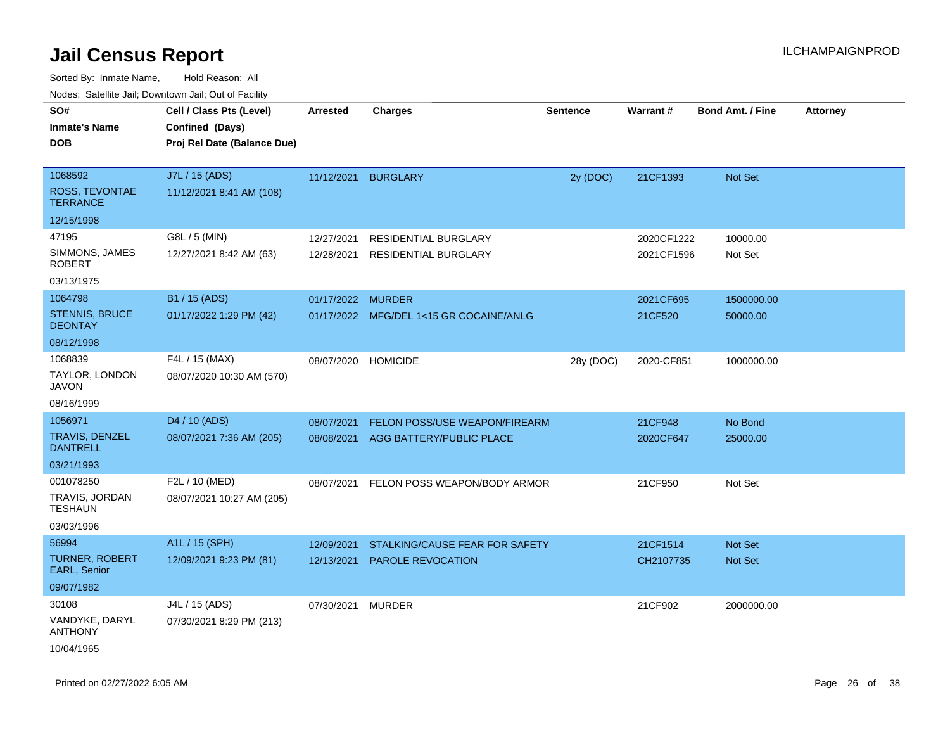| rouco. Calcinic Jan, Downtown Jan, Out of Facility |                                                                            |                     |                                         |                 |            |                         |                 |
|----------------------------------------------------|----------------------------------------------------------------------------|---------------------|-----------------------------------------|-----------------|------------|-------------------------|-----------------|
| SO#<br>Inmate's Name<br>DOB                        | Cell / Class Pts (Level)<br>Confined (Days)<br>Proj Rel Date (Balance Due) | <b>Arrested</b>     | <b>Charges</b>                          | <b>Sentence</b> | Warrant#   | <b>Bond Amt. / Fine</b> | <b>Attorney</b> |
| 1068592<br>ROSS, TEVONTAE<br><b>TERRANCE</b>       | J7L / 15 (ADS)<br>11/12/2021 8:41 AM (108)                                 |                     | 11/12/2021 BURGLARY                     | 2y (DOC)        | 21CF1393   | <b>Not Set</b>          |                 |
| 12/15/1998                                         |                                                                            |                     |                                         |                 |            |                         |                 |
| 47195                                              | G8L / 5 (MIN)                                                              | 12/27/2021          | <b>RESIDENTIAL BURGLARY</b>             |                 | 2020CF1222 | 10000.00                |                 |
| SIMMONS, JAMES<br><b>ROBERT</b>                    | 12/27/2021 8:42 AM (63)                                                    | 12/28/2021          | <b>RESIDENTIAL BURGLARY</b>             |                 | 2021CF1596 | Not Set                 |                 |
| 03/13/1975                                         |                                                                            |                     |                                         |                 |            |                         |                 |
| 1064798                                            | B1 / 15 (ADS)                                                              | 01/17/2022 MURDER   |                                         |                 | 2021CF695  | 1500000.00              |                 |
| <b>STENNIS, BRUCE</b><br><b>DEONTAY</b>            | 01/17/2022 1:29 PM (42)                                                    |                     | 01/17/2022 MFG/DEL 1<15 GR COCAINE/ANLG |                 | 21CF520    | 50000.00                |                 |
| 08/12/1998                                         |                                                                            |                     |                                         |                 |            |                         |                 |
| 1068839<br>TAYLOR, LONDON<br>JAVON                 | F4L / 15 (MAX)<br>08/07/2020 10:30 AM (570)                                | 08/07/2020 HOMICIDE |                                         | 28y (DOC)       | 2020-CF851 | 1000000.00              |                 |
| 08/16/1999                                         |                                                                            |                     |                                         |                 |            |                         |                 |
| 1056971                                            | D4 / 10 (ADS)                                                              | 08/07/2021          | FELON POSS/USE WEAPON/FIREARM           |                 | 21CF948    | No Bond                 |                 |
| TRAVIS, DENZEL<br><b>DANTRELL</b>                  | 08/07/2021 7:36 AM (205)                                                   | 08/08/2021          | AGG BATTERY/PUBLIC PLACE                |                 | 2020CF647  | 25000.00                |                 |
| 03/21/1993                                         |                                                                            |                     |                                         |                 |            |                         |                 |
| 001078250                                          | F2L / 10 (MED)                                                             | 08/07/2021          | FELON POSS WEAPON/BODY ARMOR            |                 | 21CF950    | Not Set                 |                 |
| TRAVIS, JORDAN<br>TESHAUN                          | 08/07/2021 10:27 AM (205)                                                  |                     |                                         |                 |            |                         |                 |
| 03/03/1996                                         |                                                                            |                     |                                         |                 |            |                         |                 |
| 56994                                              | A1L / 15 (SPH)                                                             | 12/09/2021          | STALKING/CAUSE FEAR FOR SAFETY          |                 | 21CF1514   | <b>Not Set</b>          |                 |
| TURNER, ROBERT<br><b>EARL, Senior</b>              | 12/09/2021 9:23 PM (81)                                                    | 12/13/2021          | PAROLE REVOCATION                       |                 | CH2107735  | <b>Not Set</b>          |                 |
| 09/07/1982                                         |                                                                            |                     |                                         |                 |            |                         |                 |
| 30108                                              | J4L / 15 (ADS)                                                             | 07/30/2021          | MURDER                                  |                 | 21CF902    | 2000000.00              |                 |
| VANDYKE, DARYL<br>ANTHONY                          | 07/30/2021 8:29 PM (213)                                                   |                     |                                         |                 |            |                         |                 |
| 10/04/1965                                         |                                                                            |                     |                                         |                 |            |                         |                 |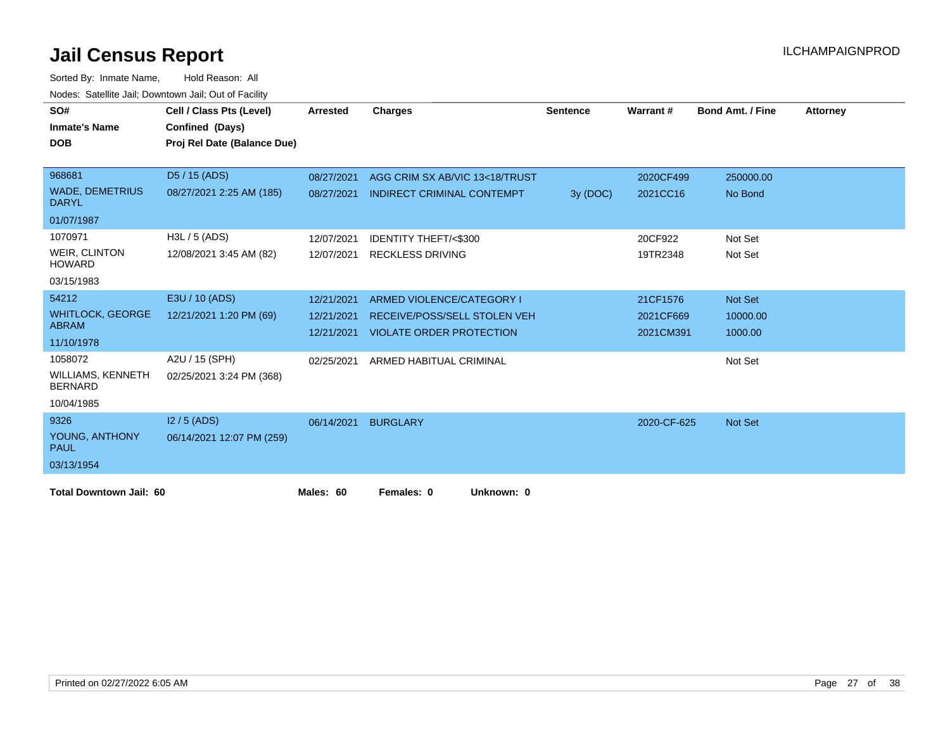| SO#<br><b>Inmate's Name</b><br><b>DOB</b>  | Cell / Class Pts (Level)<br>Confined (Days) | Arrested   | <b>Charges</b>                    | <b>Sentence</b> | Warrant#    | <b>Bond Amt. / Fine</b> | <b>Attorney</b> |
|--------------------------------------------|---------------------------------------------|------------|-----------------------------------|-----------------|-------------|-------------------------|-----------------|
|                                            | Proj Rel Date (Balance Due)                 |            |                                   |                 |             |                         |                 |
| 968681                                     | D5 / 15 (ADS)                               | 08/27/2021 | AGG CRIM SX AB/VIC 13<18/TRUST    |                 | 2020CF499   | 250000.00               |                 |
| <b>WADE, DEMETRIUS</b><br><b>DARYL</b>     | 08/27/2021 2:25 AM (185)                    | 08/27/2021 | <b>INDIRECT CRIMINAL CONTEMPT</b> | 3y (DOC)        | 2021CC16    | No Bond                 |                 |
| 01/07/1987                                 |                                             |            |                                   |                 |             |                         |                 |
| 1070971                                    | H3L / 5 (ADS)                               | 12/07/2021 | <b>IDENTITY THEFT/&lt;\$300</b>   |                 | 20CF922     | Not Set                 |                 |
| <b>WEIR, CLINTON</b><br><b>HOWARD</b>      | 12/08/2021 3:45 AM (82)                     |            | 12/07/2021 RECKLESS DRIVING       |                 | 19TR2348    | Not Set                 |                 |
| 03/15/1983                                 |                                             |            |                                   |                 |             |                         |                 |
| 54212                                      | E3U / 10 (ADS)                              | 12/21/2021 | ARMED VIOLENCE/CATEGORY I         |                 | 21CF1576    | Not Set                 |                 |
| <b>WHITLOCK, GEORGE</b>                    | 12/21/2021 1:20 PM (69)                     | 12/21/2021 | RECEIVE/POSS/SELL STOLEN VEH      |                 | 2021CF669   | 10000.00                |                 |
| <b>ABRAM</b>                               |                                             | 12/21/2021 | <b>VIOLATE ORDER PROTECTION</b>   |                 | 2021CM391   | 1000.00                 |                 |
| 11/10/1978                                 |                                             |            |                                   |                 |             |                         |                 |
| 1058072                                    | A2U / 15 (SPH)                              | 02/25/2021 | ARMED HABITUAL CRIMINAL           |                 |             | Not Set                 |                 |
| <b>WILLIAMS, KENNETH</b><br><b>BERNARD</b> | 02/25/2021 3:24 PM (368)                    |            |                                   |                 |             |                         |                 |
| 10/04/1985                                 |                                             |            |                                   |                 |             |                         |                 |
| 9326                                       | $12/5$ (ADS)                                | 06/14/2021 | <b>BURGLARY</b>                   |                 | 2020-CF-625 | <b>Not Set</b>          |                 |
| YOUNG, ANTHONY<br><b>PAUL</b>              | 06/14/2021 12:07 PM (259)                   |            |                                   |                 |             |                         |                 |
| 03/13/1954                                 |                                             |            |                                   |                 |             |                         |                 |
| <b>Total Downtown Jail: 60</b>             |                                             | Males: 60  | Females: 0<br>Unknown: 0          |                 |             |                         |                 |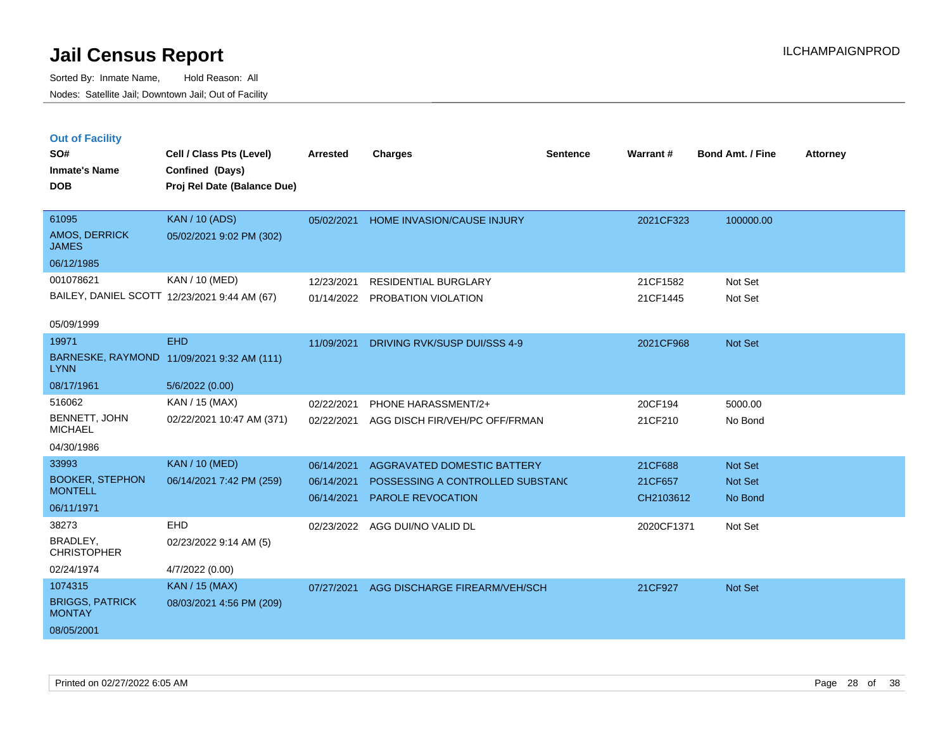**Out of Facility**

Sorted By: Inmate Name, Hold Reason: All Nodes: Satellite Jail; Downtown Jail; Out of Facility

**Cell / Class Pts (Level) Arrested Charges Warrant # Bond Amt. / Fine Attorney**

05/02/2021 HOME INVASION/CAUSE INJURY 2021CF323 100000.00

21 CF1582 Not Set 21 CF1445 Not Set

| SO#<br><b>Inmate's Name</b><br><b>DOB</b> | Cell / Class Pts (Level)<br>Confined (Days)<br>Proj Rel Date (Balance Due) | <b>Arrested</b> | <b>Charges</b>                    | Sentence |
|-------------------------------------------|----------------------------------------------------------------------------|-----------------|-----------------------------------|----------|
| 61095                                     | <b>KAN</b> / 10 (ADS)                                                      | 05/02/2021      | <b>HOME INVASION/CAUSE INJURY</b> |          |
| AMOS, DERRICK<br><b>JAMES</b>             | 05/02/2021 9:02 PM (302)                                                   |                 |                                   |          |
| 06/12/1985                                |                                                                            |                 |                                   |          |
| 001078621                                 | KAN / 10 (MED)                                                             | 12/23/2021      | RESIDENTIAL BURGLARY              |          |
|                                           | BAILEY, DANIEL SCOTT 12/23/2021 9:44 AM (67)                               | 01/14/2022      | PROBATION VIOLATION               |          |
| 05/09/1999                                |                                                                            |                 |                                   |          |
| 19971                                     | <b>EHD</b>                                                                 | 11/09/2021      | DRIVING RVK/SUSP DUI/SSS 4-9      |          |

| 19971                                   | <b>EHD</b>                                 | 11/09/2021 | DRIVING RVK/SUSP DUI/SSS 4-9     | 2021CF968  | Not Set |
|-----------------------------------------|--------------------------------------------|------------|----------------------------------|------------|---------|
| <b>LYNN</b>                             | BARNESKE, RAYMOND 11/09/2021 9:32 AM (111) |            |                                  |            |         |
| 08/17/1961                              | 5/6/2022(0.00)                             |            |                                  |            |         |
| 516062                                  | KAN / 15 (MAX)                             | 02/22/2021 | PHONE HARASSMENT/2+              | 20CF194    | 5000.00 |
| BENNETT, JOHN<br><b>MICHAEL</b>         | 02/22/2021 10:47 AM (371)                  | 02/22/2021 | AGG DISCH FIR/VEH/PC OFF/FRMAN   | 21CF210    | No Bond |
| 04/30/1986                              |                                            |            |                                  |            |         |
| 33993                                   | <b>KAN / 10 (MED)</b>                      | 06/14/2021 | AGGRAVATED DOMESTIC BATTERY      | 21CF688    | Not Set |
| <b>BOOKER, STEPHON</b>                  | 06/14/2021 7:42 PM (259)                   | 06/14/2021 | POSSESSING A CONTROLLED SUBSTANC | 21CF657    | Not Set |
| <b>MONTELL</b>                          |                                            | 06/14/2021 | PAROLE REVOCATION                | CH2103612  | No Bond |
| 06/11/1971                              |                                            |            |                                  |            |         |
| 38273                                   | <b>EHD</b>                                 | 02/23/2022 | AGG DUI/NO VALID DL              | 2020CF1371 | Not Set |
| BRADLEY,<br><b>CHRISTOPHER</b>          | 02/23/2022 9:14 AM (5)                     |            |                                  |            |         |
| 02/24/1974                              | 4/7/2022 (0.00)                            |            |                                  |            |         |
| 1074315                                 | <b>KAN / 15 (MAX)</b>                      | 07/27/2021 | AGG DISCHARGE FIREARM/VEH/SCH    | 21CF927    | Not Set |
| <b>BRIGGS, PATRICK</b><br><b>MONTAY</b> | 08/03/2021 4:56 PM (209)                   |            |                                  |            |         |
| 08/05/2001                              |                                            |            |                                  |            |         |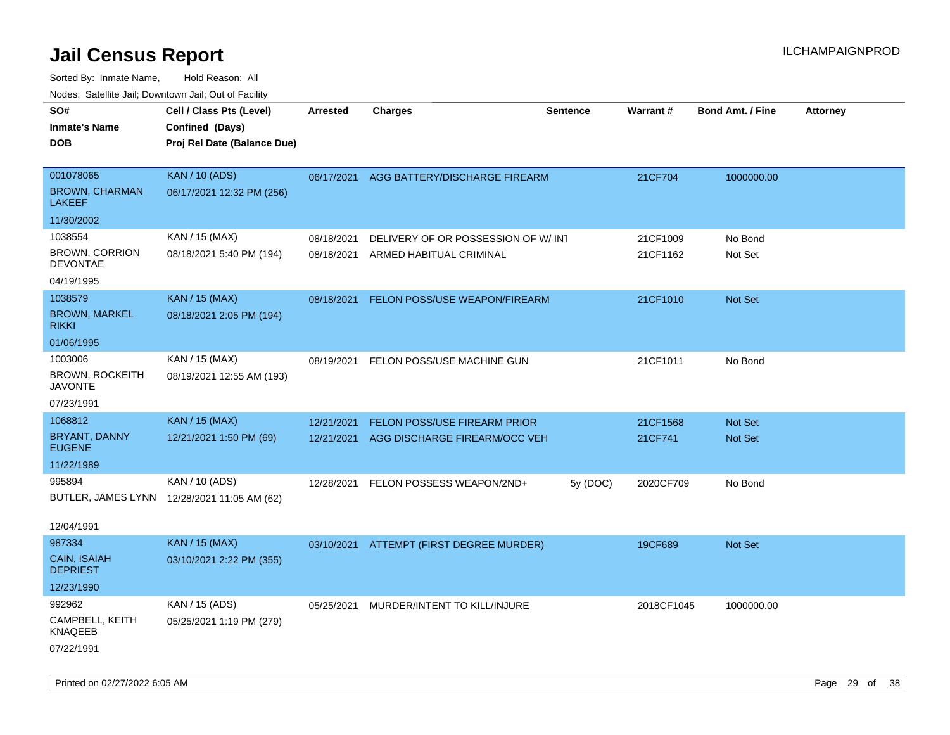| 10000. Catolino can, Domntonn can, Oat or I domt   |                                                                            |                          |                                                               |                 |                      |                         |                 |
|----------------------------------------------------|----------------------------------------------------------------------------|--------------------------|---------------------------------------------------------------|-----------------|----------------------|-------------------------|-----------------|
| SO#<br>Inmate's Name<br>DOB                        | Cell / Class Pts (Level)<br>Confined (Days)<br>Proj Rel Date (Balance Due) | Arrested                 | <b>Charges</b>                                                | <b>Sentence</b> | <b>Warrant#</b>      | <b>Bond Amt. / Fine</b> | <b>Attorney</b> |
| 001078065<br><b>BROWN, CHARMAN</b><br>LAKEEF       | <b>KAN / 10 (ADS)</b><br>06/17/2021 12:32 PM (256)                         | 06/17/2021               | AGG BATTERY/DISCHARGE FIREARM                                 |                 | 21CF704              | 1000000.00              |                 |
| 11/30/2002                                         |                                                                            |                          |                                                               |                 |                      |                         |                 |
| 1038554<br><b>BROWN, CORRION</b><br>DEVONTAE       | KAN / 15 (MAX)<br>08/18/2021 5:40 PM (194)                                 | 08/18/2021<br>08/18/2021 | DELIVERY OF OR POSSESSION OF W/INT<br>ARMED HABITUAL CRIMINAL |                 | 21CF1009<br>21CF1162 | No Bond<br>Not Set      |                 |
| 04/19/1995                                         |                                                                            |                          |                                                               |                 |                      |                         |                 |
| 1038579<br><b>BROWN, MARKEL</b><br>RIKKI           | <b>KAN / 15 (MAX)</b><br>08/18/2021 2:05 PM (194)                          | 08/18/2021               | FELON POSS/USE WEAPON/FIREARM                                 |                 | 21CF1010             | Not Set                 |                 |
| 01/06/1995                                         |                                                                            |                          |                                                               |                 |                      |                         |                 |
| 1003006<br>BROWN, ROCKEITH<br><b>JAVONTE</b>       | KAN / 15 (MAX)<br>08/19/2021 12:55 AM (193)                                | 08/19/2021               | FELON POSS/USE MACHINE GUN                                    |                 | 21CF1011             | No Bond                 |                 |
| 07/23/1991                                         |                                                                            |                          |                                                               |                 |                      |                         |                 |
| 1068812                                            | <b>KAN / 15 (MAX)</b>                                                      | 12/21/2021               | FELON POSS/USE FIREARM PRIOR                                  |                 | 21CF1568             | Not Set                 |                 |
| BRYANT, DANNY<br><b>EUGENE</b>                     | 12/21/2021 1:50 PM (69)                                                    | 12/21/2021               | AGG DISCHARGE FIREARM/OCC VEH                                 |                 | 21CF741              | <b>Not Set</b>          |                 |
| 11/22/1989                                         |                                                                            |                          |                                                               |                 |                      |                         |                 |
| 995894                                             | KAN / 10 (ADS)                                                             | 12/28/2021               | FELON POSSESS WEAPON/2ND+                                     | 5y (DOC)        | 2020CF709            | No Bond                 |                 |
| 12/04/1991                                         | BUTLER, JAMES LYNN 12/28/2021 11:05 AM (62)                                |                          |                                                               |                 |                      |                         |                 |
| 987334                                             | <b>KAN / 15 (MAX)</b>                                                      |                          |                                                               |                 |                      |                         |                 |
| CAIN, ISAIAH<br>DEPRIEST                           | 03/10/2021 2:22 PM (355)                                                   |                          | 03/10/2021 ATTEMPT (FIRST DEGREE MURDER)                      |                 | 19CF689              | <b>Not Set</b>          |                 |
| 12/23/1990                                         |                                                                            |                          |                                                               |                 |                      |                         |                 |
| 992962<br>CAMPBELL, KEITH<br>KNAQEEB<br>07/22/1991 | KAN / 15 (ADS)<br>05/25/2021 1:19 PM (279)                                 | 05/25/2021               | MURDER/INTENT TO KILL/INJURE                                  |                 | 2018CF1045           | 1000000.00              |                 |
|                                                    |                                                                            |                          |                                                               |                 |                      |                         |                 |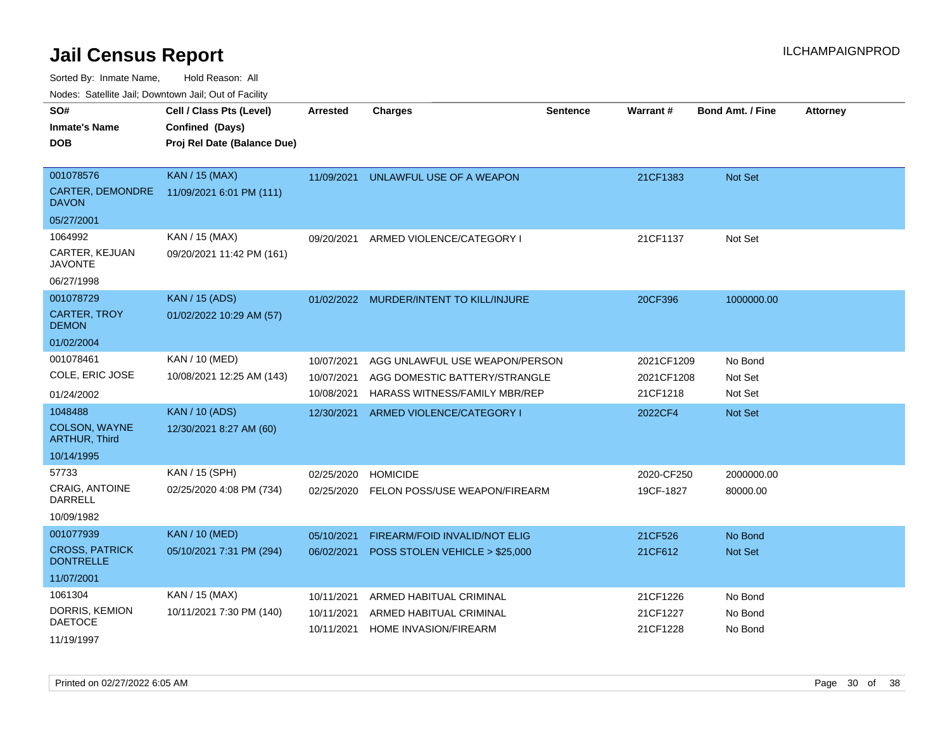Sorted By: Inmate Name, Hold Reason: All

Nodes: Satellite Jail; Downtown Jail; Out of Facility

| SO#<br><b>Inmate's Name</b><br><b>DOB</b>                             | Cell / Class Pts (Level)<br>Confined (Days)<br>Proj Rel Date (Balance Due) | <b>Arrested</b>                        | <b>Charges</b>                                                                                   | Sentence | Warrant#                             | <b>Bond Amt. / Fine</b>       | <b>Attorney</b> |
|-----------------------------------------------------------------------|----------------------------------------------------------------------------|----------------------------------------|--------------------------------------------------------------------------------------------------|----------|--------------------------------------|-------------------------------|-----------------|
| 001078576<br>CARTER, DEMONDRE<br><b>DAVON</b><br>05/27/2001           | <b>KAN / 15 (MAX)</b><br>11/09/2021 6:01 PM (111)                          | 11/09/2021                             | UNLAWFUL USE OF A WEAPON                                                                         |          | 21CF1383                             | <b>Not Set</b>                |                 |
| 1064992<br>CARTER, KEJUAN<br><b>JAVONTE</b><br>06/27/1998             | KAN / 15 (MAX)<br>09/20/2021 11:42 PM (161)                                | 09/20/2021                             | ARMED VIOLENCE/CATEGORY I                                                                        |          | 21CF1137                             | Not Set                       |                 |
| 001078729<br><b>CARTER, TROY</b><br><b>DEMON</b><br>01/02/2004        | <b>KAN / 15 (ADS)</b><br>01/02/2022 10:29 AM (57)                          |                                        | 01/02/2022 MURDER/INTENT TO KILL/INJURE                                                          |          | 20CF396                              | 1000000.00                    |                 |
| 001078461<br>COLE, ERIC JOSE<br>01/24/2002                            | KAN / 10 (MED)<br>10/08/2021 12:25 AM (143)                                | 10/07/2021<br>10/07/2021<br>10/08/2021 | AGG UNLAWFUL USE WEAPON/PERSON<br>AGG DOMESTIC BATTERY/STRANGLE<br>HARASS WITNESS/FAMILY MBR/REP |          | 2021CF1209<br>2021CF1208<br>21CF1218 | No Bond<br>Not Set<br>Not Set |                 |
| 1048488<br><b>COLSON, WAYNE</b><br><b>ARTHUR, Third</b><br>10/14/1995 | <b>KAN / 10 (ADS)</b><br>12/30/2021 8:27 AM (60)                           | 12/30/2021                             | ARMED VIOLENCE/CATEGORY I                                                                        |          | 2022CF4                              | <b>Not Set</b>                |                 |
| 57733<br>CRAIG, ANTOINE<br><b>DARRELL</b><br>10/09/1982               | KAN / 15 (SPH)<br>02/25/2020 4:08 PM (734)                                 | 02/25/2020<br>02/25/2020               | <b>HOMICIDE</b><br>FELON POSS/USE WEAPON/FIREARM                                                 |          | 2020-CF250<br>19CF-1827              | 2000000.00<br>80000.00        |                 |
| 001077939<br><b>CROSS, PATRICK</b><br><b>DONTRELLE</b><br>11/07/2001  | <b>KAN / 10 (MED)</b><br>05/10/2021 7:31 PM (294)                          | 05/10/2021<br>06/02/2021               | FIREARM/FOID INVALID/NOT ELIG<br>POSS STOLEN VEHICLE > \$25,000                                  |          | 21CF526<br>21CF612                   | No Bond<br>Not Set            |                 |
| 1061304<br>DORRIS, KEMION<br><b>DAETOCE</b><br>11/19/1997             | KAN / 15 (MAX)<br>10/11/2021 7:30 PM (140)                                 | 10/11/2021<br>10/11/2021<br>10/11/2021 | ARMED HABITUAL CRIMINAL<br>ARMED HABITUAL CRIMINAL<br><b>HOME INVASION/FIREARM</b>               |          | 21CF1226<br>21CF1227<br>21CF1228     | No Bond<br>No Bond<br>No Bond |                 |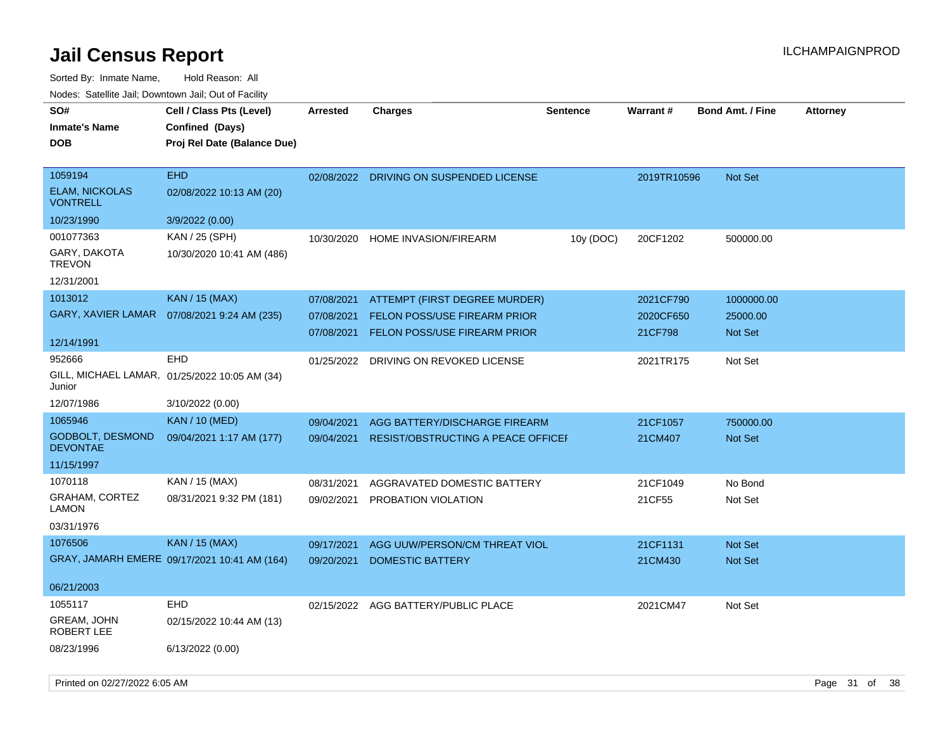| SO#                                        | Cell / Class Pts (Level)                      | <b>Arrested</b> | <b>Charges</b>                            | <b>Sentence</b> | <b>Warrant#</b> | <b>Bond Amt. / Fine</b> | <b>Attorney</b> |
|--------------------------------------------|-----------------------------------------------|-----------------|-------------------------------------------|-----------------|-----------------|-------------------------|-----------------|
| <b>Inmate's Name</b>                       | Confined (Days)                               |                 |                                           |                 |                 |                         |                 |
| <b>DOB</b>                                 | Proj Rel Date (Balance Due)                   |                 |                                           |                 |                 |                         |                 |
|                                            |                                               |                 |                                           |                 |                 |                         |                 |
| 1059194                                    | <b>EHD</b>                                    | 02/08/2022      | DRIVING ON SUSPENDED LICENSE              |                 | 2019TR10596     | <b>Not Set</b>          |                 |
| <b>ELAM, NICKOLAS</b><br><b>VONTRELL</b>   | 02/08/2022 10:13 AM (20)                      |                 |                                           |                 |                 |                         |                 |
| 10/23/1990                                 | 3/9/2022 (0.00)                               |                 |                                           |                 |                 |                         |                 |
| 001077363                                  | KAN / 25 (SPH)                                | 10/30/2020      | <b>HOME INVASION/FIREARM</b>              | 10y (DOC)       | 20CF1202        | 500000.00               |                 |
| GARY, DAKOTA<br><b>TREVON</b>              | 10/30/2020 10:41 AM (486)                     |                 |                                           |                 |                 |                         |                 |
| 12/31/2001                                 |                                               |                 |                                           |                 |                 |                         |                 |
| 1013012                                    | <b>KAN / 15 (MAX)</b>                         | 07/08/2021      | ATTEMPT (FIRST DEGREE MURDER)             |                 | 2021CF790       | 1000000.00              |                 |
| GARY, XAVIER LAMAR                         | 07/08/2021 9:24 AM (235)                      | 07/08/2021      | <b>FELON POSS/USE FIREARM PRIOR</b>       |                 | 2020CF650       | 25000.00                |                 |
|                                            |                                               |                 | 07/08/2021 FELON POSS/USE FIREARM PRIOR   |                 | 21CF798         | Not Set                 |                 |
| 12/14/1991                                 |                                               |                 |                                           |                 |                 |                         |                 |
| 952666                                     | <b>EHD</b>                                    | 01/25/2022      | DRIVING ON REVOKED LICENSE                |                 | 2021TR175       | Not Set                 |                 |
| Junior                                     | GILL, MICHAEL LAMAR, 01/25/2022 10:05 AM (34) |                 |                                           |                 |                 |                         |                 |
| 12/07/1986                                 | 3/10/2022 (0.00)                              |                 |                                           |                 |                 |                         |                 |
| 1065946                                    | <b>KAN / 10 (MED)</b>                         | 09/04/2021      | AGG BATTERY/DISCHARGE FIREARM             |                 | 21CF1057        | 750000.00               |                 |
| <b>GODBOLT, DESMOND</b><br><b>DEVONTAE</b> | 09/04/2021 1:17 AM (177)                      | 09/04/2021      | <b>RESIST/OBSTRUCTING A PEACE OFFICEF</b> |                 | 21CM407         | Not Set                 |                 |
| 11/15/1997                                 |                                               |                 |                                           |                 |                 |                         |                 |
| 1070118                                    | KAN / 15 (MAX)                                | 08/31/2021      | AGGRAVATED DOMESTIC BATTERY               |                 | 21CF1049        | No Bond                 |                 |
| <b>GRAHAM, CORTEZ</b><br>LAMON             | 08/31/2021 9:32 PM (181)                      | 09/02/2021      | PROBATION VIOLATION                       |                 | 21CF55          | Not Set                 |                 |
| 03/31/1976                                 |                                               |                 |                                           |                 |                 |                         |                 |
| 1076506                                    | <b>KAN / 15 (MAX)</b>                         | 09/17/2021      | AGG UUW/PERSON/CM THREAT VIOL             |                 | 21CF1131        | Not Set                 |                 |
|                                            | GRAY, JAMARH EMERE 09/17/2021 10:41 AM (164)  | 09/20/2021      | <b>DOMESTIC BATTERY</b>                   |                 | 21CM430         | Not Set                 |                 |
|                                            |                                               |                 |                                           |                 |                 |                         |                 |
| 06/21/2003                                 |                                               |                 |                                           |                 |                 |                         |                 |
| 1055117                                    | <b>EHD</b>                                    | 02/15/2022      | AGG BATTERY/PUBLIC PLACE                  |                 | 2021CM47        | Not Set                 |                 |
| GREAM, JOHN<br>ROBERT LEE                  | 02/15/2022 10:44 AM (13)                      |                 |                                           |                 |                 |                         |                 |
| 08/23/1996                                 | 6/13/2022 (0.00)                              |                 |                                           |                 |                 |                         |                 |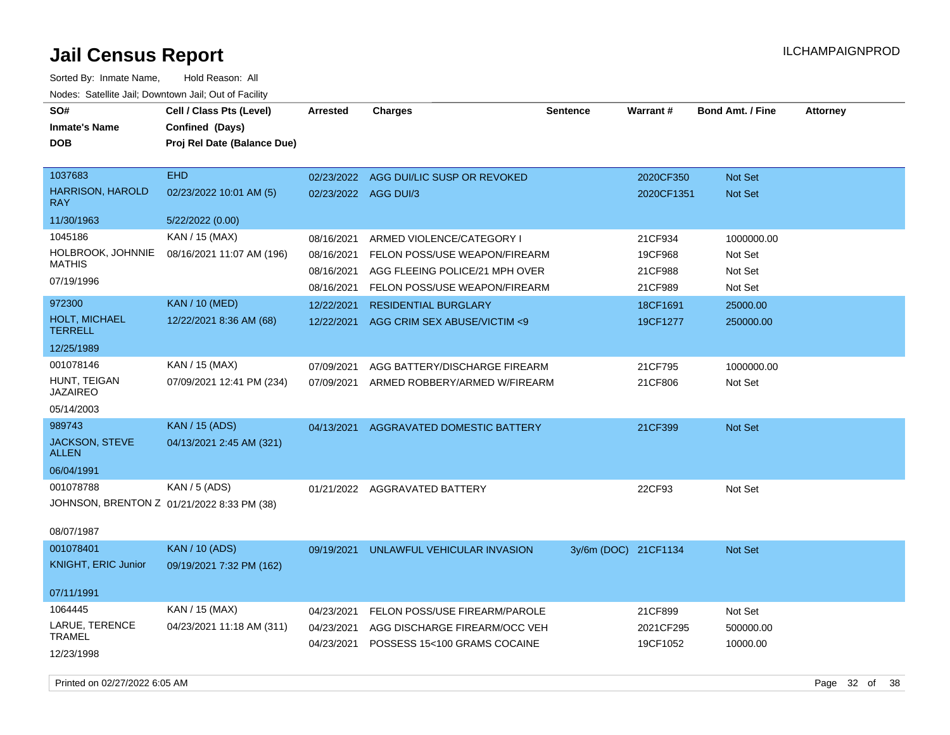Sorted By: Inmate Name, Hold Reason: All Nodes: Satellite Jail; Downtown Jail; Out of Facility

| SO#<br><b>Inmate's Name</b><br><b>DOB</b>                             | Cell / Class Pts (Level)<br>Confined (Days)<br>Proj Rel Date (Balance Due) | Arrested                               | <b>Charges</b>                                                                               | <b>Sentence</b>      | Warrant#                      | <b>Bond Amt. / Fine</b>          | <b>Attorney</b> |
|-----------------------------------------------------------------------|----------------------------------------------------------------------------|----------------------------------------|----------------------------------------------------------------------------------------------|----------------------|-------------------------------|----------------------------------|-----------------|
| 1037683<br><b>HARRISON, HAROLD</b><br><b>RAY</b>                      | <b>EHD</b><br>02/23/2022 10:01 AM (5)                                      | 02/23/2022<br>02/23/2022 AGG DUI/3     | AGG DUI/LIC SUSP OR REVOKED                                                                  |                      | 2020CF350<br>2020CF1351       | Not Set<br><b>Not Set</b>        |                 |
| 11/30/1963                                                            | 5/22/2022 (0.00)                                                           |                                        |                                                                                              |                      |                               |                                  |                 |
| 1045186<br>HOLBROOK, JOHNNIE<br><b>MATHIS</b><br>07/19/1996           | KAN / 15 (MAX)<br>08/16/2021 11:07 AM (196)                                | 08/16/2021<br>08/16/2021<br>08/16/2021 | ARMED VIOLENCE/CATEGORY I<br>FELON POSS/USE WEAPON/FIREARM<br>AGG FLEEING POLICE/21 MPH OVER |                      | 21CF934<br>19CF968<br>21CF988 | 1000000.00<br>Not Set<br>Not Set |                 |
|                                                                       |                                                                            | 08/16/2021                             | FELON POSS/USE WEAPON/FIREARM                                                                |                      | 21CF989                       | Not Set                          |                 |
| 972300<br><b>HOLT, MICHAEL</b><br><b>TERRELL</b>                      | <b>KAN / 10 (MED)</b><br>12/22/2021 8:36 AM (68)                           | 12/22/2021<br>12/22/2021               | <b>RESIDENTIAL BURGLARY</b><br>AGG CRIM SEX ABUSE/VICTIM <9                                  |                      | 18CF1691<br>19CF1277          | 25000.00<br>250000.00            |                 |
| 12/25/1989                                                            |                                                                            |                                        |                                                                                              |                      |                               |                                  |                 |
| 001078146<br>HUNT, TEIGAN<br><b>JAZAIREO</b><br>05/14/2003            | KAN / 15 (MAX)<br>07/09/2021 12:41 PM (234)                                | 07/09/2021<br>07/09/2021               | AGG BATTERY/DISCHARGE FIREARM<br>ARMED ROBBERY/ARMED W/FIREARM                               |                      | 21CF795<br>21CF806            | 1000000.00<br>Not Set            |                 |
| 989743                                                                | <b>KAN / 15 (ADS)</b>                                                      |                                        |                                                                                              |                      |                               |                                  |                 |
| JACKSON, STEVE<br><b>ALLEN</b>                                        | 04/13/2021 2:45 AM (321)                                                   | 04/13/2021                             | AGGRAVATED DOMESTIC BATTERY                                                                  |                      | 21CF399                       | <b>Not Set</b>                   |                 |
| 06/04/1991                                                            |                                                                            |                                        |                                                                                              |                      |                               |                                  |                 |
| 001078788<br>JOHNSON, BRENTON Z 01/21/2022 8:33 PM (38)<br>08/07/1987 | <b>KAN / 5 (ADS)</b>                                                       |                                        | 01/21/2022 AGGRAVATED BATTERY                                                                |                      | 22CF93                        | Not Set                          |                 |
| 001078401<br><b>KNIGHT, ERIC Junior</b>                               | <b>KAN / 10 (ADS)</b><br>09/19/2021 7:32 PM (162)                          | 09/19/2021                             | UNLAWFUL VEHICULAR INVASION                                                                  | 3y/6m (DOC) 21CF1134 |                               | <b>Not Set</b>                   |                 |
| 07/11/1991                                                            |                                                                            |                                        |                                                                                              |                      |                               |                                  |                 |
| 1064445                                                               | KAN / 15 (MAX)                                                             | 04/23/2021                             | FELON POSS/USE FIREARM/PAROLE                                                                |                      | 21CF899                       | Not Set                          |                 |
| LARUE, TERENCE<br><b>TRAMEL</b><br>12/23/1998                         | 04/23/2021 11:18 AM (311)                                                  | 04/23/2021<br>04/23/2021               | AGG DISCHARGE FIREARM/OCC VEH<br>POSSESS 15<100 GRAMS COCAINE                                |                      | 2021CF295<br>19CF1052         | 500000.00<br>10000.00            |                 |

Printed on 02/27/2022 6:05 AM Page 32 of 38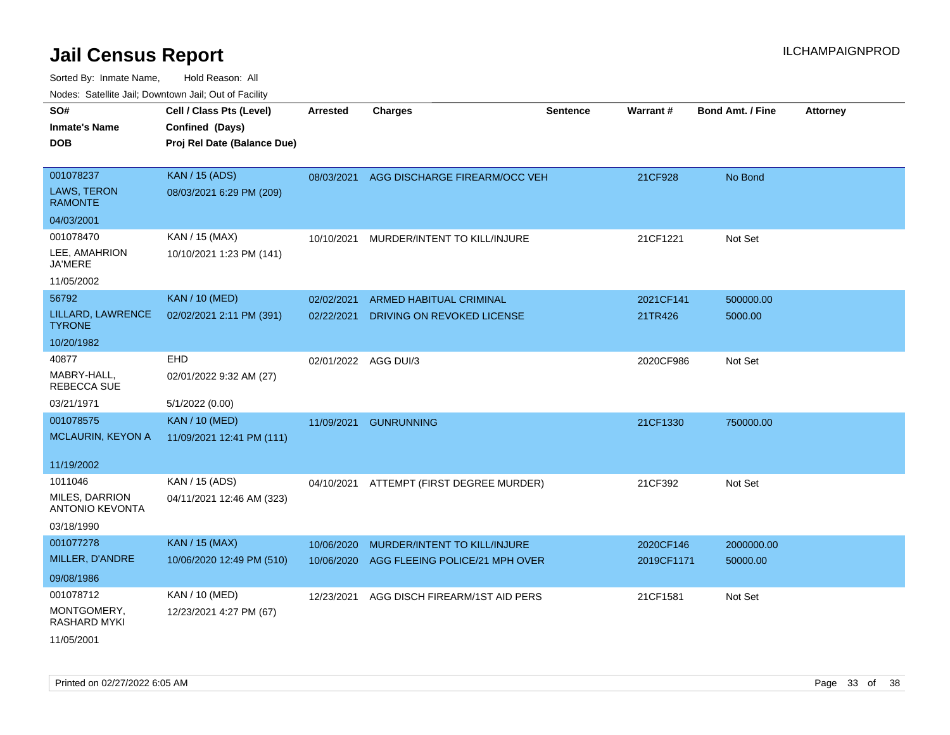| ivouss. Satellite Jali, Downtown Jali, Out of Facility |                             |                      |                                |                 |            |                         |                 |
|--------------------------------------------------------|-----------------------------|----------------------|--------------------------------|-----------------|------------|-------------------------|-----------------|
| SO#                                                    | Cell / Class Pts (Level)    | <b>Arrested</b>      | <b>Charges</b>                 | <b>Sentence</b> | Warrant#   | <b>Bond Amt. / Fine</b> | <b>Attorney</b> |
| Inmate's Name                                          | Confined (Days)             |                      |                                |                 |            |                         |                 |
| DOB                                                    | Proj Rel Date (Balance Due) |                      |                                |                 |            |                         |                 |
|                                                        |                             |                      |                                |                 |            |                         |                 |
| 001078237                                              | <b>KAN / 15 (ADS)</b>       | 08/03/2021           | AGG DISCHARGE FIREARM/OCC VEH  |                 | 21CF928    | No Bond                 |                 |
| <b>LAWS, TERON</b><br><b>RAMONTE</b>                   | 08/03/2021 6:29 PM (209)    |                      |                                |                 |            |                         |                 |
| 04/03/2001                                             |                             |                      |                                |                 |            |                         |                 |
| 001078470                                              | KAN / 15 (MAX)              | 10/10/2021           | MURDER/INTENT TO KILL/INJURE   |                 | 21CF1221   | Not Set                 |                 |
| LEE, AMAHRION<br>JA'MERE                               | 10/10/2021 1:23 PM (141)    |                      |                                |                 |            |                         |                 |
| 11/05/2002                                             |                             |                      |                                |                 |            |                         |                 |
| 56792                                                  | <b>KAN / 10 (MED)</b>       | 02/02/2021           | <b>ARMED HABITUAL CRIMINAL</b> |                 | 2021CF141  | 500000.00               |                 |
| LILLARD, LAWRENCE<br><b>TYRONE</b>                     | 02/02/2021 2:11 PM (391)    | 02/22/2021           | DRIVING ON REVOKED LICENSE     |                 | 21TR426    | 5000.00                 |                 |
| 10/20/1982                                             |                             |                      |                                |                 |            |                         |                 |
| 40877                                                  | EHD                         | 02/01/2022 AGG DUI/3 |                                |                 | 2020CF986  | Not Set                 |                 |
| MABRY-HALL.<br>REBECCA SUE                             | 02/01/2022 9:32 AM (27)     |                      |                                |                 |            |                         |                 |
| 03/21/1971                                             | 5/1/2022 (0.00)             |                      |                                |                 |            |                         |                 |
| 001078575                                              | <b>KAN / 10 (MED)</b>       | 11/09/2021           | <b>GUNRUNNING</b>              |                 | 21CF1330   | 750000.00               |                 |
| MCLAURIN, KEYON A                                      | 11/09/2021 12:41 PM (111)   |                      |                                |                 |            |                         |                 |
|                                                        |                             |                      |                                |                 |            |                         |                 |
| 11/19/2002                                             |                             |                      |                                |                 |            |                         |                 |
| 1011046                                                | KAN / 15 (ADS)              | 04/10/2021           | ATTEMPT (FIRST DEGREE MURDER)  |                 | 21CF392    | Not Set                 |                 |
| <b>MILES, DARRION</b><br><b>ANTONIO KEVONTA</b>        | 04/11/2021 12:46 AM (323)   |                      |                                |                 |            |                         |                 |
| 03/18/1990                                             |                             |                      |                                |                 |            |                         |                 |
| 001077278                                              | <b>KAN / 15 (MAX)</b>       | 10/06/2020           | MURDER/INTENT TO KILL/INJURE   |                 | 2020CF146  | 2000000.00              |                 |
| MILLER, D'ANDRE                                        | 10/06/2020 12:49 PM (510)   | 10/06/2020           | AGG FLEEING POLICE/21 MPH OVER |                 | 2019CF1171 | 50000.00                |                 |
| 09/08/1986                                             |                             |                      |                                |                 |            |                         |                 |
| 001078712                                              | KAN / 10 (MED)              | 12/23/2021           | AGG DISCH FIREARM/1ST AID PERS |                 | 21CF1581   | Not Set                 |                 |
| MONTGOMERY,<br>RASHARD MYKI                            | 12/23/2021 4:27 PM (67)     |                      |                                |                 |            |                         |                 |
| 11/05/2001                                             |                             |                      |                                |                 |            |                         |                 |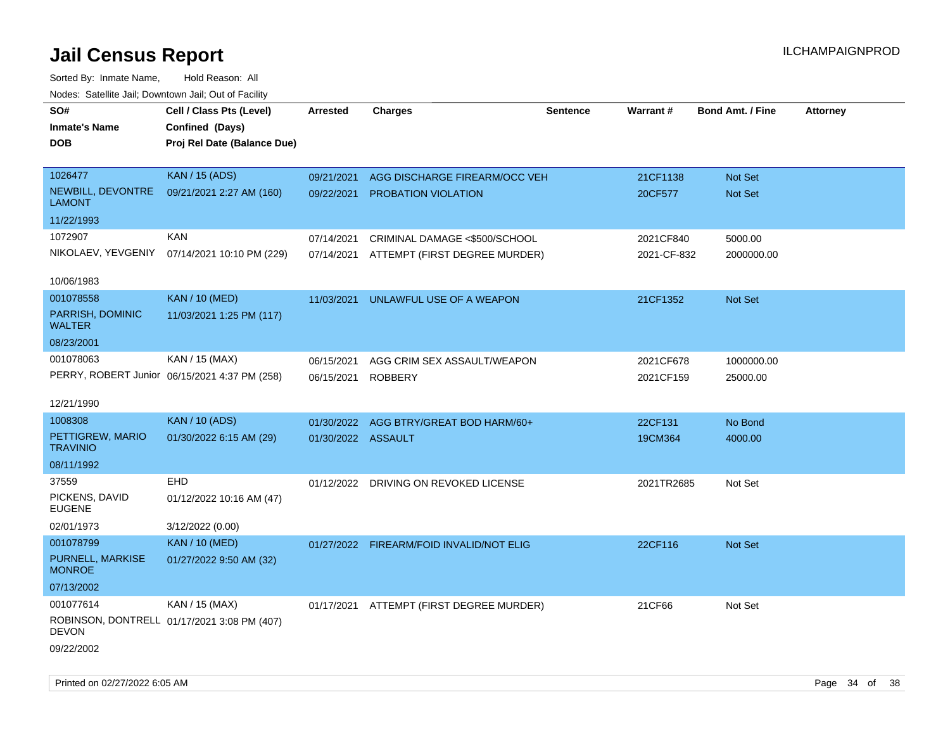| rouco. Calcinic Jan, Downtown Jan, Out of Facility |                                               |                    |                                          |                 |             |                         |                 |
|----------------------------------------------------|-----------------------------------------------|--------------------|------------------------------------------|-----------------|-------------|-------------------------|-----------------|
| SO#                                                | Cell / Class Pts (Level)                      | <b>Arrested</b>    | <b>Charges</b>                           | <b>Sentence</b> | Warrant#    | <b>Bond Amt. / Fine</b> | <b>Attorney</b> |
| <b>Inmate's Name</b>                               | Confined (Days)                               |                    |                                          |                 |             |                         |                 |
| <b>DOB</b>                                         | Proj Rel Date (Balance Due)                   |                    |                                          |                 |             |                         |                 |
|                                                    |                                               |                    |                                          |                 |             |                         |                 |
| 1026477                                            | <b>KAN / 15 (ADS)</b>                         | 09/21/2021         | AGG DISCHARGE FIREARM/OCC VEH            |                 | 21CF1138    | Not Set                 |                 |
| NEWBILL, DEVONTRE<br><b>LAMONT</b>                 | 09/21/2021 2:27 AM (160)                      | 09/22/2021         | <b>PROBATION VIOLATION</b>               |                 | 20CF577     | Not Set                 |                 |
| 11/22/1993                                         |                                               |                    |                                          |                 |             |                         |                 |
| 1072907                                            | <b>KAN</b>                                    | 07/14/2021         | CRIMINAL DAMAGE <\$500/SCHOOL            |                 | 2021CF840   | 5000.00                 |                 |
| NIKOLAEV, YEVGENIY                                 | 07/14/2021 10:10 PM (229)                     | 07/14/2021         | ATTEMPT (FIRST DEGREE MURDER)            |                 | 2021-CF-832 | 2000000.00              |                 |
| 10/06/1983                                         |                                               |                    |                                          |                 |             |                         |                 |
| 001078558                                          | <b>KAN / 10 (MED)</b>                         | 11/03/2021         | UNLAWFUL USE OF A WEAPON                 |                 | 21CF1352    | Not Set                 |                 |
| PARRISH, DOMINIC<br><b>WALTER</b>                  | 11/03/2021 1:25 PM (117)                      |                    |                                          |                 |             |                         |                 |
| 08/23/2001                                         |                                               |                    |                                          |                 |             |                         |                 |
| 001078063                                          | KAN / 15 (MAX)                                | 06/15/2021         | AGG CRIM SEX ASSAULT/WEAPON              |                 | 2021CF678   | 1000000.00              |                 |
|                                                    | PERRY, ROBERT Junior 06/15/2021 4:37 PM (258) | 06/15/2021         | <b>ROBBERY</b>                           |                 | 2021CF159   | 25000.00                |                 |
|                                                    |                                               |                    |                                          |                 |             |                         |                 |
| 12/21/1990                                         |                                               |                    |                                          |                 |             |                         |                 |
| 1008308                                            | <b>KAN / 10 (ADS)</b>                         | 01/30/2022         | AGG BTRY/GREAT BOD HARM/60+              |                 | 22CF131     | No Bond                 |                 |
| PETTIGREW, MARIO<br><b>TRAVINIO</b>                | 01/30/2022 6:15 AM (29)                       | 01/30/2022 ASSAULT |                                          |                 | 19CM364     | 4000.00                 |                 |
| 08/11/1992                                         |                                               |                    |                                          |                 |             |                         |                 |
| 37559                                              | <b>EHD</b>                                    |                    | 01/12/2022 DRIVING ON REVOKED LICENSE    |                 | 2021TR2685  | Not Set                 |                 |
| PICKENS, DAVID<br>EUGENE                           | 01/12/2022 10:16 AM (47)                      |                    |                                          |                 |             |                         |                 |
| 02/01/1973                                         | 3/12/2022 (0.00)                              |                    |                                          |                 |             |                         |                 |
| 001078799                                          | <b>KAN / 10 (MED)</b>                         | 01/27/2022         | <b>FIREARM/FOID INVALID/NOT ELIG</b>     |                 | 22CF116     | Not Set                 |                 |
| PURNELL, MARKISE<br><b>MONROE</b>                  | 01/27/2022 9:50 AM (32)                       |                    |                                          |                 |             |                         |                 |
| 07/13/2002                                         |                                               |                    |                                          |                 |             |                         |                 |
| 001077614                                          | KAN / 15 (MAX)                                |                    | 01/17/2021 ATTEMPT (FIRST DEGREE MURDER) |                 | 21CF66      | Not Set                 |                 |
| <b>DEVON</b>                                       | ROBINSON, DONTRELL 01/17/2021 3:08 PM (407)   |                    |                                          |                 |             |                         |                 |
| 09/22/2002                                         |                                               |                    |                                          |                 |             |                         |                 |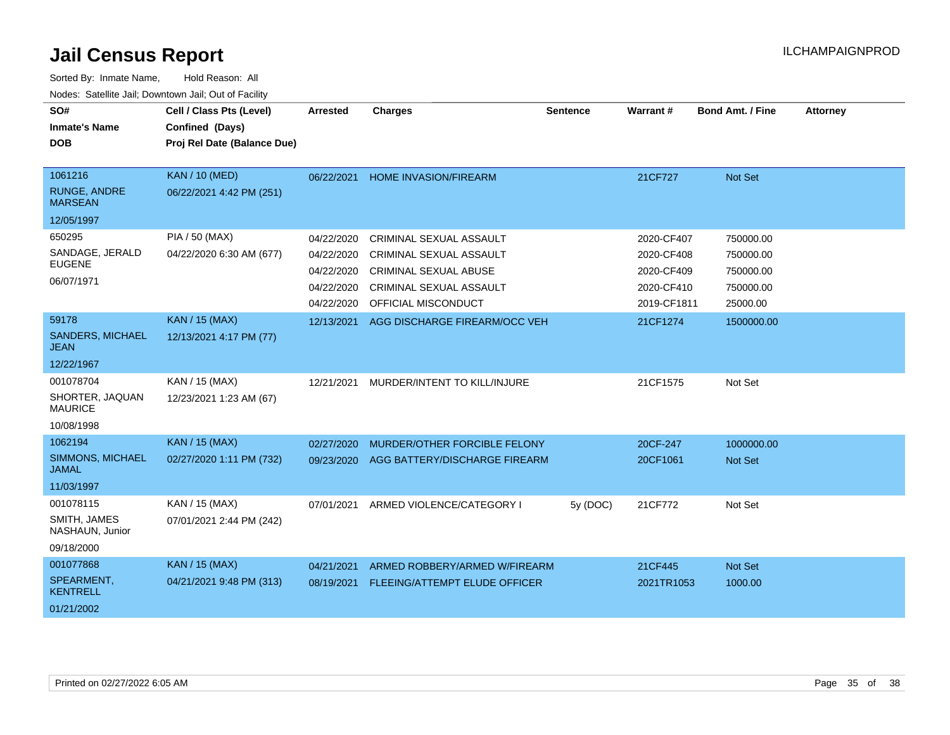| SO#<br><b>Inmate's Name</b><br><b>DOB</b> | Cell / Class Pts (Level)<br>Confined (Days)<br>Proj Rel Date (Balance Due) | Arrested   | <b>Charges</b>                 | <b>Sentence</b> | Warrant#    | <b>Bond Amt. / Fine</b> | <b>Attorney</b> |
|-------------------------------------------|----------------------------------------------------------------------------|------------|--------------------------------|-----------------|-------------|-------------------------|-----------------|
|                                           |                                                                            |            |                                |                 |             |                         |                 |
| 1061216                                   | <b>KAN / 10 (MED)</b>                                                      | 06/22/2021 | <b>HOME INVASION/FIREARM</b>   |                 | 21CF727     | Not Set                 |                 |
| <b>RUNGE, ANDRE</b><br><b>MARSEAN</b>     | 06/22/2021 4:42 PM (251)                                                   |            |                                |                 |             |                         |                 |
| 12/05/1997                                |                                                                            |            |                                |                 |             |                         |                 |
| 650295                                    | PIA / 50 (MAX)                                                             | 04/22/2020 | CRIMINAL SEXUAL ASSAULT        |                 | 2020-CF407  | 750000.00               |                 |
| SANDAGE, JERALD                           | 04/22/2020 6:30 AM (677)                                                   | 04/22/2020 | <b>CRIMINAL SEXUAL ASSAULT</b> |                 | 2020-CF408  | 750000.00               |                 |
| <b>EUGENE</b>                             |                                                                            | 04/22/2020 | CRIMINAL SEXUAL ABUSE          |                 | 2020-CF409  | 750000.00               |                 |
| 06/07/1971                                |                                                                            | 04/22/2020 | CRIMINAL SEXUAL ASSAULT        |                 | 2020-CF410  | 750000.00               |                 |
|                                           |                                                                            | 04/22/2020 | OFFICIAL MISCONDUCT            |                 | 2019-CF1811 | 25000.00                |                 |
| 59178                                     | <b>KAN / 15 (MAX)</b>                                                      | 12/13/2021 | AGG DISCHARGE FIREARM/OCC VEH  |                 | 21CF1274    | 1500000.00              |                 |
| <b>SANDERS, MICHAEL</b><br>JEAN           | 12/13/2021 4:17 PM (77)                                                    |            |                                |                 |             |                         |                 |
| 12/22/1967                                |                                                                            |            |                                |                 |             |                         |                 |
| 001078704                                 | KAN / 15 (MAX)                                                             | 12/21/2021 | MURDER/INTENT TO KILL/INJURE   |                 | 21CF1575    | Not Set                 |                 |
| SHORTER, JAQUAN<br><b>MAURICE</b>         | 12/23/2021 1:23 AM (67)                                                    |            |                                |                 |             |                         |                 |
| 10/08/1998                                |                                                                            |            |                                |                 |             |                         |                 |
| 1062194                                   | <b>KAN / 15 (MAX)</b>                                                      | 02/27/2020 | MURDER/OTHER FORCIBLE FELONY   |                 | 20CF-247    | 1000000.00              |                 |
| <b>SIMMONS, MICHAEL</b><br><b>JAMAL</b>   | 02/27/2020 1:11 PM (732)                                                   | 09/23/2020 | AGG BATTERY/DISCHARGE FIREARM  |                 | 20CF1061    | Not Set                 |                 |
| 11/03/1997                                |                                                                            |            |                                |                 |             |                         |                 |
| 001078115                                 | KAN / 15 (MAX)                                                             | 07/01/2021 | ARMED VIOLENCE/CATEGORY I      | 5y (DOC)        | 21CF772     | Not Set                 |                 |
| SMITH, JAMES<br>NASHAUN, Junior           | 07/01/2021 2:44 PM (242)                                                   |            |                                |                 |             |                         |                 |
| 09/18/2000                                |                                                                            |            |                                |                 |             |                         |                 |
| 001077868                                 | <b>KAN / 15 (MAX)</b>                                                      | 04/21/2021 | ARMED ROBBERY/ARMED W/FIREARM  |                 | 21CF445     | Not Set                 |                 |
| SPEARMENT,<br><b>KENTRELL</b>             | 04/21/2021 9:48 PM (313)                                                   | 08/19/2021 | FLEEING/ATTEMPT ELUDE OFFICER  |                 | 2021TR1053  | 1000.00                 |                 |
| 01/21/2002                                |                                                                            |            |                                |                 |             |                         |                 |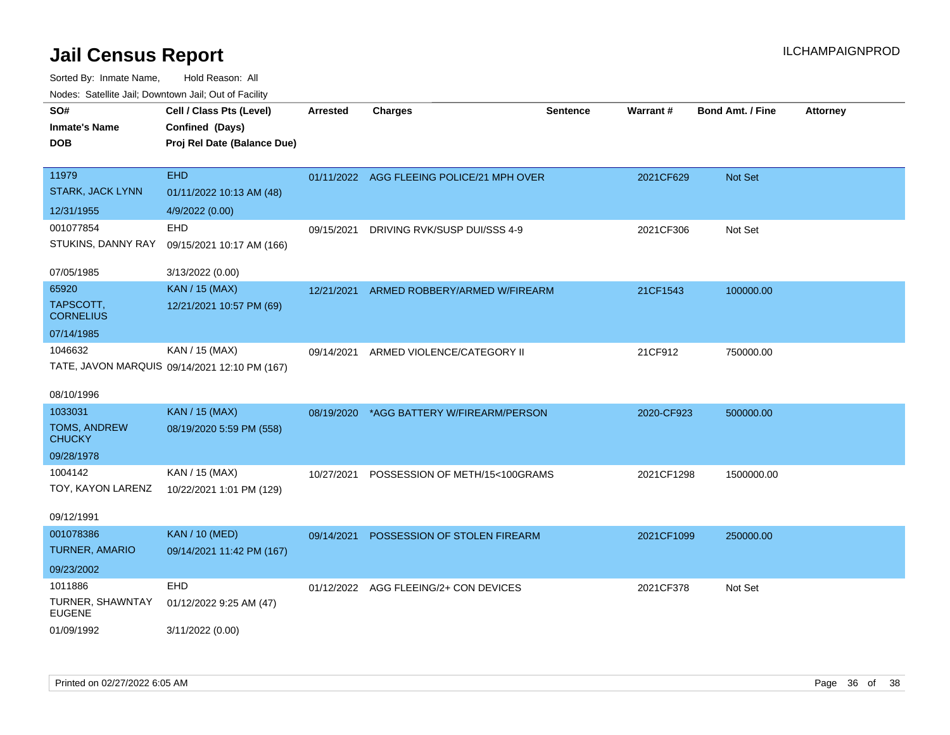| SO#<br><b>Inmate's Name</b><br><b>DOB</b> | Cell / Class Pts (Level)<br>Confined (Days)<br>Proj Rel Date (Balance Due) | <b>Arrested</b> | <b>Charges</b>                            | <b>Sentence</b> | <b>Warrant#</b> | <b>Bond Amt. / Fine</b> | <b>Attorney</b> |
|-------------------------------------------|----------------------------------------------------------------------------|-----------------|-------------------------------------------|-----------------|-----------------|-------------------------|-----------------|
| 11979<br><b>STARK, JACK LYNN</b>          | <b>EHD</b><br>01/11/2022 10:13 AM (48)                                     |                 | 01/11/2022 AGG FLEEING POLICE/21 MPH OVER |                 | 2021CF629       | Not Set                 |                 |
| 12/31/1955                                | 4/9/2022 (0.00)                                                            |                 |                                           |                 |                 |                         |                 |
| 001077854                                 | EHD                                                                        | 09/15/2021      | DRIVING RVK/SUSP DUI/SSS 4-9              |                 | 2021CF306       | Not Set                 |                 |
| STUKINS, DANNY RAY                        | 09/15/2021 10:17 AM (166)                                                  |                 |                                           |                 |                 |                         |                 |
| 07/05/1985                                | 3/13/2022 (0.00)                                                           |                 |                                           |                 |                 |                         |                 |
| 65920                                     | <b>KAN</b> / 15 (MAX)                                                      | 12/21/2021      | ARMED ROBBERY/ARMED W/FIREARM             |                 | 21CF1543        | 100000.00               |                 |
| TAPSCOTT,<br><b>CORNELIUS</b>             | 12/21/2021 10:57 PM (69)                                                   |                 |                                           |                 |                 |                         |                 |
| 07/14/1985                                |                                                                            |                 |                                           |                 |                 |                         |                 |
| 1046632                                   | KAN / 15 (MAX)                                                             | 09/14/2021      | ARMED VIOLENCE/CATEGORY II                |                 | 21CF912         | 750000.00               |                 |
| 08/10/1996                                | TATE, JAVON MARQUIS 09/14/2021 12:10 PM (167)                              |                 |                                           |                 |                 |                         |                 |
| 1033031                                   | <b>KAN</b> / 15 (MAX)                                                      | 08/19/2020      | *AGG BATTERY W/FIREARM/PERSON             |                 | 2020-CF923      | 500000.00               |                 |
| TOMS, ANDREW<br><b>CHUCKY</b>             | 08/19/2020 5:59 PM (558)                                                   |                 |                                           |                 |                 |                         |                 |
| 09/28/1978                                |                                                                            |                 |                                           |                 |                 |                         |                 |
| 1004142                                   | KAN / 15 (MAX)                                                             | 10/27/2021      | POSSESSION OF METH/15<100GRAMS            |                 | 2021CF1298      | 1500000.00              |                 |
| TOY, KAYON LARENZ                         | 10/22/2021 1:01 PM (129)                                                   |                 |                                           |                 |                 |                         |                 |
| 09/12/1991                                |                                                                            |                 |                                           |                 |                 |                         |                 |
| 001078386                                 | <b>KAN / 10 (MED)</b>                                                      | 09/14/2021      | POSSESSION OF STOLEN FIREARM              |                 | 2021CF1099      | 250000.00               |                 |
| TURNER, AMARIO                            | 09/14/2021 11:42 PM (167)                                                  |                 |                                           |                 |                 |                         |                 |
| 09/23/2002                                |                                                                            |                 |                                           |                 |                 |                         |                 |
| 1011886                                   | EHD                                                                        |                 | 01/12/2022 AGG FLEEING/2+ CON DEVICES     |                 | 2021CF378       | Not Set                 |                 |
| TURNER, SHAWNTAY<br><b>EUGENE</b>         | 01/12/2022 9:25 AM (47)                                                    |                 |                                           |                 |                 |                         |                 |
| 01/09/1992                                | 3/11/2022 (0.00)                                                           |                 |                                           |                 |                 |                         |                 |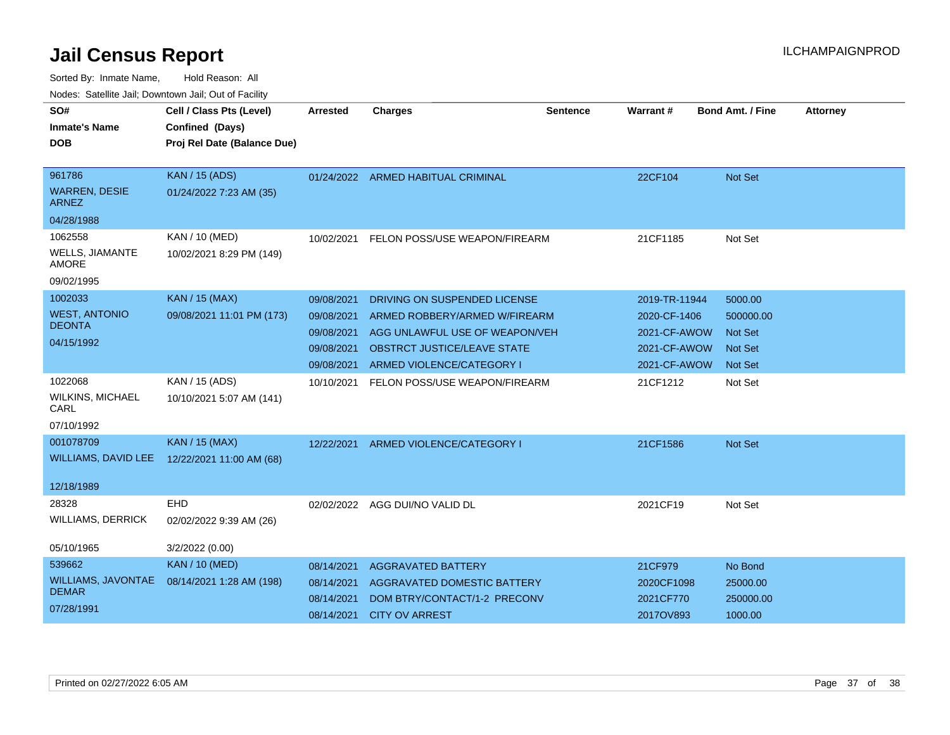| SO#<br><b>Inmate's Name</b><br><b>DOB</b>                      | Cell / Class Pts (Level)<br>Confined (Days)<br>Proj Rel Date (Balance Due) | Arrested                                                           | <b>Charges</b>                                                                                                                                              | Sentence | <b>Warrant#</b>                                                               | <b>Bond Amt. / Fine</b>                                                    | <b>Attorney</b> |
|----------------------------------------------------------------|----------------------------------------------------------------------------|--------------------------------------------------------------------|-------------------------------------------------------------------------------------------------------------------------------------------------------------|----------|-------------------------------------------------------------------------------|----------------------------------------------------------------------------|-----------------|
| 961786<br><b>WARREN, DESIE</b>                                 | KAN / 15 (ADS)<br>01/24/2022 7:23 AM (35)                                  |                                                                    | 01/24/2022 ARMED HABITUAL CRIMINAL                                                                                                                          |          | 22CF104                                                                       | <b>Not Set</b>                                                             |                 |
| <b>ARNEZ</b><br>04/28/1988                                     |                                                                            |                                                                    |                                                                                                                                                             |          |                                                                               |                                                                            |                 |
| 1062558<br><b>WELLS, JIAMANTE</b><br>AMORE<br>09/02/1995       | <b>KAN / 10 (MED)</b><br>10/02/2021 8:29 PM (149)                          | 10/02/2021                                                         | FELON POSS/USE WEAPON/FIREARM                                                                                                                               |          | 21CF1185                                                                      | Not Set                                                                    |                 |
| 1002033<br><b>WEST, ANTONIO</b><br><b>DEONTA</b><br>04/15/1992 | <b>KAN / 15 (MAX)</b><br>09/08/2021 11:01 PM (173)                         | 09/08/2021<br>09/08/2021<br>09/08/2021<br>09/08/2021<br>09/08/2021 | DRIVING ON SUSPENDED LICENSE<br>ARMED ROBBERY/ARMED W/FIREARM<br>AGG UNLAWFUL USE OF WEAPON/VEH<br>OBSTRCT JUSTICE/LEAVE STATE<br>ARMED VIOLENCE/CATEGORY I |          | 2019-TR-11944<br>2020-CF-1406<br>2021-CF-AWOW<br>2021-CF-AWOW<br>2021-CF-AWOW | 5000.00<br>500000.00<br><b>Not Set</b><br><b>Not Set</b><br><b>Not Set</b> |                 |
| 1022068<br><b>WILKINS, MICHAEL</b><br>CARL<br>07/10/1992       | KAN / 15 (ADS)<br>10/10/2021 5:07 AM (141)                                 | 10/10/2021                                                         | <b>FELON POSS/USE WEAPON/FIREARM</b>                                                                                                                        |          | 21CF1212                                                                      | Not Set                                                                    |                 |
| 001078709<br>WILLIAMS, DAVID LEE<br>12/18/1989                 | <b>KAN / 15 (MAX)</b><br>12/22/2021 11:00 AM (68)                          | 12/22/2021                                                         | ARMED VIOLENCE/CATEGORY I                                                                                                                                   |          | 21CF1586                                                                      | Not Set                                                                    |                 |
| 28328<br><b>WILLIAMS, DERRICK</b>                              | EHD<br>02/02/2022 9:39 AM (26)                                             |                                                                    | 02/02/2022 AGG DUI/NO VALID DL                                                                                                                              |          | 2021CF19                                                                      | Not Set                                                                    |                 |
| 05/10/1965                                                     | 3/2/2022 (0.00)                                                            |                                                                    |                                                                                                                                                             |          |                                                                               |                                                                            |                 |
| 539662<br>WILLIAMS, JAVONTAE<br><b>DEMAR</b><br>07/28/1991     | <b>KAN / 10 (MED)</b><br>08/14/2021 1:28 AM (198)                          | 08/14/2021<br>08/14/2021<br>08/14/2021<br>08/14/2021               | <b>AGGRAVATED BATTERY</b><br>AGGRAVATED DOMESTIC BATTERY<br>DOM BTRY/CONTACT/1-2 PRECONV<br><b>CITY OV ARREST</b>                                           |          | 21CF979<br>2020CF1098<br>2021CF770<br>2017OV893                               | No Bond<br>25000.00<br>250000.00<br>1000.00                                |                 |